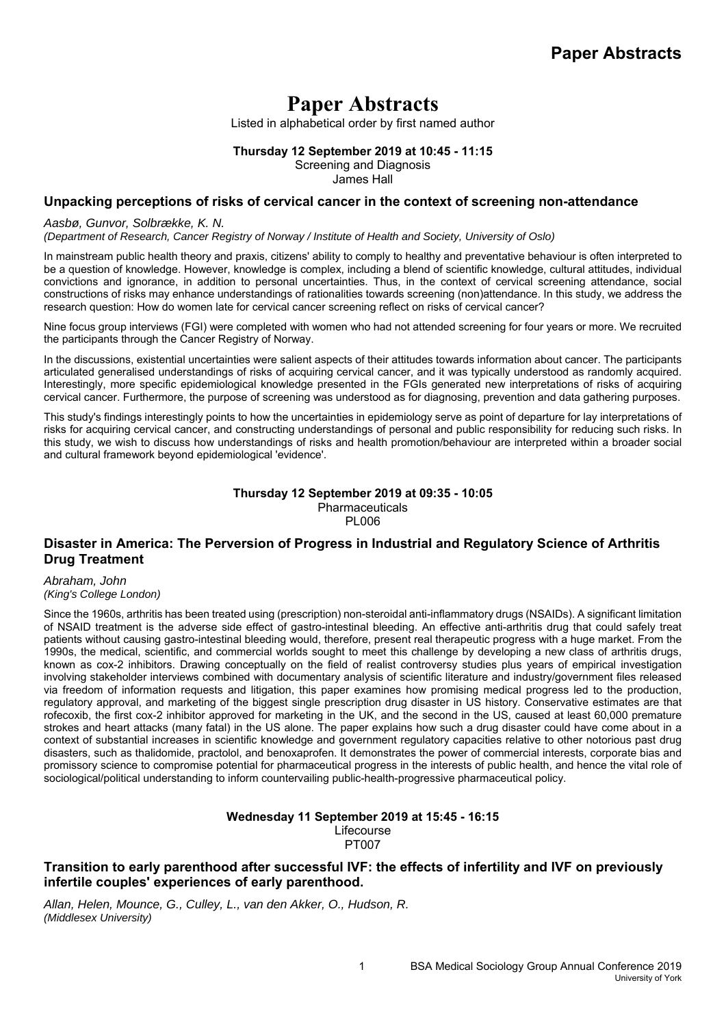Listed in alphabetical order by first named author

**Thursday 12 September 2019 at 10:45 - 11:15** 

Screening and Diagnosis

James Hall

## **Unpacking perceptions of risks of cervical cancer in the context of screening non-attendance**

### *Aasbø, Gunvor, Solbrække, K. N.*

*(Department of Research, Cancer Registry of Norway / Institute of Health and Society, University of Oslo)*

In mainstream public health theory and praxis, citizens' ability to comply to healthy and preventative behaviour is often interpreted to be a question of knowledge. However, knowledge is complex, including a blend of scientific knowledge, cultural attitudes, individual convictions and ignorance, in addition to personal uncertainties. Thus, in the context of cervical screening attendance, social constructions of risks may enhance understandings of rationalities towards screening (non)attendance. In this study, we address the research question: How do women late for cervical cancer screening reflect on risks of cervical cancer?

Nine focus group interviews (FGI) were completed with women who had not attended screening for four years or more. We recruited the participants through the Cancer Registry of Norway.

In the discussions, existential uncertainties were salient aspects of their attitudes towards information about cancer. The participants articulated generalised understandings of risks of acquiring cervical cancer, and it was typically understood as randomly acquired. Interestingly, more specific epidemiological knowledge presented in the FGIs generated new interpretations of risks of acquiring cervical cancer. Furthermore, the purpose of screening was understood as for diagnosing, prevention and data gathering purposes.

This study's findings interestingly points to how the uncertainties in epidemiology serve as point of departure for lay interpretations of risks for acquiring cervical cancer, and constructing understandings of personal and public responsibility for reducing such risks. In this study, we wish to discuss how understandings of risks and health promotion/behaviour are interpreted within a broader social and cultural framework beyond epidemiological 'evidence'.

### **Thursday 12 September 2019 at 09:35 - 10:05**  Pharmaceuticals **PL006**

# **Disaster in America: The Perversion of Progress in Industrial and Regulatory Science of Arthritis Drug Treatment**

*Abraham, John* 

*(King's College London)* Since the 1960s, arthritis has been treated using (prescription) non-steroidal anti-inflammatory drugs (NSAIDs). A significant limitation

of NSAID treatment is the adverse side effect of gastro-intestinal bleeding. An effective anti-arthritis drug that could safely treat patients without causing gastro-intestinal bleeding would, therefore, present real therapeutic progress with a huge market. From the 1990s, the medical, scientific, and commercial worlds sought to meet this challenge by developing a new class of arthritis drugs, known as cox-2 inhibitors. Drawing conceptually on the field of realist controversy studies plus years of empirical investigation involving stakeholder interviews combined with documentary analysis of scientific literature and industry/government files released via freedom of information requests and litigation, this paper examines how promising medical progress led to the production, regulatory approval, and marketing of the biggest single prescription drug disaster in US history. Conservative estimates are that rofecoxib, the first cox-2 inhibitor approved for marketing in the UK, and the second in the US, caused at least 60,000 premature strokes and heart attacks (many fatal) in the US alone. The paper explains how such a drug disaster could have come about in a context of substantial increases in scientific knowledge and government regulatory capacities relative to other notorious past drug disasters, such as thalidomide, practolol, and benoxaprofen. It demonstrates the power of commercial interests, corporate bias and promissory science to compromise potential for pharmaceutical progress in the interests of public health, and hence the vital role of sociological/political understanding to inform countervailing public-health-progressive pharmaceutical policy.

#### **Wednesday 11 September 2019 at 15:45 - 16:15**  Lifecourse PT007

# **Transition to early parenthood after successful IVF: the effects of infertility and IVF on previously infertile couples' experiences of early parenthood.**

*Allan, Helen, Mounce, G., Culley, L., van den Akker, O., Hudson, R. (Middlesex University)*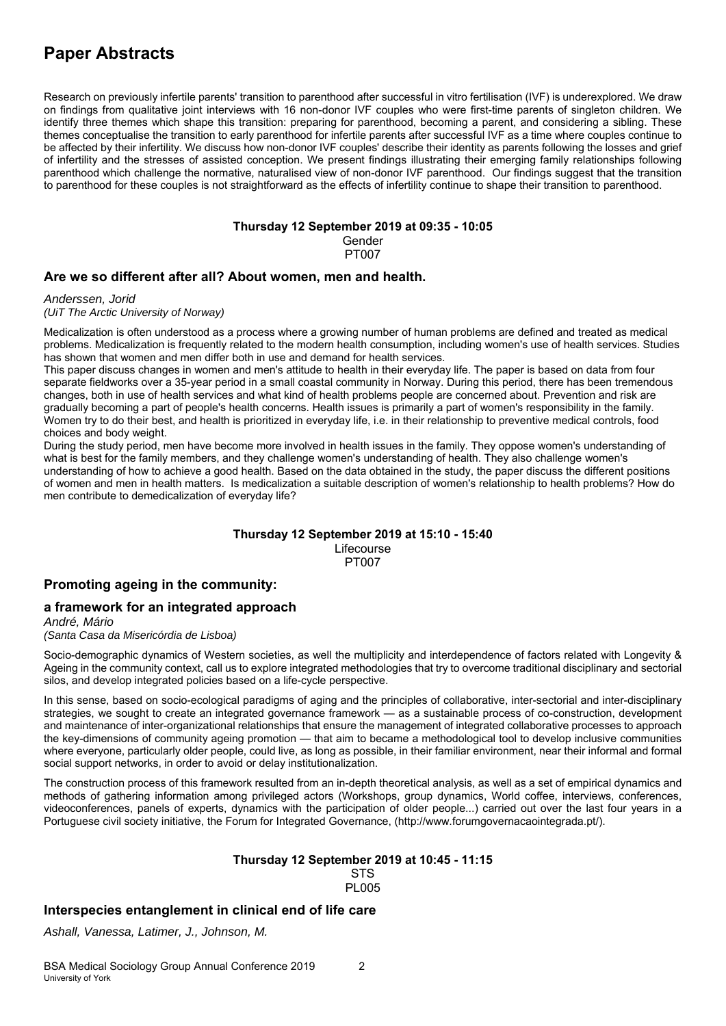Research on previously infertile parents' transition to parenthood after successful in vitro fertilisation (IVF) is underexplored. We draw on findings from qualitative joint interviews with 16 non-donor IVF couples who were first-time parents of singleton children. We identify three themes which shape this transition: preparing for parenthood, becoming a parent, and considering a sibling. These themes conceptualise the transition to early parenthood for infertile parents after successful IVF as a time where couples continue to be affected by their infertility. We discuss how non-donor IVF couples' describe their identity as parents following the losses and grief of infertility and the stresses of assisted conception. We present findings illustrating their emerging family relationships following parenthood which challenge the normative, naturalised view of non-donor IVF parenthood. Our findings suggest that the transition to parenthood for these couples is not straightforward as the effects of infertility continue to shape their transition to parenthood.

## **Thursday 12 September 2019 at 09:35 - 10:05**

Gender

PT007

# **Are we so different after all? About women, men and health.**

*Anderssen, Jorid* 

*(UiT The Arctic University of Norway)*

Medicalization is often understood as a process where a growing number of human problems are defined and treated as medical problems. Medicalization is frequently related to the modern health consumption, including women's use of health services. Studies has shown that women and men differ both in use and demand for health services.

This paper discuss changes in women and men's attitude to health in their everyday life. The paper is based on data from four separate fieldworks over a 35-year period in a small coastal community in Norway. During this period, there has been tremendous changes, both in use of health services and what kind of health problems people are concerned about. Prevention and risk are gradually becoming a part of people's health concerns. Health issues is primarily a part of women's responsibility in the family. Women try to do their best, and health is prioritized in everyday life, i.e. in their relationship to preventive medical controls, food choices and body weight.

During the study period, men have become more involved in health issues in the family. They oppose women's understanding of what is best for the family members, and they challenge women's understanding of health. They also challenge women's understanding of how to achieve a good health. Based on the data obtained in the study, the paper discuss the different positions of women and men in health matters. Is medicalization a suitable description of women's relationship to health problems? How do men contribute to demedicalization of everyday life?

#### **Thursday 12 September 2019 at 15:10 - 15:40**  Lifecourse PT007

# **Promoting ageing in the community:**

# **a framework for an integrated approach**

*André, Mário (Santa Casa da Misericórdia de Lisboa)*

Socio-demographic dynamics of Western societies, as well the multiplicity and interdependence of factors related with Longevity & Ageing in the community context, call us to explore integrated methodologies that try to overcome traditional disciplinary and sectorial silos, and develop integrated policies based on a life-cycle perspective.

In this sense, based on socio-ecological paradigms of aging and the principles of collaborative, inter-sectorial and inter-disciplinary strategies, we sought to create an integrated governance framework — as a sustainable process of co-construction, development and maintenance of inter-organizational relationships that ensure the management of integrated collaborative processes to approach the key-dimensions of community ageing promotion — that aim to became a methodological tool to develop inclusive communities where everyone, particularly older people, could live, as long as possible, in their familiar environment, near their informal and formal social support networks, in order to avoid or delay institutionalization.

The construction process of this framework resulted from an in-depth theoretical analysis, as well as a set of empirical dynamics and methods of gathering information among privileged actors (Workshops, group dynamics, World coffee, interviews, conferences, videoconferences, panels of experts, dynamics with the participation of older people...) carried out over the last four years in a Portuguese civil society initiative, the Forum for Integrated Governance, (http://www.forumgovernacaointegrada.pt/).

# **Thursday 12 September 2019 at 10:45 - 11:15 STS**

PL005

# **Interspecies entanglement in clinical end of life care**

*Ashall, Vanessa, Latimer, J., Johnson, M.*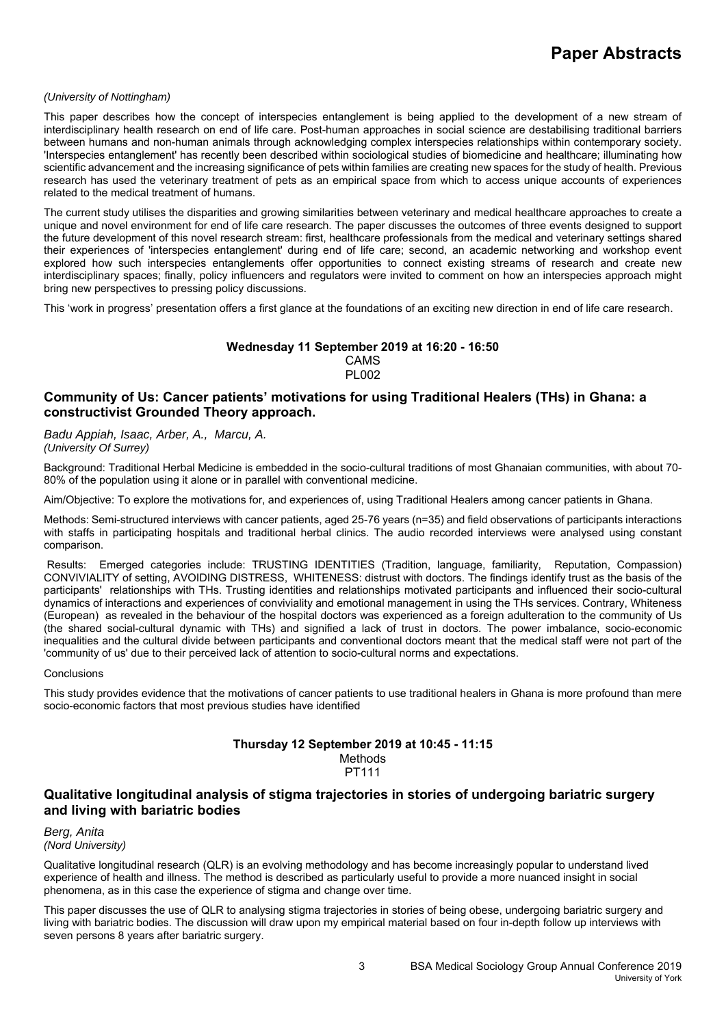### *(University of Nottingham)*

This paper describes how the concept of interspecies entanglement is being applied to the development of a new stream of interdisciplinary health research on end of life care. Post-human approaches in social science are destabilising traditional barriers between humans and non-human animals through acknowledging complex interspecies relationships within contemporary society. 'Interspecies entanglement' has recently been described within sociological studies of biomedicine and healthcare; illuminating how scientific advancement and the increasing significance of pets within families are creating new spaces for the study of health. Previous research has used the veterinary treatment of pets as an empirical space from which to access unique accounts of experiences related to the medical treatment of humans.

The current study utilises the disparities and growing similarities between veterinary and medical healthcare approaches to create a unique and novel environment for end of life care research. The paper discusses the outcomes of three events designed to support the future development of this novel research stream: first, healthcare professionals from the medical and veterinary settings shared their experiences of 'interspecies entanglement' during end of life care; second, an academic networking and workshop event explored how such interspecies entanglements offer opportunities to connect existing streams of research and create new interdisciplinary spaces; finally, policy influencers and regulators were invited to comment on how an interspecies approach might bring new perspectives to pressing policy discussions.

This 'work in progress' presentation offers a first glance at the foundations of an exciting new direction in end of life care research.

### **Wednesday 11 September 2019 at 16:20 - 16:50**  CAMS PL002

# **Community of Us: Cancer patients' motivations for using Traditional Healers (THs) in Ghana: a constructivist Grounded Theory approach.**

*Badu Appiah, Isaac, Arber, A., Marcu, A. (University Of Surrey)*

Background: Traditional Herbal Medicine is embedded in the socio-cultural traditions of most Ghanaian communities, with about 70- 80% of the population using it alone or in parallel with conventional medicine.

Aim/Objective: To explore the motivations for, and experiences of, using Traditional Healers among cancer patients in Ghana.

Methods: Semi-structured interviews with cancer patients, aged 25-76 years (n=35) and field observations of participants interactions with staffs in participating hospitals and traditional herbal clinics. The audio recorded interviews were analysed using constant comparison.

 Results: Emerged categories include: TRUSTING IDENTITIES (Tradition, language, familiarity, Reputation, Compassion) CONVIVIALITY of setting, AVOIDING DISTRESS, WHITENESS: distrust with doctors. The findings identify trust as the basis of the participants' relationships with THs. Trusting identities and relationships motivated participants and influenced their socio-cultural dynamics of interactions and experiences of conviviality and emotional management in using the THs services. Contrary, Whiteness (European) as revealed in the behaviour of the hospital doctors was experienced as a foreign adulteration to the community of Us (the shared social-cultural dynamic with THs) and signified a lack of trust in doctors. The power imbalance, socio-economic inequalities and the cultural divide between participants and conventional doctors meant that the medical staff were not part of the 'community of us' due to their perceived lack of attention to socio-cultural norms and expectations.

### **Conclusions**

This study provides evidence that the motivations of cancer patients to use traditional healers in Ghana is more profound than mere socio-economic factors that most previous studies have identified

#### **Thursday 12 September 2019 at 10:45 - 11:15**  Methods PT111

## **Qualitative longitudinal analysis of stigma trajectories in stories of undergoing bariatric surgery and living with bariatric bodies**

*Berg, Anita (Nord University)*

Qualitative longitudinal research (QLR) is an evolving methodology and has become increasingly popular to understand lived experience of health and illness. The method is described as particularly useful to provide a more nuanced insight in social phenomena, as in this case the experience of stigma and change over time.

This paper discusses the use of QLR to analysing stigma trajectories in stories of being obese, undergoing bariatric surgery and living with bariatric bodies. The discussion will draw upon my empirical material based on four in-depth follow up interviews with seven persons 8 years after bariatric surgery.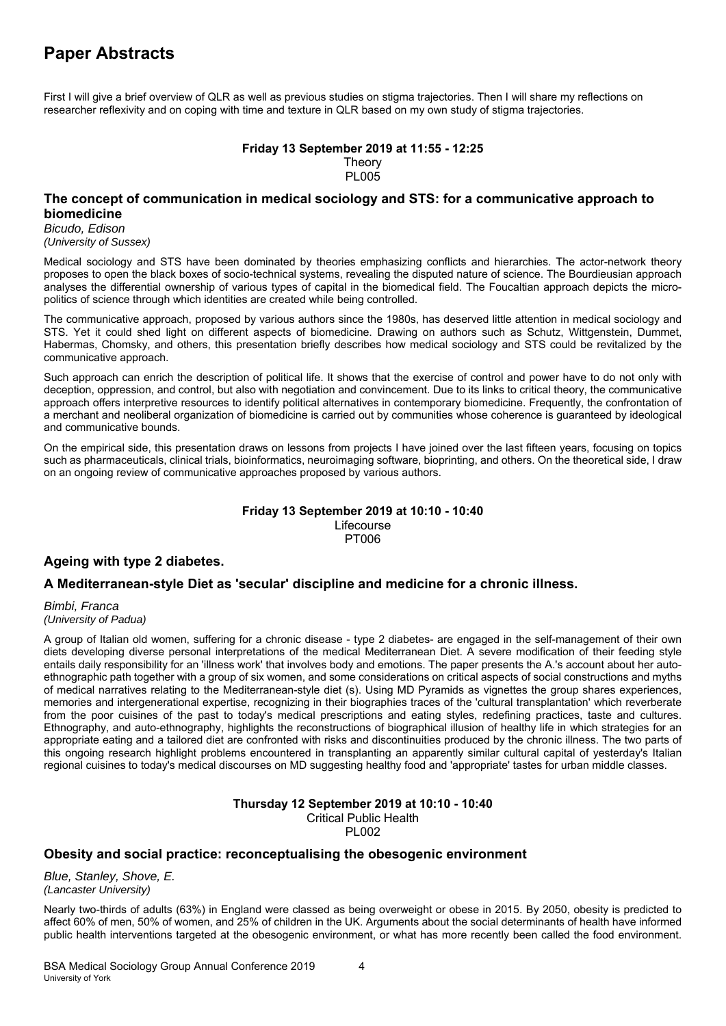First I will give a brief overview of QLR as well as previous studies on stigma trajectories. Then I will share my reflections on researcher reflexivity and on coping with time and texture in QLR based on my own study of stigma trajectories.

### **Friday 13 September 2019 at 11:55 - 12:25 Theory** PL005

## **The concept of communication in medical sociology and STS: for a communicative approach to biomedicine**

*Bicudo, Edison* 

*(University of Sussex)*

Medical sociology and STS have been dominated by theories emphasizing conflicts and hierarchies. The actor-network theory proposes to open the black boxes of socio-technical systems, revealing the disputed nature of science. The Bourdieusian approach analyses the differential ownership of various types of capital in the biomedical field. The Foucaltian approach depicts the micropolitics of science through which identities are created while being controlled.

The communicative approach, proposed by various authors since the 1980s, has deserved little attention in medical sociology and STS. Yet it could shed light on different aspects of biomedicine. Drawing on authors such as Schutz, Wittgenstein, Dummet, Habermas, Chomsky, and others, this presentation briefly describes how medical sociology and STS could be revitalized by the communicative approach.

Such approach can enrich the description of political life. It shows that the exercise of control and power have to do not only with deception, oppression, and control, but also with negotiation and convincement. Due to its links to critical theory, the communicative approach offers interpretive resources to identify political alternatives in contemporary biomedicine. Frequently, the confrontation of a merchant and neoliberal organization of biomedicine is carried out by communities whose coherence is guaranteed by ideological and communicative bounds.

On the empirical side, this presentation draws on lessons from projects I have joined over the last fifteen years, focusing on topics such as pharmaceuticals, clinical trials, bioinformatics, neuroimaging software, bioprinting, and others. On the theoretical side, I draw on an ongoing review of communicative approaches proposed by various authors.

## **Friday 13 September 2019 at 10:10 - 10:40**

Lifecourse PT006

# **Ageing with type 2 diabetes.**

# **A Mediterranean-style Diet as 'secular' discipline and medicine for a chronic illness.**

*Bimbi, Franca (University of Padua)*

A group of Italian old women, suffering for a chronic disease - type 2 diabetes- are engaged in the self-management of their own diets developing diverse personal interpretations of the medical Mediterranean Diet. A severe modification of their feeding style entails daily responsibility for an 'illness work' that involves body and emotions. The paper presents the A.'s account about her autoethnographic path together with a group of six women, and some considerations on critical aspects of social constructions and myths of medical narratives relating to the Mediterranean-style diet (s). Using MD Pyramids as vignettes the group shares experiences, memories and intergenerational expertise, recognizing in their biographies traces of the 'cultural transplantation' which reverberate from the poor cuisines of the past to today's medical prescriptions and eating styles, redefining practices, taste and cultures. Ethnography, and auto-ethnography, highlights the reconstructions of biographical illusion of healthy life in which strategies for an appropriate eating and a tailored diet are confronted with risks and discontinuities produced by the chronic illness. The two parts of this ongoing research highlight problems encountered in transplanting an apparently similar cultural capital of yesterday's Italian regional cuisines to today's medical discourses on MD suggesting healthy food and 'appropriate' tastes for urban middle classes.

### **Thursday 12 September 2019 at 10:10 - 10:40**  Critical Public Health

PL002

# **Obesity and social practice: reconceptualising the obesogenic environment**

*Blue, Stanley, Shove, E. (Lancaster University)*

Nearly two-thirds of adults (63%) in England were classed as being overweight or obese in 2015. By 2050, obesity is predicted to affect 60% of men, 50% of women, and 25% of children in the UK. Arguments about the social determinants of health have informed public health interventions targeted at the obesogenic environment, or what has more recently been called the food environment.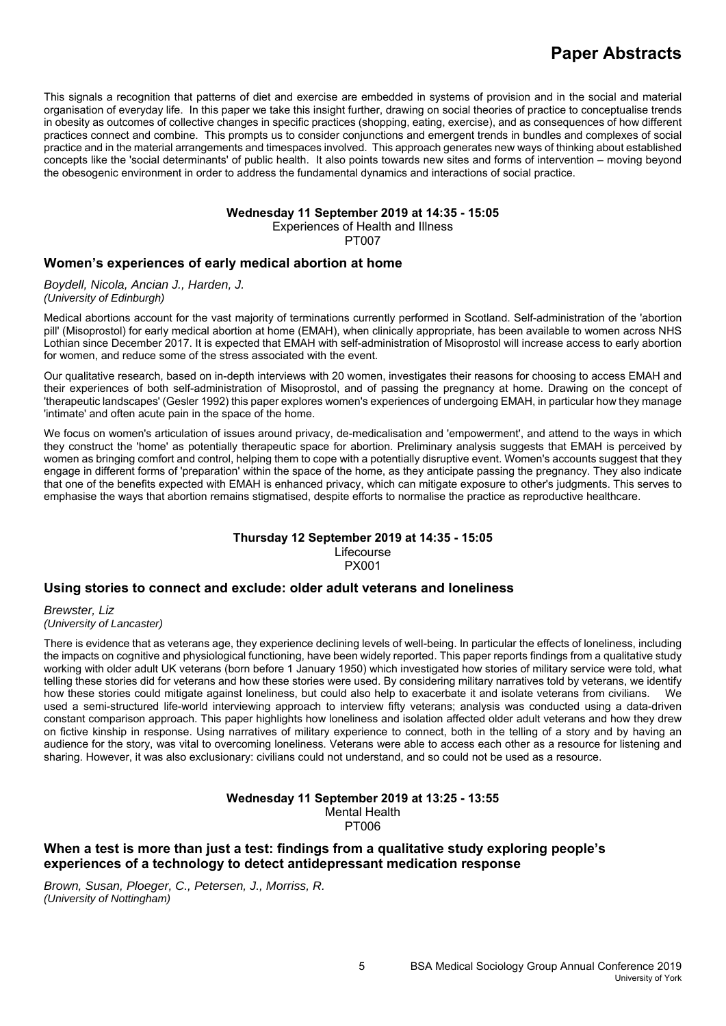This signals a recognition that patterns of diet and exercise are embedded in systems of provision and in the social and material organisation of everyday life. In this paper we take this insight further, drawing on social theories of practice to conceptualise trends in obesity as outcomes of collective changes in specific practices (shopping, eating, exercise), and as consequences of how different practices connect and combine. This prompts us to consider conjunctions and emergent trends in bundles and complexes of social practice and in the material arrangements and timespaces involved. This approach generates new ways of thinking about established concepts like the 'social determinants' of public health. It also points towards new sites and forms of intervention – moving beyond the obesogenic environment in order to address the fundamental dynamics and interactions of social practice.

# **Wednesday 11 September 2019 at 14:35 - 15:05**

Experiences of Health and Illness

PT007

# **Women's experiences of early medical abortion at home**

*Boydell, Nicola, Ancian J., Harden, J. (University of Edinburgh)*

Medical abortions account for the vast majority of terminations currently performed in Scotland. Self-administration of the 'abortion pill' (Misoprostol) for early medical abortion at home (EMAH), when clinically appropriate, has been available to women across NHS Lothian since December 2017. It is expected that EMAH with self-administration of Misoprostol will increase access to early abortion for women, and reduce some of the stress associated with the event.

Our qualitative research, based on in-depth interviews with 20 women, investigates their reasons for choosing to access EMAH and their experiences of both self-administration of Misoprostol, and of passing the pregnancy at home. Drawing on the concept of 'therapeutic landscapes' (Gesler 1992) this paper explores women's experiences of undergoing EMAH, in particular how they manage 'intimate' and often acute pain in the space of the home.

We focus on women's articulation of issues around privacy, de-medicalisation and 'empowerment', and attend to the ways in which they construct the 'home' as potentially therapeutic space for abortion. Preliminary analysis suggests that EMAH is perceived by women as bringing comfort and control, helping them to cope with a potentially disruptive event. Women's accounts suggest that they engage in different forms of 'preparation' within the space of the home, as they anticipate passing the pregnancy. They also indicate that one of the benefits expected with EMAH is enhanced privacy, which can mitigate exposure to other's judgments. This serves to emphasise the ways that abortion remains stigmatised, despite efforts to normalise the practice as reproductive healthcare.

#### **Thursday 12 September 2019 at 14:35 - 15:05**  Lifecourse PX001

# **Using stories to connect and exclude: older adult veterans and loneliness**

*Brewster, Liz (University of Lancaster)*

There is evidence that as veterans age, they experience declining levels of well-being. In particular the effects of loneliness, including the impacts on cognitive and physiological functioning, have been widely reported. This paper reports findings from a qualitative study working with older adult UK veterans (born before 1 January 1950) which investigated how stories of military service were told, what telling these stories did for veterans and how these stories were used. By considering military narratives told by veterans, we identify how these stories could mitigate against loneliness, but could also help to exacerbate it and isolate veterans from civilians. We used a semi-structured life-world interviewing approach to interview fifty veterans; analysis was conducted using a data-driven constant comparison approach. This paper highlights how loneliness and isolation affected older adult veterans and how they drew on fictive kinship in response. Using narratives of military experience to connect, both in the telling of a story and by having an audience for the story, was vital to overcoming loneliness. Veterans were able to access each other as a resource for listening and sharing. However, it was also exclusionary: civilians could not understand, and so could not be used as a resource.

> **Wednesday 11 September 2019 at 13:25 - 13:55**  Mental Health PT006

# **When a test is more than just a test: findings from a qualitative study exploring people's experiences of a technology to detect antidepressant medication response**

*Brown, Susan, Ploeger, C., Petersen, J., Morriss, R. (University of Nottingham)*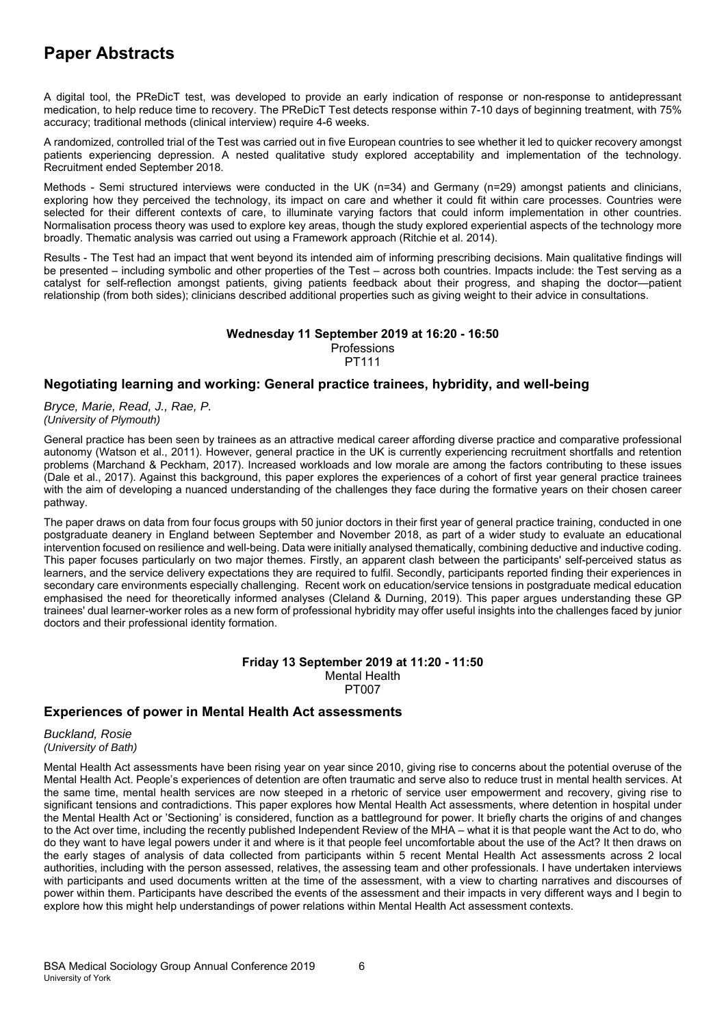A digital tool, the PReDicT test, was developed to provide an early indication of response or non-response to antidepressant medication, to help reduce time to recovery. The PReDicT Test detects response within 7-10 days of beginning treatment, with 75% accuracy; traditional methods (clinical interview) require 4-6 weeks.

A randomized, controlled trial of the Test was carried out in five European countries to see whether it led to quicker recovery amongst patients experiencing depression. A nested qualitative study explored acceptability and implementation of the technology. Recruitment ended September 2018.

Methods - Semi structured interviews were conducted in the UK (n=34) and Germany (n=29) amongst patients and clinicians, exploring how they perceived the technology, its impact on care and whether it could fit within care processes. Countries were selected for their different contexts of care, to illuminate varying factors that could inform implementation in other countries. Normalisation process theory was used to explore key areas, though the study explored experiential aspects of the technology more broadly. Thematic analysis was carried out using a Framework approach (Ritchie et al. 2014).

Results - The Test had an impact that went beyond its intended aim of informing prescribing decisions. Main qualitative findings will be presented – including symbolic and other properties of the Test – across both countries. Impacts include: the Test serving as a catalyst for self-reflection amongst patients, giving patients feedback about their progress, and shaping the doctor—patient relationship (from both sides); clinicians described additional properties such as giving weight to their advice in consultations.

# **Wednesday 11 September 2019 at 16:20 - 16:50**  Professions

PT111

## **Negotiating learning and working: General practice trainees, hybridity, and well-being**

*Bryce, Marie, Read, J., Rae, P. (University of Plymouth)*

General practice has been seen by trainees as an attractive medical career affording diverse practice and comparative professional autonomy (Watson et al., 2011). However, general practice in the UK is currently experiencing recruitment shortfalls and retention problems (Marchand & Peckham, 2017). Increased workloads and low morale are among the factors contributing to these issues (Dale et al., 2017). Against this background, this paper explores the experiences of a cohort of first year general practice trainees with the aim of developing a nuanced understanding of the challenges they face during the formative years on their chosen career pathway.

The paper draws on data from four focus groups with 50 junior doctors in their first year of general practice training, conducted in one postgraduate deanery in England between September and November 2018, as part of a wider study to evaluate an educational intervention focused on resilience and well-being. Data were initially analysed thematically, combining deductive and inductive coding. This paper focuses particularly on two major themes. Firstly, an apparent clash between the participants' self-perceived status as learners, and the service delivery expectations they are required to fulfil. Secondly, participants reported finding their experiences in secondary care environments especially challenging. Recent work on education/service tensions in postgraduate medical education emphasised the need for theoretically informed analyses (Cleland & Durning, 2019). This paper argues understanding these GP trainees' dual learner-worker roles as a new form of professional hybridity may offer useful insights into the challenges faced by junior doctors and their professional identity formation.

### **Friday 13 September 2019 at 11:20 - 11:50**  Mental Health PT007

# **Experiences of power in Mental Health Act assessments**

*Buckland, Rosie (University of Bath)*

Mental Health Act assessments have been rising year on year since 2010, giving rise to concerns about the potential overuse of the Mental Health Act. People's experiences of detention are often traumatic and serve also to reduce trust in mental health services. At the same time, mental health services are now steeped in a rhetoric of service user empowerment and recovery, giving rise to significant tensions and contradictions. This paper explores how Mental Health Act assessments, where detention in hospital under the Mental Health Act or 'Sectioning' is considered, function as a battleground for power. It briefly charts the origins of and changes to the Act over time, including the recently published Independent Review of the MHA – what it is that people want the Act to do, who do they want to have legal powers under it and where is it that people feel uncomfortable about the use of the Act? It then draws on the early stages of analysis of data collected from participants within 5 recent Mental Health Act assessments across 2 local authorities, including with the person assessed, relatives, the assessing team and other professionals. I have undertaken interviews with participants and used documents written at the time of the assessment, with a view to charting narratives and discourses of power within them. Participants have described the events of the assessment and their impacts in very different ways and I begin to explore how this might help understandings of power relations within Mental Health Act assessment contexts.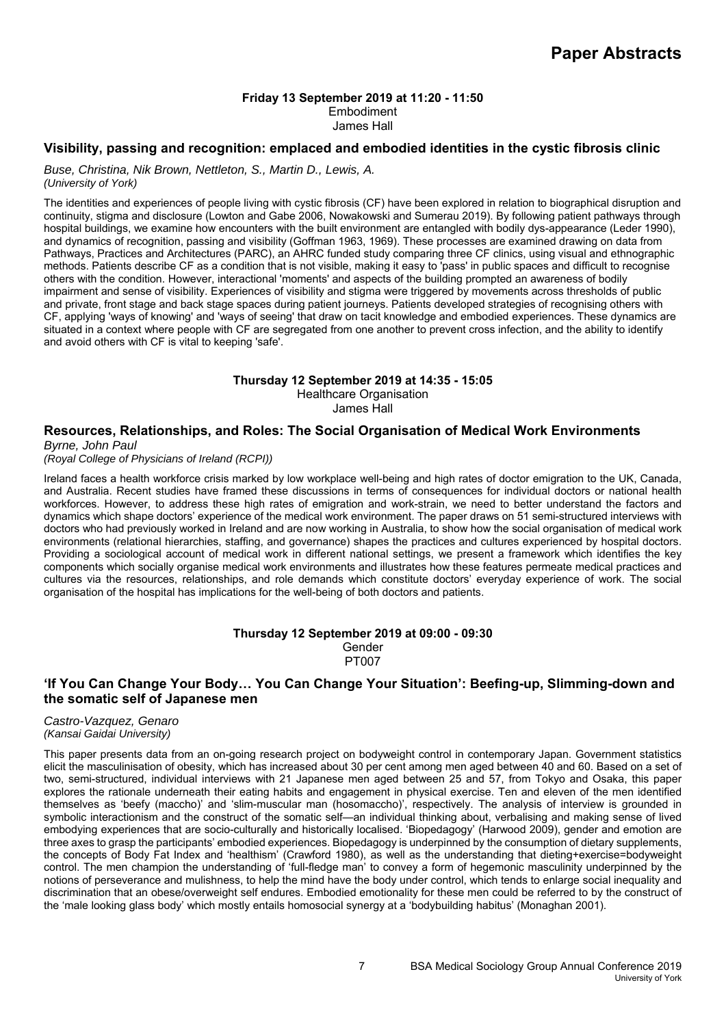### **Friday 13 September 2019 at 11:20 - 11:50**  Embodiment

James Hall

# **Visibility, passing and recognition: emplaced and embodied identities in the cystic fibrosis clinic**

*Buse, Christina, Nik Brown, Nettleton, S., Martin D., Lewis, A.* 

*(University of York)*

The identities and experiences of people living with cystic fibrosis (CF) have been explored in relation to biographical disruption and continuity, stigma and disclosure (Lowton and Gabe 2006, Nowakowski and Sumerau 2019). By following patient pathways through hospital buildings, we examine how encounters with the built environment are entangled with bodily dys-appearance (Leder 1990), and dynamics of recognition, passing and visibility (Goffman 1963, 1969). These processes are examined drawing on data from Pathways, Practices and Architectures (PARC), an AHRC funded study comparing three CF clinics, using visual and ethnographic methods. Patients describe CF as a condition that is not visible, making it easy to 'pass' in public spaces and difficult to recognise others with the condition. However, interactional 'moments' and aspects of the building prompted an awareness of bodily impairment and sense of visibility. Experiences of visibility and stigma were triggered by movements across thresholds of public and private, front stage and back stage spaces during patient journeys. Patients developed strategies of recognising others with CF, applying 'ways of knowing' and 'ways of seeing' that draw on tacit knowledge and embodied experiences. These dynamics are situated in a context where people with CF are segregated from one another to prevent cross infection, and the ability to identify and avoid others with CF is vital to keeping 'safe'.

### **Thursday 12 September 2019 at 14:35 - 15:05**

Healthcare Organisation James Hall

# **Resources, Relationships, and Roles: The Social Organisation of Medical Work Environments**

*Byrne, John Paul (Royal College of Physicians of Ireland (RCPI))*

Ireland faces a health workforce crisis marked by low workplace well-being and high rates of doctor emigration to the UK, Canada, and Australia. Recent studies have framed these discussions in terms of consequences for individual doctors or national health workforces. However, to address these high rates of emigration and work-strain, we need to better understand the factors and dynamics which shape doctors' experience of the medical work environment. The paper draws on 51 semi-structured interviews with doctors who had previously worked in Ireland and are now working in Australia, to show how the social organisation of medical work environments (relational hierarchies, staffing, and governance) shapes the practices and cultures experienced by hospital doctors. Providing a sociological account of medical work in different national settings, we present a framework which identifies the key components which socially organise medical work environments and illustrates how these features permeate medical practices and cultures via the resources, relationships, and role demands which constitute doctors' everyday experience of work. The social organisation of the hospital has implications for the well-being of both doctors and patients.

### **Thursday 12 September 2019 at 09:00 - 09:30**  Gender PT007

# **'If You Can Change Your Body… You Can Change Your Situation': Beefing-up, Slimming-down and the somatic self of Japanese men**

### *Castro-Vazquez, Genaro (Kansai Gaidai University)*

This paper presents data from an on-going research project on bodyweight control in contemporary Japan. Government statistics elicit the masculinisation of obesity, which has increased about 30 per cent among men aged between 40 and 60. Based on a set of two, semi-structured, individual interviews with 21 Japanese men aged between 25 and 57, from Tokyo and Osaka, this paper explores the rationale underneath their eating habits and engagement in physical exercise. Ten and eleven of the men identified themselves as 'beefy (maccho)' and 'slim-muscular man (hosomaccho)', respectively. The analysis of interview is grounded in symbolic interactionism and the construct of the somatic self—an individual thinking about, verbalising and making sense of lived embodying experiences that are socio-culturally and historically localised. 'Biopedagogy' (Harwood 2009), gender and emotion are three axes to grasp the participants' embodied experiences. Biopedagogy is underpinned by the consumption of dietary supplements, the concepts of Body Fat Index and 'healthism' (Crawford 1980), as well as the understanding that dieting+exercise=bodyweight control. The men champion the understanding of 'full-fledge man' to convey a form of hegemonic masculinity underpinned by the notions of perseverance and mulishness, to help the mind have the body under control, which tends to enlarge social inequality and discrimination that an obese/overweight self endures. Embodied emotionality for these men could be referred to by the construct of the 'male looking glass body' which mostly entails homosocial synergy at a 'bodybuilding habitus' (Monaghan 2001).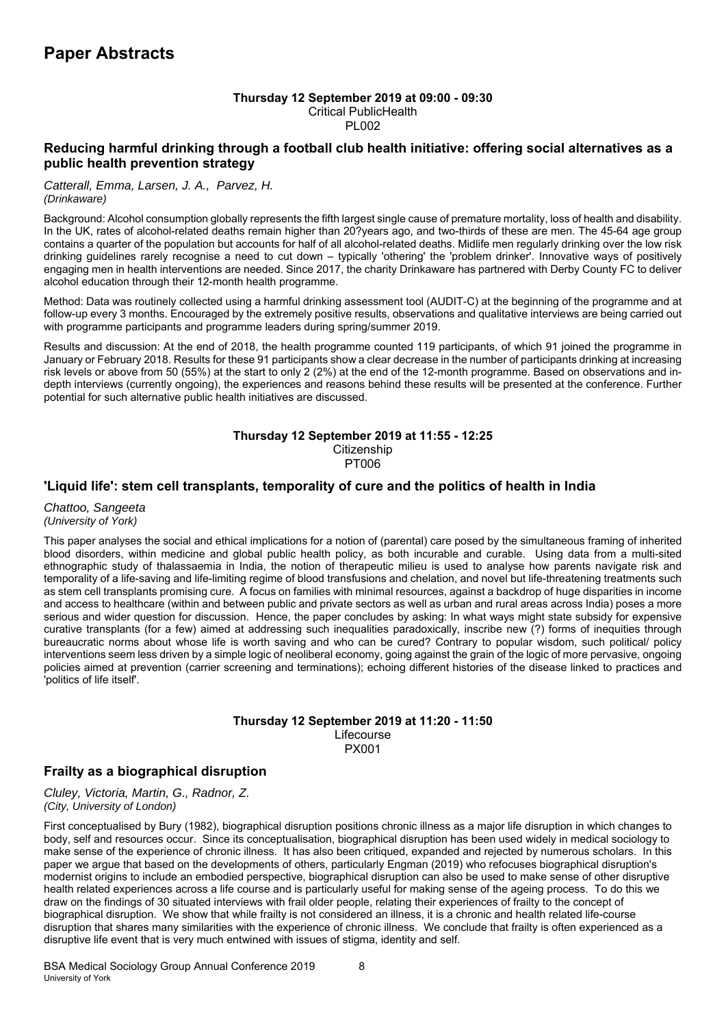### **Thursday 12 September 2019 at 09:00 - 09:30**  Critical PublicHealth **PL002**

# **Reducing harmful drinking through a football club health initiative: offering social alternatives as a public health prevention strategy**

### *Catterall, Emma, Larsen, J. A., Parvez, H. (Drinkaware)*

Background: Alcohol consumption globally represents the fifth largest single cause of premature mortality, loss of health and disability. In the UK, rates of alcohol-related deaths remain higher than 20?years ago, and two-thirds of these are men. The 45-64 age group contains a quarter of the population but accounts for half of all alcohol-related deaths. Midlife men regularly drinking over the low risk drinking guidelines rarely recognise a need to cut down – typically 'othering' the 'problem drinker'. Innovative ways of positively engaging men in health interventions are needed. Since 2017, the charity Drinkaware has partnered with Derby County FC to deliver alcohol education through their 12-month health programme.

Method: Data was routinely collected using a harmful drinking assessment tool (AUDIT-C) at the beginning of the programme and at follow-up every 3 months. Encouraged by the extremely positive results, observations and qualitative interviews are being carried out with programme participants and programme leaders during spring/summer 2019.

Results and discussion: At the end of 2018, the health programme counted 119 participants, of which 91 joined the programme in January or February 2018. Results for these 91 participants show a clear decrease in the number of participants drinking at increasing risk levels or above from 50 (55%) at the start to only 2 (2%) at the end of the 12-month programme. Based on observations and indepth interviews (currently ongoing), the experiences and reasons behind these results will be presented at the conference. Further potential for such alternative public health initiatives are discussed.

### **Thursday 12 September 2019 at 11:55 - 12:25 Citizenship** PT006

# **'Liquid life': stem cell transplants, temporality of cure and the politics of health in India**

### *Chattoo, Sangeeta (University of York)*

This paper analyses the social and ethical implications for a notion of (parental) care posed by the simultaneous framing of inherited blood disorders, within medicine and global public health policy, as both incurable and curable. Using data from a multi-sited ethnographic study of thalassaemia in India, the notion of therapeutic milieu is used to analyse how parents navigate risk and temporality of a life-saving and life-limiting regime of blood transfusions and chelation, and novel but life-threatening treatments such as stem cell transplants promising cure. A focus on families with minimal resources, against a backdrop of huge disparities in income and access to healthcare (within and between public and private sectors as well as urban and rural areas across India) poses a more serious and wider question for discussion. Hence, the paper concludes by asking: In what ways might state subsidy for expensive curative transplants (for a few) aimed at addressing such inequalities paradoxically, inscribe new (?) forms of inequities through bureaucratic norms about whose life is worth saving and who can be cured? Contrary to popular wisdom, such political/ policy interventions seem less driven by a simple logic of neoliberal economy, going against the grain of the logic of more pervasive, ongoing policies aimed at prevention (carrier screening and terminations); echoing different histories of the disease linked to practices and 'politics of life itself'.

### **Thursday 12 September 2019 at 11:20 - 11:50**  Lifecourse PX001

# **Frailty as a biographical disruption**

*Cluley, Victoria, Martin, G., Radnor, Z. (City, University of London)*

First conceptualised by Bury (1982), biographical disruption positions chronic illness as a major life disruption in which changes to body, self and resources occur. Since its conceptualisation, biographical disruption has been used widely in medical sociology to make sense of the experience of chronic illness. It has also been critiqued, expanded and rejected by numerous scholars. In this paper we argue that based on the developments of others, particularly Engman (2019) who refocuses biographical disruption's modernist origins to include an embodied perspective, biographical disruption can also be used to make sense of other disruptive health related experiences across a life course and is particularly useful for making sense of the ageing process. To do this we draw on the findings of 30 situated interviews with frail older people, relating their experiences of frailty to the concept of biographical disruption. We show that while frailty is not considered an illness, it is a chronic and health related life-course disruption that shares many similarities with the experience of chronic illness. We conclude that frailty is often experienced as a disruptive life event that is very much entwined with issues of stigma, identity and self.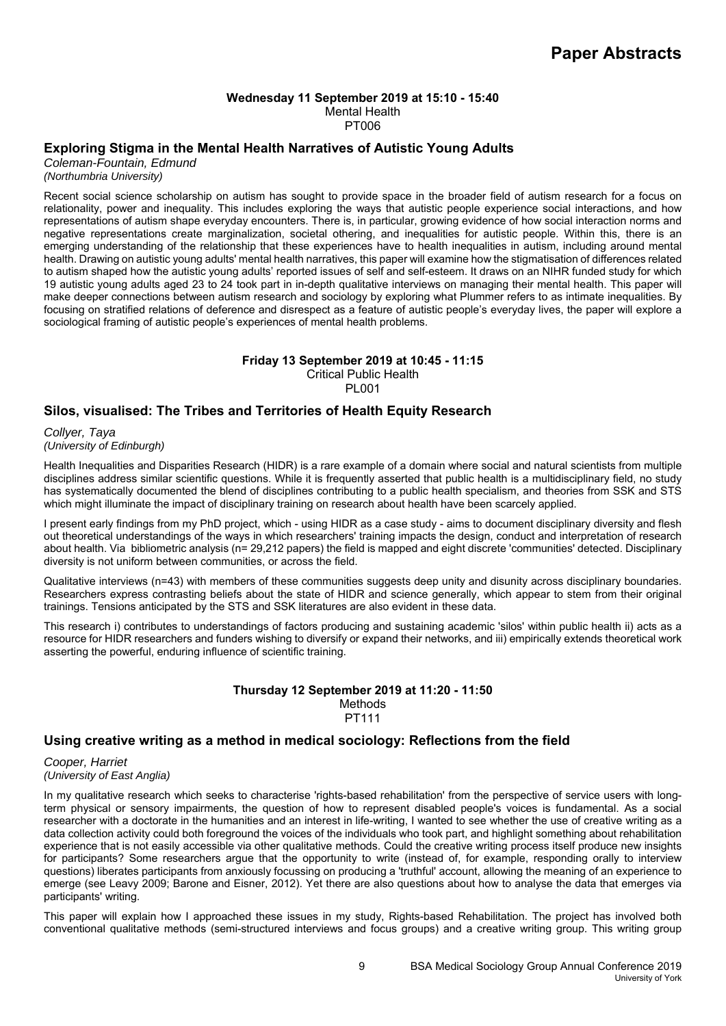### **Wednesday 11 September 2019 at 15:10 - 15:40**  Mental Health PT006

# **Exploring Stigma in the Mental Health Narratives of Autistic Young Adults**

*Coleman-Fountain, Edmund (Northumbria University)*

Recent social science scholarship on autism has sought to provide space in the broader field of autism research for a focus on relationality, power and inequality. This includes exploring the ways that autistic people experience social interactions, and how representations of autism shape everyday encounters. There is, in particular, growing evidence of how social interaction norms and negative representations create marginalization, societal othering, and inequalities for autistic people. Within this, there is an emerging understanding of the relationship that these experiences have to health inequalities in autism, including around mental health. Drawing on autistic young adults' mental health narratives, this paper will examine how the stigmatisation of differences related to autism shaped how the autistic young adults' reported issues of self and self-esteem. It draws on an NIHR funded study for which 19 autistic young adults aged 23 to 24 took part in in-depth qualitative interviews on managing their mental health. This paper will make deeper connections between autism research and sociology by exploring what Plummer refers to as intimate inequalities. By focusing on stratified relations of deference and disrespect as a feature of autistic people's everyday lives, the paper will explore a sociological framing of autistic people's experiences of mental health problems.

# **Friday 13 September 2019 at 10:45 - 11:15**

Critical Public Health PL001

# **Silos, visualised: The Tribes and Territories of Health Equity Research**

*Collyer, Taya (University of Edinburgh)*

Health Inequalities and Disparities Research (HIDR) is a rare example of a domain where social and natural scientists from multiple disciplines address similar scientific questions. While it is frequently asserted that public health is a multidisciplinary field, no study has systematically documented the blend of disciplines contributing to a public health specialism, and theories from SSK and STS which might illuminate the impact of disciplinary training on research about health have been scarcely applied.

I present early findings from my PhD project, which - using HIDR as a case study - aims to document disciplinary diversity and flesh out theoretical understandings of the ways in which researchers' training impacts the design, conduct and interpretation of research about health. Via bibliometric analysis (n= 29,212 papers) the field is mapped and eight discrete 'communities' detected. Disciplinary diversity is not uniform between communities, or across the field.

Qualitative interviews (n=43) with members of these communities suggests deep unity and disunity across disciplinary boundaries. Researchers express contrasting beliefs about the state of HIDR and science generally, which appear to stem from their original trainings. Tensions anticipated by the STS and SSK literatures are also evident in these data.

This research i) contributes to understandings of factors producing and sustaining academic 'silos' within public health ii) acts as a resource for HIDR researchers and funders wishing to diversify or expand their networks, and iii) empirically extends theoretical work asserting the powerful, enduring influence of scientific training.

## **Thursday 12 September 2019 at 11:20 - 11:50**  Methods PT111

# **Using creative writing as a method in medical sociology: Reflections from the field**

*Cooper, Harriet (University of East Anglia)*

In my qualitative research which seeks to characterise 'rights-based rehabilitation' from the perspective of service users with longterm physical or sensory impairments, the question of how to represent disabled people's voices is fundamental. As a social researcher with a doctorate in the humanities and an interest in life-writing, I wanted to see whether the use of creative writing as a data collection activity could both foreground the voices of the individuals who took part, and highlight something about rehabilitation experience that is not easily accessible via other qualitative methods. Could the creative writing process itself produce new insights for participants? Some researchers argue that the opportunity to write (instead of, for example, responding orally to interview questions) liberates participants from anxiously focussing on producing a 'truthful' account, allowing the meaning of an experience to emerge (see Leavy 2009; Barone and Eisner, 2012). Yet there are also questions about how to analyse the data that emerges via participants' writing.

This paper will explain how I approached these issues in my study, Rights-based Rehabilitation. The project has involved both conventional qualitative methods (semi-structured interviews and focus groups) and a creative writing group. This writing group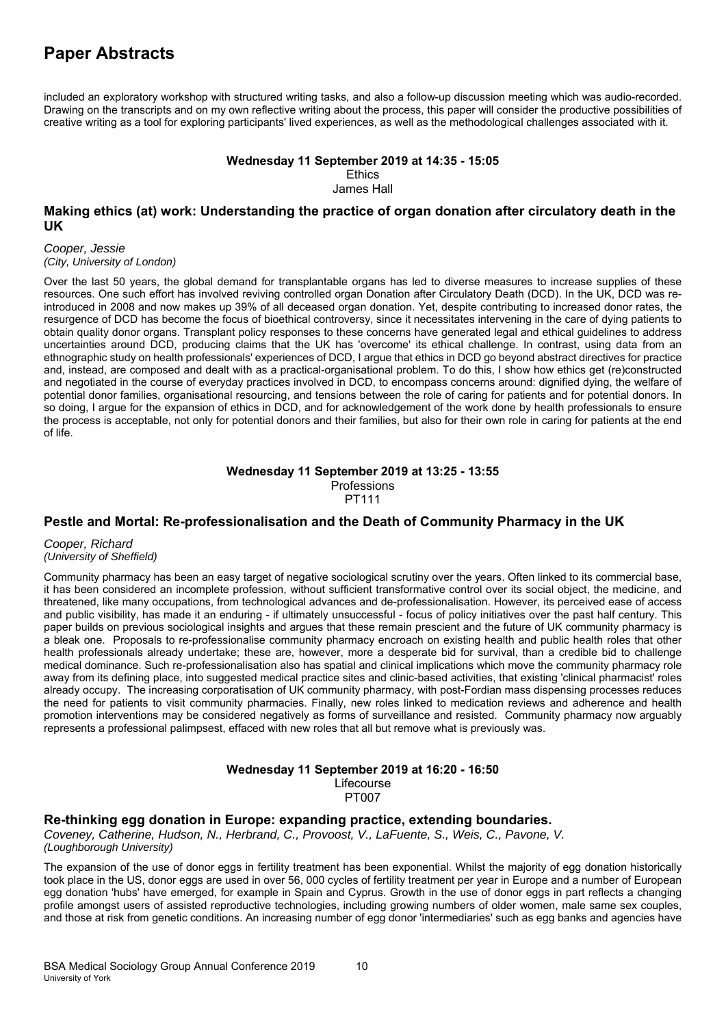included an exploratory workshop with structured writing tasks, and also a follow-up discussion meeting which was audio-recorded. Drawing on the transcripts and on my own reflective writing about the process, this paper will consider the productive possibilities of creative writing as a tool for exploring participants' lived experiences, as well as the methodological challenges associated with it.

#### **Wednesday 11 September 2019 at 14:35 - 15:05 Ethics**

James Hall

## **Making ethics (at) work: Understanding the practice of organ donation after circulatory death in the UK**

*Cooper, Jessie (City, University of London)*

Over the last 50 years, the global demand for transplantable organs has led to diverse measures to increase supplies of these resources. One such effort has involved reviving controlled organ Donation after Circulatory Death (DCD). In the UK, DCD was reintroduced in 2008 and now makes up 39% of all deceased organ donation. Yet, despite contributing to increased donor rates, the resurgence of DCD has become the focus of bioethical controversy, since it necessitates intervening in the care of dying patients to obtain quality donor organs. Transplant policy responses to these concerns have generated legal and ethical guidelines to address uncertainties around DCD, producing claims that the UK has 'overcome' its ethical challenge. In contrast, using data from an ethnographic study on health professionals' experiences of DCD, I argue that ethics in DCD go beyond abstract directives for practice and, instead, are composed and dealt with as a practical-organisational problem. To do this, I show how ethics get (re)constructed and negotiated in the course of everyday practices involved in DCD, to encompass concerns around: dignified dying, the welfare of potential donor families, organisational resourcing, and tensions between the role of caring for patients and for potential donors. In so doing, I argue for the expansion of ethics in DCD, and for acknowledgement of the work done by health professionals to ensure the process is acceptable, not only for potential donors and their families, but also for their own role in caring for patients at the end of life.

### **Wednesday 11 September 2019 at 13:25 - 13:55**  Professions PT111

# **Pestle and Mortal: Re-professionalisation and the Death of Community Pharmacy in the UK**

*Cooper, Richard (University of Sheffield)*

Community pharmacy has been an easy target of negative sociological scrutiny over the years. Often linked to its commercial base, it has been considered an incomplete profession, without sufficient transformative control over its social object, the medicine, and threatened, like many occupations, from technological advances and de-professionalisation. However, its perceived ease of access and public visibility, has made it an enduring - if ultimately unsuccessful - focus of policy initiatives over the past half century. This paper builds on previous sociological insights and argues that these remain prescient and the future of UK community pharmacy is a bleak one. Proposals to re-professionalise community pharmacy encroach on existing health and public health roles that other health professionals already undertake; these are, however, more a desperate bid for survival, than a credible bid to challenge medical dominance. Such re-professionalisation also has spatial and clinical implications which move the community pharmacy role away from its defining place, into suggested medical practice sites and clinic-based activities, that existing 'clinical pharmacist' roles already occupy. The increasing corporatisation of UK community pharmacy, with post-Fordian mass dispensing processes reduces the need for patients to visit community pharmacies. Finally, new roles linked to medication reviews and adherence and health promotion interventions may be considered negatively as forms of surveillance and resisted. Community pharmacy now arguably represents a professional palimpsest, effaced with new roles that all but remove what is previously was.

### **Wednesday 11 September 2019 at 16:20 - 16:50**

Lifecourse PT007

# **Re-thinking egg donation in Europe: expanding practice, extending boundaries.**

*Coveney, Catherine, Hudson, N., Herbrand, C., Provoost, V., LaFuente, S., Weis, C., Pavone, V. (Loughborough University)*

The expansion of the use of donor eggs in fertility treatment has been exponential. Whilst the majority of egg donation historically took place in the US, donor eggs are used in over 56, 000 cycles of fertility treatment per year in Europe and a number of European egg donation 'hubs' have emerged, for example in Spain and Cyprus. Growth in the use of donor eggs in part reflects a changing profile amongst users of assisted reproductive technologies, including growing numbers of older women, male same sex couples, and those at risk from genetic conditions. An increasing number of egg donor 'intermediaries' such as egg banks and agencies have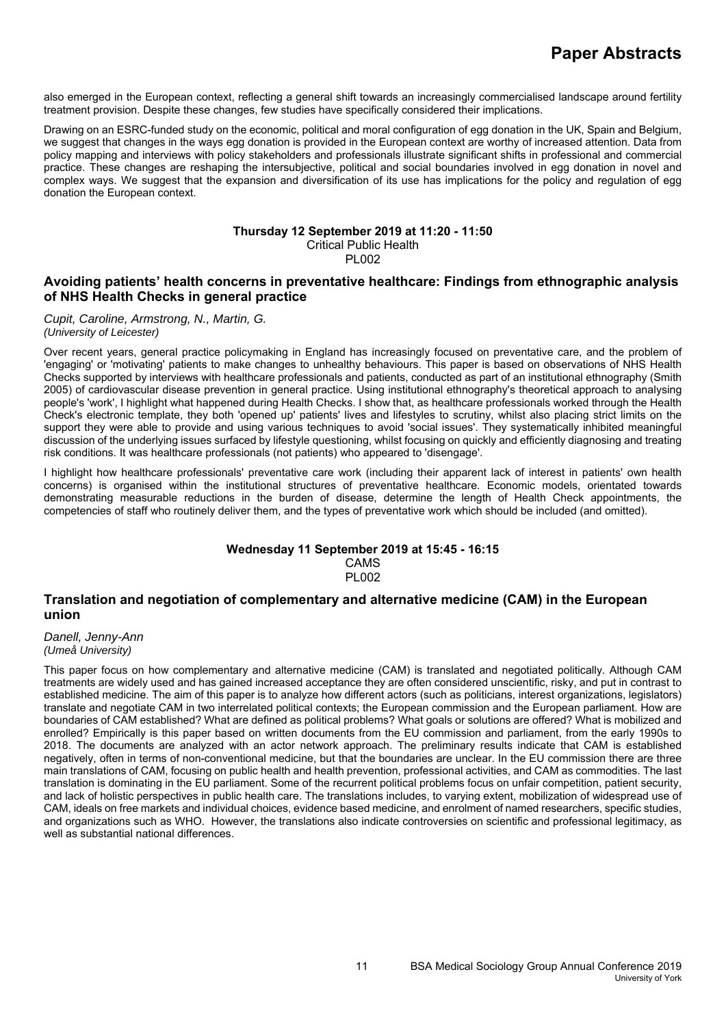also emerged in the European context, reflecting a general shift towards an increasingly commercialised landscape around fertility treatment provision. Despite these changes, few studies have specifically considered their implications.

Drawing on an ESRC-funded study on the economic, political and moral configuration of egg donation in the UK, Spain and Belgium, we suggest that changes in the ways egg donation is provided in the European context are worthy of increased attention. Data from policy mapping and interviews with policy stakeholders and professionals illustrate significant shifts in professional and commercial practice. These changes are reshaping the intersubjective, political and social boundaries involved in egg donation in novel and complex ways. We suggest that the expansion and diversification of its use has implications for the policy and regulation of egg donation the European context.

#### **Thursday 12 September 2019 at 11:20 - 11:50**  Critical Public Health PL002

## **Avoiding patients' health concerns in preventative healthcare: Findings from ethnographic analysis of NHS Health Checks in general practice**

*Cupit, Caroline, Armstrong, N., Martin, G. (University of Leicester)*

Over recent years, general practice policymaking in England has increasingly focused on preventative care, and the problem of 'engaging' or 'motivating' patients to make changes to unhealthy behaviours. This paper is based on observations of NHS Health Checks supported by interviews with healthcare professionals and patients, conducted as part of an institutional ethnography (Smith 2005) of cardiovascular disease prevention in general practice. Using institutional ethnography's theoretical approach to analysing people's 'work', I highlight what happened during Health Checks. I show that, as healthcare professionals worked through the Health Check's electronic template, they both 'opened up' patients' lives and lifestyles to scrutiny, whilst also placing strict limits on the support they were able to provide and using various techniques to avoid 'social issues'. They systematically inhibited meaningful discussion of the underlying issues surfaced by lifestyle questioning, whilst focusing on quickly and efficiently diagnosing and treating risk conditions. It was healthcare professionals (not patients) who appeared to 'disengage'.

I highlight how healthcare professionals' preventative care work (including their apparent lack of interest in patients' own health concerns) is organised within the institutional structures of preventative healthcare. Economic models, orientated towards demonstrating measurable reductions in the burden of disease, determine the length of Health Check appointments, the competencies of staff who routinely deliver them, and the types of preventative work which should be included (and omitted).

### **Wednesday 11 September 2019 at 15:45 - 16:15**  CAMS PL002

### **Translation and negotiation of complementary and alternative medicine (CAM) in the European union**

*Danell, Jenny-Ann (Umeå University)*

This paper focus on how complementary and alternative medicine (CAM) is translated and negotiated politically. Although CAM treatments are widely used and has gained increased acceptance they are often considered unscientific, risky, and put in contrast to established medicine. The aim of this paper is to analyze how different actors (such as politicians, interest organizations, legislators) translate and negotiate CAM in two interrelated political contexts; the European commission and the European parliament. How are boundaries of CAM established? What are defined as political problems? What goals or solutions are offered? What is mobilized and enrolled? Empirically is this paper based on written documents from the EU commission and parliament, from the early 1990s to 2018. The documents are analyzed with an actor network approach. The preliminary results indicate that CAM is established negatively, often in terms of non-conventional medicine, but that the boundaries are unclear. In the EU commission there are three main translations of CAM, focusing on public health and health prevention, professional activities, and CAM as commodities. The last translation is dominating in the EU parliament. Some of the recurrent political problems focus on unfair competition, patient security, and lack of holistic perspectives in public health care. The translations includes, to varying extent, mobilization of widespread use of CAM, ideals on free markets and individual choices, evidence based medicine, and enrolment of named researchers, specific studies, and organizations such as WHO. However, the translations also indicate controversies on scientific and professional legitimacy, as well as substantial national differences.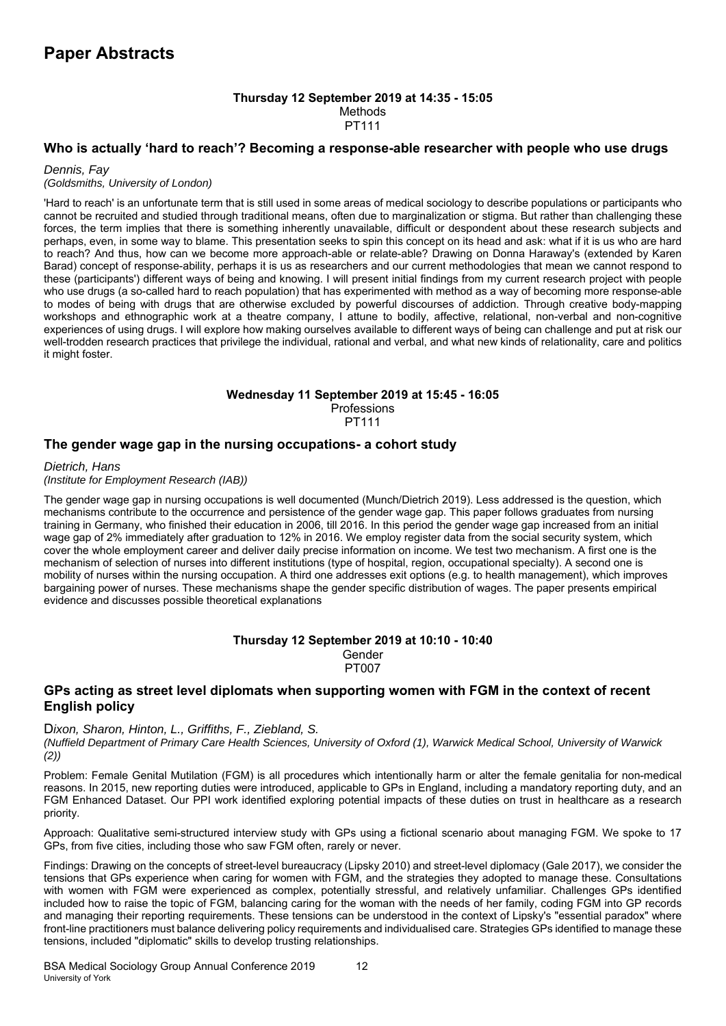### **Thursday 12 September 2019 at 14:35 - 15:05**  Methods PT111

## **Who is actually 'hard to reach'? Becoming a response-able researcher with people who use drugs**

### *Dennis, Fay (Goldsmiths, University of London)*

'Hard to reach' is an unfortunate term that is still used in some areas of medical sociology to describe populations or participants who cannot be recruited and studied through traditional means, often due to marginalization or stigma. But rather than challenging these forces, the term implies that there is something inherently unavailable, difficult or despondent about these research subjects and perhaps, even, in some way to blame. This presentation seeks to spin this concept on its head and ask: what if it is us who are hard to reach? And thus, how can we become more approach-able or relate-able? Drawing on Donna Haraway's (extended by Karen Barad) concept of response-ability, perhaps it is us as researchers and our current methodologies that mean we cannot respond to these (participants') different ways of being and knowing. I will present initial findings from my current research project with people who use drugs (a so-called hard to reach population) that has experimented with method as a way of becoming more response-able to modes of being with drugs that are otherwise excluded by powerful discourses of addiction. Through creative body-mapping workshops and ethnographic work at a theatre company, I attune to bodily, affective, relational, non-verbal and non-cognitive experiences of using drugs. I will explore how making ourselves available to different ways of being can challenge and put at risk our well-trodden research practices that privilege the individual, rational and verbal, and what new kinds of relationality, care and politics it might foster.

#### **Wednesday 11 September 2019 at 15:45 - 16:05 Professions** PT111

# **The gender wage gap in the nursing occupations- a cohort study**

*Dietrich, Hans* 

*(Institute for Employment Research (IAB))*

The gender wage gap in nursing occupations is well documented (Munch/Dietrich 2019). Less addressed is the question, which mechanisms contribute to the occurrence and persistence of the gender wage gap. This paper follows graduates from nursing training in Germany, who finished their education in 2006, till 2016. In this period the gender wage gap increased from an initial wage gap of 2% immediately after graduation to 12% in 2016. We employ register data from the social security system, which cover the whole employment career and deliver daily precise information on income. We test two mechanism. A first one is the mechanism of selection of nurses into different institutions (type of hospital, region, occupational specialty). A second one is mobility of nurses within the nursing occupation. A third one addresses exit options (e.g. to health management), which improves bargaining power of nurses. These mechanisms shape the gender specific distribution of wages. The paper presents empirical evidence and discusses possible theoretical explanations

#### **Thursday 12 September 2019 at 10:10 - 10:40**  Gender PT007

# **GPs acting as street level diplomats when supporting women with FGM in the context of recent English policy**

### D*ixon, Sharon, Hinton, L., Griffiths, F., Ziebland, S.*

*(Nuffield Department of Primary Care Health Sciences, University of Oxford (1), Warwick Medical School, University of Warwick (2))*

Problem: Female Genital Mutilation (FGM) is all procedures which intentionally harm or alter the female genitalia for non-medical reasons. In 2015, new reporting duties were introduced, applicable to GPs in England, including a mandatory reporting duty, and an FGM Enhanced Dataset. Our PPI work identified exploring potential impacts of these duties on trust in healthcare as a research priority.

Approach: Qualitative semi-structured interview study with GPs using a fictional scenario about managing FGM. We spoke to 17 GPs, from five cities, including those who saw FGM often, rarely or never.

Findings: Drawing on the concepts of street-level bureaucracy (Lipsky 2010) and street-level diplomacy (Gale 2017), we consider the tensions that GPs experience when caring for women with FGM, and the strategies they adopted to manage these. Consultations with women with FGM were experienced as complex, potentially stressful, and relatively unfamiliar. Challenges GPs identified included how to raise the topic of FGM, balancing caring for the woman with the needs of her family, coding FGM into GP records and managing their reporting requirements. These tensions can be understood in the context of Lipsky's "essential paradox" where front-line practitioners must balance delivering policy requirements and individualised care. Strategies GPs identified to manage these tensions, included "diplomatic" skills to develop trusting relationships.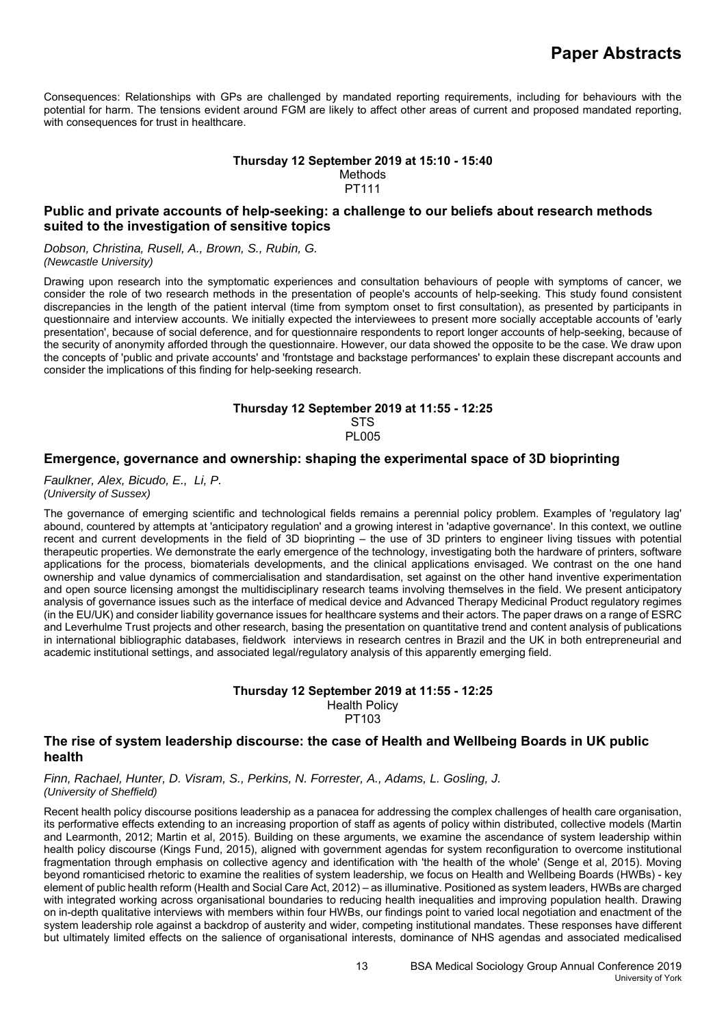Consequences: Relationships with GPs are challenged by mandated reporting requirements, including for behaviours with the potential for harm. The tensions evident around FGM are likely to affect other areas of current and proposed mandated reporting, with consequences for trust in healthcare.

### **Thursday 12 September 2019 at 15:10 - 15:40**  Methods PT111

# **Public and private accounts of help-seeking: a challenge to our beliefs about research methods suited to the investigation of sensitive topics**

*Dobson, Christina, Rusell, A., Brown, S., Rubin, G. (Newcastle University)*

Drawing upon research into the symptomatic experiences and consultation behaviours of people with symptoms of cancer, we consider the role of two research methods in the presentation of people's accounts of help-seeking. This study found consistent discrepancies in the length of the patient interval (time from symptom onset to first consultation), as presented by participants in questionnaire and interview accounts. We initially expected the interviewees to present more socially acceptable accounts of 'early presentation', because of social deference, and for questionnaire respondents to report longer accounts of help-seeking, because of the security of anonymity afforded through the questionnaire. However, our data showed the opposite to be the case. We draw upon the concepts of 'public and private accounts' and 'frontstage and backstage performances' to explain these discrepant accounts and consider the implications of this finding for help-seeking research.

#### **Thursday 12 September 2019 at 11:55 - 12:25 STS** PL005

### **Emergence, governance and ownership: shaping the experimental space of 3D bioprinting**

*Faulkner, Alex, Bicudo, E., Li, P. (University of Sussex)*

The governance of emerging scientific and technological fields remains a perennial policy problem. Examples of 'regulatory lag' abound, countered by attempts at 'anticipatory regulation' and a growing interest in 'adaptive governance'. In this context, we outline recent and current developments in the field of 3D bioprinting – the use of 3D printers to engineer living tissues with potential therapeutic properties. We demonstrate the early emergence of the technology, investigating both the hardware of printers, software applications for the process, biomaterials developments, and the clinical applications envisaged. We contrast on the one hand ownership and value dynamics of commercialisation and standardisation, set against on the other hand inventive experimentation and open source licensing amongst the multidisciplinary research teams involving themselves in the field. We present anticipatory analysis of governance issues such as the interface of medical device and Advanced Therapy Medicinal Product regulatory regimes (in the EU/UK) and consider liability governance issues for healthcare systems and their actors. The paper draws on a range of ESRC and Leverhulme Trust projects and other research, basing the presentation on quantitative trend and content analysis of publications in international bibliographic databases, fieldwork interviews in research centres in Brazil and the UK in both entrepreneurial and academic institutional settings, and associated legal/regulatory analysis of this apparently emerging field.

### **Thursday 12 September 2019 at 11:55 - 12:25**  Health Policy PT103

### **The rise of system leadership discourse: the case of Health and Wellbeing Boards in UK public health**

*Finn, Rachael, Hunter, D. Visram, S., Perkins, N. Forrester, A., Adams, L. Gosling, J. (University of Sheffield)*

Recent health policy discourse positions leadership as a panacea for addressing the complex challenges of health care organisation, its performative effects extending to an increasing proportion of staff as agents of policy within distributed, collective models (Martin and Learmonth, 2012; Martin et al, 2015). Building on these arguments, we examine the ascendance of system leadership within health policy discourse (Kings Fund, 2015), aligned with government agendas for system reconfiguration to overcome institutional fragmentation through emphasis on collective agency and identification with 'the health of the whole' (Senge et al, 2015). Moving beyond romanticised rhetoric to examine the realities of system leadership, we focus on Health and Wellbeing Boards (HWBs) - key element of public health reform (Health and Social Care Act, 2012) – as illuminative. Positioned as system leaders, HWBs are charged with integrated working across organisational boundaries to reducing health inequalities and improving population health. Drawing on in-depth qualitative interviews with members within four HWBs, our findings point to varied local negotiation and enactment of the system leadership role against a backdrop of austerity and wider, competing institutional mandates. These responses have different but ultimately limited effects on the salience of organisational interests, dominance of NHS agendas and associated medicalised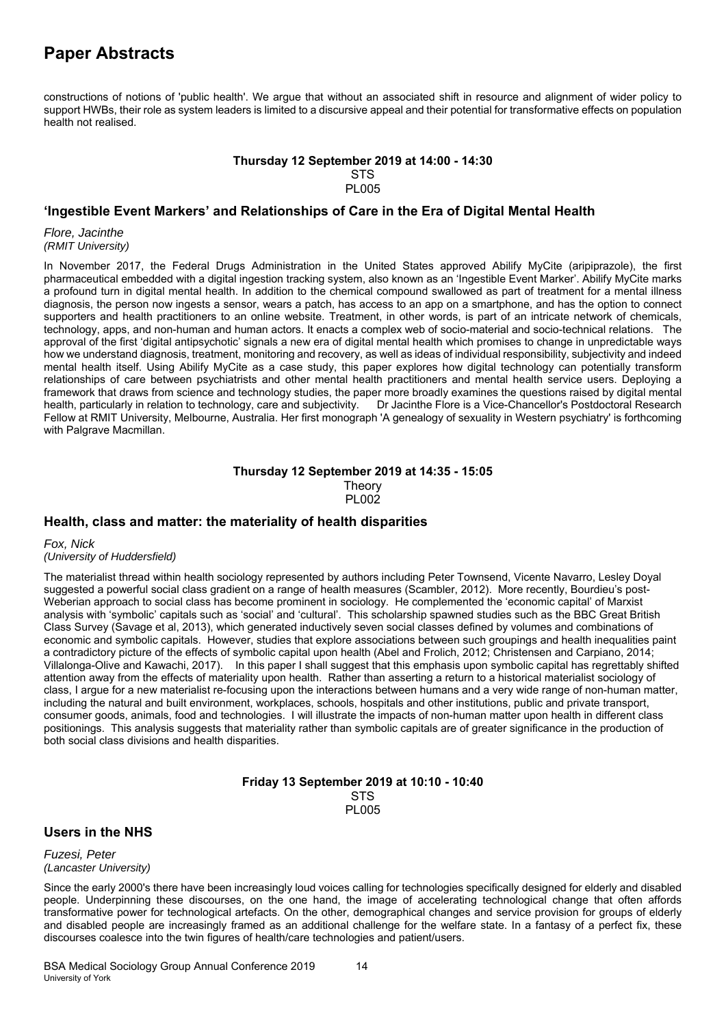constructions of notions of 'public health'. We argue that without an associated shift in resource and alignment of wider policy to support HWBs, their role as system leaders is limited to a discursive appeal and their potential for transformative effects on population health not realised.

#### **Thursday 12 September 2019 at 14:00 - 14:30 STS** PL005

### **'Ingestible Event Markers' and Relationships of Care in the Era of Digital Mental Health**

*Flore, Jacinthe (RMIT University)*

In November 2017, the Federal Drugs Administration in the United States approved Abilify MyCite (aripiprazole), the first pharmaceutical embedded with a digital ingestion tracking system, also known as an 'Ingestible Event Marker'. Abilify MyCite marks a profound turn in digital mental health. In addition to the chemical compound swallowed as part of treatment for a mental illness diagnosis, the person now ingests a sensor, wears a patch, has access to an app on a smartphone, and has the option to connect supporters and health practitioners to an online website. Treatment, in other words, is part of an intricate network of chemicals, technology, apps, and non-human and human actors. It enacts a complex web of socio-material and socio-technical relations. The approval of the first 'digital antipsychotic' signals a new era of digital mental health which promises to change in unpredictable ways how we understand diagnosis, treatment, monitoring and recovery, as well as ideas of individual responsibility, subjectivity and indeed mental health itself. Using Abilify MyCite as a case study, this paper explores how digital technology can potentially transform relationships of care between psychiatrists and other mental health practitioners and mental health service users. Deploying a framework that draws from science and technology studies, the paper more broadly examines the questions raised by digital mental health, particularly in relation to technology, care and subjectivity. Dr Jacinthe Flore is a Vice-Chancellor's Postdoctoral Research Fellow at RMIT University, Melbourne, Australia. Her first monograph 'A genealogy of sexuality in Western psychiatry' is forthcoming with Palgrave Macmillan.

### **Thursday 12 September 2019 at 14:35 - 15:05 Theory** PL002

# **Health, class and matter: the materiality of health disparities**

*Fox, Nick (University of Huddersfield)*

The materialist thread within health sociology represented by authors including Peter Townsend, Vicente Navarro, Lesley Doyal suggested a powerful social class gradient on a range of health measures (Scambler, 2012). More recently, Bourdieu's post-Weberian approach to social class has become prominent in sociology. He complemented the 'economic capital' of Marxist analysis with 'symbolic' capitals such as 'social' and 'cultural'. This scholarship spawned studies such as the BBC Great British Class Survey (Savage et al, 2013), which generated inductively seven social classes defined by volumes and combinations of economic and symbolic capitals. However, studies that explore associations between such groupings and health inequalities paint a contradictory picture of the effects of symbolic capital upon health (Abel and Frolich, 2012; Christensen and Carpiano, 2014; Villalonga-Olive and Kawachi, 2017). In this paper I shall suggest that this emphasis upon symbolic capital has regrettably shifted attention away from the effects of materiality upon health. Rather than asserting a return to a historical materialist sociology of class, I argue for a new materialist re-focusing upon the interactions between humans and a very wide range of non-human matter, including the natural and built environment, workplaces, schools, hospitals and other institutions, public and private transport, consumer goods, animals, food and technologies. I will illustrate the impacts of non-human matter upon health in different class positionings. This analysis suggests that materiality rather than symbolic capitals are of greater significance in the production of both social class divisions and health disparities.

### **Friday 13 September 2019 at 10:10 - 10:40 STS** PL005

# **Users in the NHS**

*Fuzesi, Peter (Lancaster University)*

Since the early 2000's there have been increasingly loud voices calling for technologies specifically designed for elderly and disabled people. Underpinning these discourses, on the one hand, the image of accelerating technological change that often affords transformative power for technological artefacts. On the other, demographical changes and service provision for groups of elderly and disabled people are increasingly framed as an additional challenge for the welfare state. In a fantasy of a perfect fix, these discourses coalesce into the twin figures of health/care technologies and patient/users.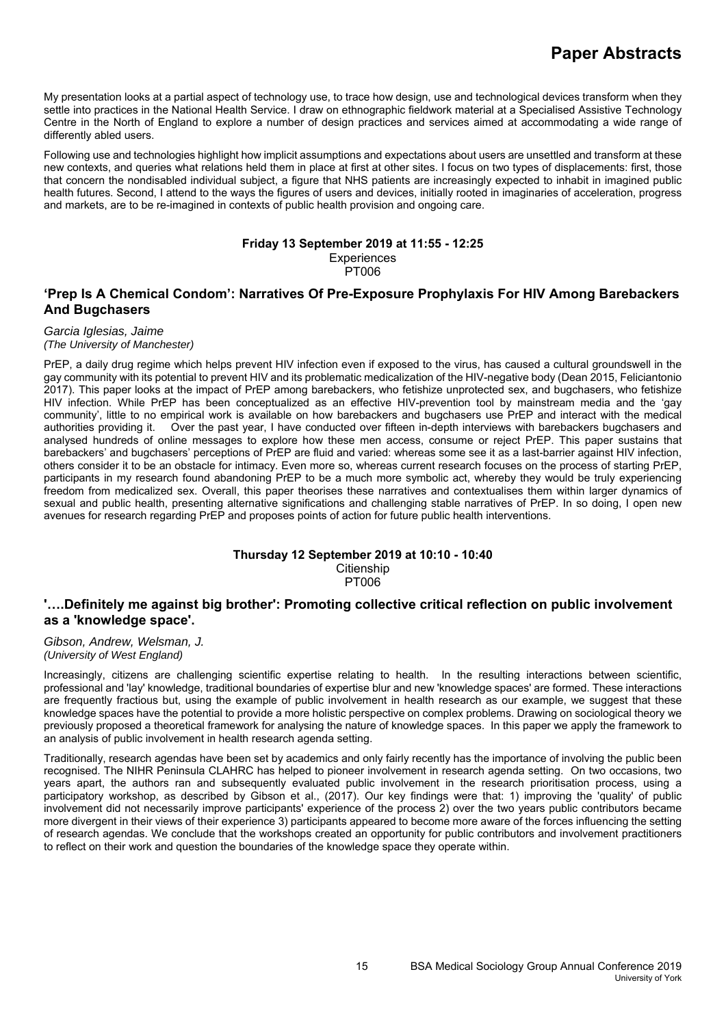My presentation looks at a partial aspect of technology use, to trace how design, use and technological devices transform when they settle into practices in the National Health Service. I draw on ethnographic fieldwork material at a Specialised Assistive Technology Centre in the North of England to explore a number of design practices and services aimed at accommodating a wide range of differently abled users.

Following use and technologies highlight how implicit assumptions and expectations about users are unsettled and transform at these new contexts, and queries what relations held them in place at first at other sites. I focus on two types of displacements: first, those that concern the nondisabled individual subject, a figure that NHS patients are increasingly expected to inhabit in imagined public health futures. Second, I attend to the ways the figures of users and devices, initially rooted in imaginaries of acceleration, progress and markets, are to be re-imagined in contexts of public health provision and ongoing care.

#### **Friday 13 September 2019 at 11:55 - 12:25 Experiences**

PT006

# **'Prep Is A Chemical Condom': Narratives Of Pre-Exposure Prophylaxis For HIV Among Barebackers And Bugchasers**

### *Garcia Iglesias, Jaime*

### *(The University of Manchester)*

PrEP, a daily drug regime which helps prevent HIV infection even if exposed to the virus, has caused a cultural groundswell in the gay community with its potential to prevent HIV and its problematic medicalization of the HIV-negative body (Dean 2015, Feliciantonio 2017). This paper looks at the impact of PrEP among barebackers, who fetishize unprotected sex, and bugchasers, who fetishize HIV infection. While PrEP has been conceptualized as an effective HIV-prevention tool by mainstream media and the 'gay community', little to no empirical work is available on how barebackers and bugchasers use PrEP and interact with the medical authorities providing it. Over the past year, I have conducted over fifteen in-depth interviews with barebackers bugchasers and analysed hundreds of online messages to explore how these men access, consume or reject PrEP. This paper sustains that barebackers' and bugchasers' perceptions of PrEP are fluid and varied: whereas some see it as a last-barrier against HIV infection, others consider it to be an obstacle for intimacy. Even more so, whereas current research focuses on the process of starting PrEP, participants in my research found abandoning PrEP to be a much more symbolic act, whereby they would be truly experiencing freedom from medicalized sex. Overall, this paper theorises these narratives and contextualises them within larger dynamics of sexual and public health, presenting alternative significations and challenging stable narratives of PrEP. In so doing, I open new avenues for research regarding PrEP and proposes points of action for future public health interventions.

### **Thursday 12 September 2019 at 10:10 - 10:40 Citienship** PT006

# **'….Definitely me against big brother': Promoting collective critical reflection on public involvement as a 'knowledge space'.**

### *Gibson, Andrew, Welsman, J. (University of West England)*

Increasingly, citizens are challenging scientific expertise relating to health. In the resulting interactions between scientific, professional and 'lay' knowledge, traditional boundaries of expertise blur and new 'knowledge spaces' are formed. These interactions are frequently fractious but, using the example of public involvement in health research as our example, we suggest that these knowledge spaces have the potential to provide a more holistic perspective on complex problems. Drawing on sociological theory we previously proposed a theoretical framework for analysing the nature of knowledge spaces. In this paper we apply the framework to an analysis of public involvement in health research agenda setting.

Traditionally, research agendas have been set by academics and only fairly recently has the importance of involving the public been recognised. The NIHR Peninsula CLAHRC has helped to pioneer involvement in research agenda setting. On two occasions, two years apart, the authors ran and subsequently evaluated public involvement in the research prioritisation process, using a participatory workshop, as described by Gibson et al., (2017). Our key findings were that: 1) improving the 'quality' of public involvement did not necessarily improve participants' experience of the process 2) over the two years public contributors became more divergent in their views of their experience 3) participants appeared to become more aware of the forces influencing the setting of research agendas. We conclude that the workshops created an opportunity for public contributors and involvement practitioners to reflect on their work and question the boundaries of the knowledge space they operate within.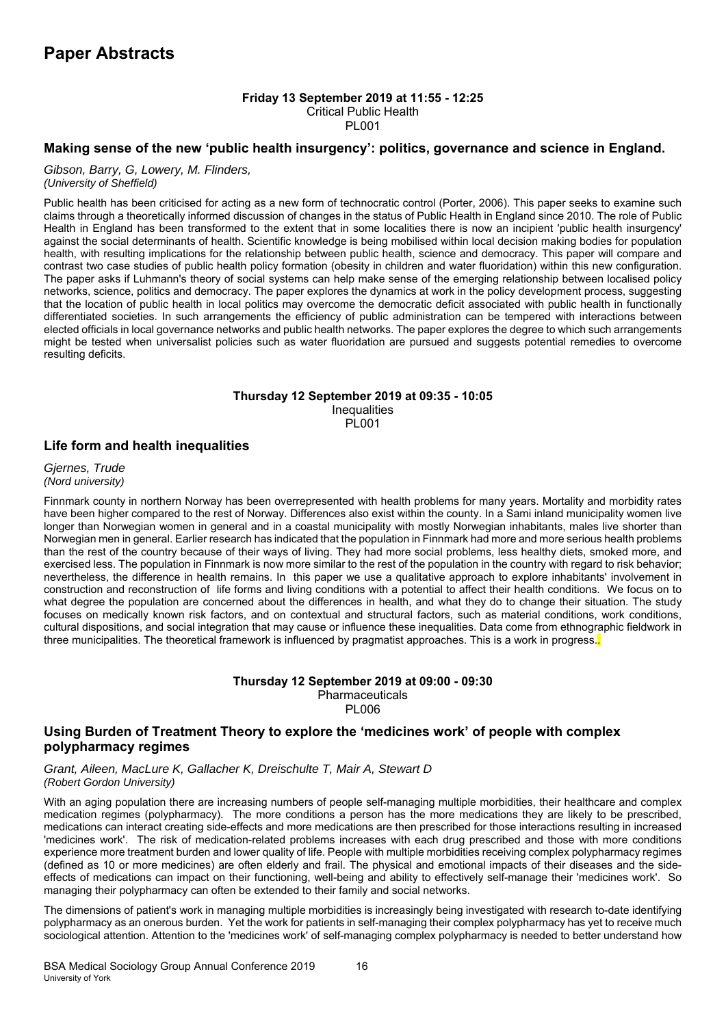# **Friday 13 September 2019 at 11:55 - 12:25**

Critical Public Health

PL001

### **Making sense of the new 'public health insurgency': politics, governance and science in England.**

#### *Gibson, Barry, G, Lowery, M. Flinders, (University of Sheffield)*

Public health has been criticised for acting as a new form of technocratic control (Porter, 2006). This paper seeks to examine such claims through a theoretically informed discussion of changes in the status of Public Health in England since 2010. The role of Public Health in England has been transformed to the extent that in some localities there is now an incipient 'public health insurgency' against the social determinants of health. Scientific knowledge is being mobilised within local decision making bodies for population health, with resulting implications for the relationship between public health, science and democracy. This paper will compare and contrast two case studies of public health policy formation (obesity in children and water fluoridation) within this new configuration. The paper asks if Luhmann's theory of social systems can help make sense of the emerging relationship between localised policy networks, science, politics and democracy. The paper explores the dynamics at work in the policy development process, suggesting that the location of public health in local politics may overcome the democratic deficit associated with public health in functionally differentiated societies. In such arrangements the efficiency of public administration can be tempered with interactions between elected officials in local governance networks and public health networks. The paper explores the degree to which such arrangements might be tested when universalist policies such as water fluoridation are pursued and suggests potential remedies to overcome resulting deficits.

### **Thursday 12 September 2019 at 09:35 - 10:05 Inequalities** PL001

### **Life form and health inequalities**

*Gjernes, Trude (Nord university)*

Finnmark county in northern Norway has been overrepresented with health problems for many years. Mortality and morbidity rates have been higher compared to the rest of Norway. Differences also exist within the county. In a Sami inland municipality women live longer than Norwegian women in general and in a coastal municipality with mostly Norwegian inhabitants, males live shorter than Norwegian men in general. Earlier research has indicated that the population in Finnmark had more and more serious health problems than the rest of the country because of their ways of living. They had more social problems, less healthy diets, smoked more, and exercised less. The population in Finnmark is now more similar to the rest of the population in the country with regard to risk behavior; nevertheless, the difference in health remains. In this paper we use a qualitative approach to explore inhabitants' involvement in construction and reconstruction of life forms and living conditions with a potential to affect their health conditions. We focus on to what degree the population are concerned about the differences in health, and what they do to change their situation. The study focuses on medically known risk factors, and on contextual and structural factors, such as material conditions, work conditions, cultural dispositions, and social integration that may cause or influence these inequalities. Data come from ethnographic fieldwork in three municipalities. The theoretical framework is influenced by pragmatist approaches. This is a work in progress.

### **Thursday 12 September 2019 at 09:00 - 09:30**  Pharmaceuticals PL006

# **Using Burden of Treatment Theory to explore the 'medicines work' of people with complex polypharmacy regimes**

*Grant, Aileen, MacLure K, Gallacher K, Dreischulte T, Mair A, Stewart D (Robert Gordon University)*

With an aging population there are increasing numbers of people self-managing multiple morbidities, their healthcare and complex medication regimes (polypharmacy). The more conditions a person has the more medications they are likely to be prescribed, medications can interact creating side-effects and more medications are then prescribed for those interactions resulting in increased 'medicines work'. The risk of medication-related problems increases with each drug prescribed and those with more conditions experience more treatment burden and lower quality of life. People with multiple morbidities receiving complex polypharmacy regimes (defined as 10 or more medicines) are often elderly and frail. The physical and emotional impacts of their diseases and the sideeffects of medications can impact on their functioning, well-being and ability to effectively self-manage their 'medicines work'. So managing their polypharmacy can often be extended to their family and social networks.

The dimensions of patient's work in managing multiple morbidities is increasingly being investigated with research to-date identifying polypharmacy as an onerous burden. Yet the work for patients in self-managing their complex polypharmacy has yet to receive much sociological attention. Attention to the 'medicines work' of self-managing complex polypharmacy is needed to better understand how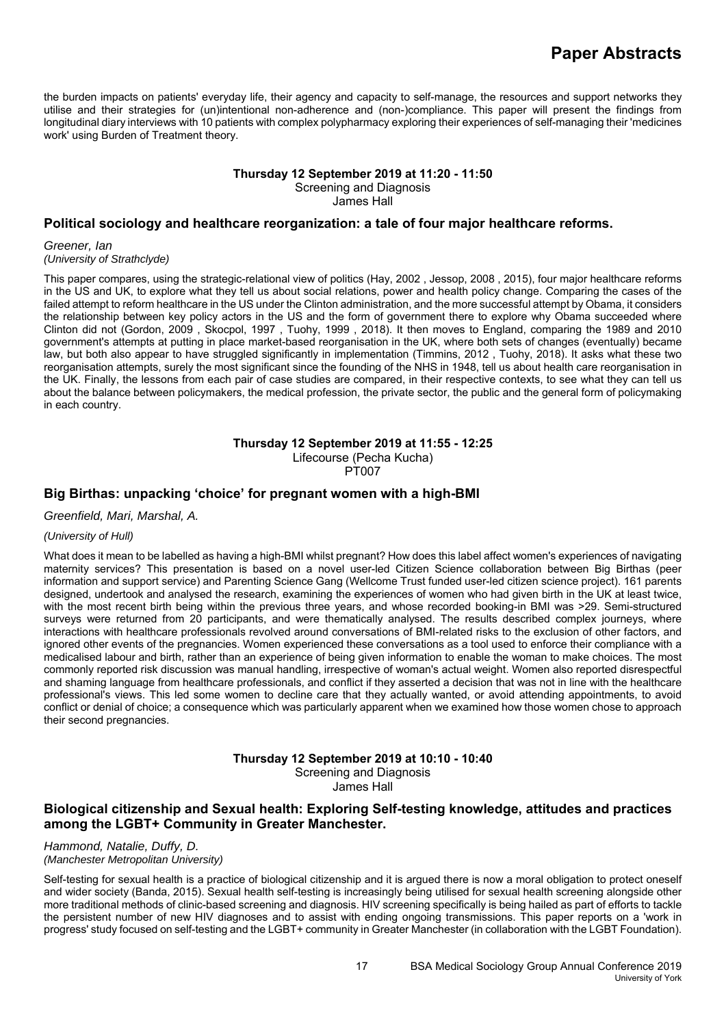the burden impacts on patients' everyday life, their agency and capacity to self-manage, the resources and support networks they utilise and their strategies for (un)intentional non-adherence and (non-)compliance. This paper will present the findings from longitudinal diary interviews with 10 patients with complex polypharmacy exploring their experiences of self-managing their 'medicines work' using Burden of Treatment theory.

### **Thursday 12 September 2019 at 11:20 - 11:50**  Screening and Diagnosis James Hall

## **Political sociology and healthcare reorganization: a tale of four major healthcare reforms.**

*Greener, Ian (University of Strathclyde)*

This paper compares, using the strategic-relational view of politics (Hay, 2002 , Jessop, 2008 , 2015), four major healthcare reforms in the US and UK, to explore what they tell us about social relations, power and health policy change. Comparing the cases of the failed attempt to reform healthcare in the US under the Clinton administration, and the more successful attempt by Obama, it considers the relationship between key policy actors in the US and the form of government there to explore why Obama succeeded where Clinton did not (Gordon, 2009 , Skocpol, 1997 , Tuohy, 1999 , 2018). It then moves to England, comparing the 1989 and 2010 government's attempts at putting in place market-based reorganisation in the UK, where both sets of changes (eventually) became law, but both also appear to have struggled significantly in implementation (Timmins, 2012 , Tuohy, 2018). It asks what these two reorganisation attempts, surely the most significant since the founding of the NHS in 1948, tell us about health care reorganisation in the UK. Finally, the lessons from each pair of case studies are compared, in their respective contexts, to see what they can tell us about the balance between policymakers, the medical profession, the private sector, the public and the general form of policymaking in each country.

**Thursday 12 September 2019 at 11:55 - 12:25** 

Lifecourse (Pecha Kucha)

PT007

### **Big Birthas: unpacking 'choice' for pregnant women with a high-BMI**

*Greenfield, Mari, Marshal, A.* 

### *(University of Hull)*

What does it mean to be labelled as having a high-BMI whilst pregnant? How does this label affect women's experiences of navigating maternity services? This presentation is based on a novel user-led Citizen Science collaboration between Big Birthas (peer information and support service) and Parenting Science Gang (Wellcome Trust funded user-led citizen science project). 161 parents designed, undertook and analysed the research, examining the experiences of women who had given birth in the UK at least twice, with the most recent birth being within the previous three years, and whose recorded booking-in BMI was >29. Semi-structured surveys were returned from 20 participants, and were thematically analysed. The results described complex journeys, where interactions with healthcare professionals revolved around conversations of BMI-related risks to the exclusion of other factors, and ignored other events of the pregnancies. Women experienced these conversations as a tool used to enforce their compliance with a medicalised labour and birth, rather than an experience of being given information to enable the woman to make choices. The most commonly reported risk discussion was manual handling, irrespective of woman's actual weight. Women also reported disrespectful and shaming language from healthcare professionals, and conflict if they asserted a decision that was not in line with the healthcare professional's views. This led some women to decline care that they actually wanted, or avoid attending appointments, to avoid conflict or denial of choice; a consequence which was particularly apparent when we examined how those women chose to approach their second pregnancies.

# **Thursday 12 September 2019 at 10:10 - 10:40**

Screening and Diagnosis

James Hall

# **Biological citizenship and Sexual health: Exploring Self-testing knowledge, attitudes and practices among the LGBT+ Community in Greater Manchester.**

#### *Hammond, Natalie, Duffy, D. (Manchester Metropolitan University)*

Self-testing for sexual health is a practice of biological citizenship and it is argued there is now a moral obligation to protect oneself and wider society (Banda, 2015). Sexual health self-testing is increasingly being utilised for sexual health screening alongside other more traditional methods of clinic-based screening and diagnosis. HIV screening specifically is being hailed as part of efforts to tackle the persistent number of new HIV diagnoses and to assist with ending ongoing transmissions. This paper reports on a 'work in progress' study focused on self-testing and the LGBT+ community in Greater Manchester (in collaboration with the LGBT Foundation).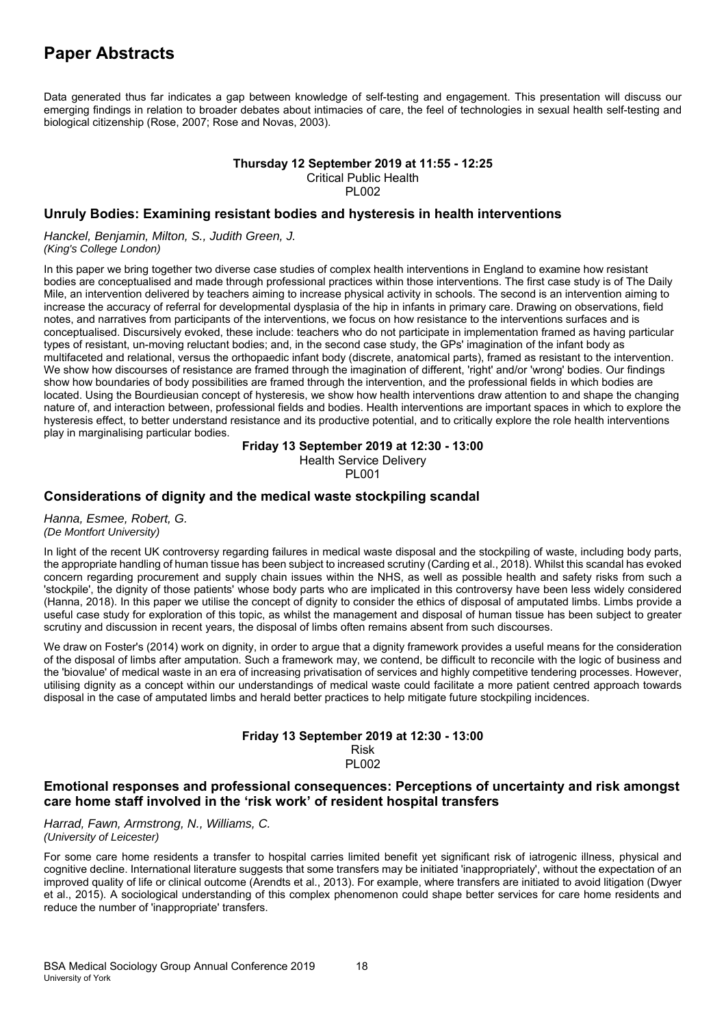Data generated thus far indicates a gap between knowledge of self-testing and engagement. This presentation will discuss our emerging findings in relation to broader debates about intimacies of care, the feel of technologies in sexual health self-testing and biological citizenship (Rose, 2007; Rose and Novas, 2003).

# **Thursday 12 September 2019 at 11:55 - 12:25**  Critical Public Health

**PL002** 

## **Unruly Bodies: Examining resistant bodies and hysteresis in health interventions**

*Hanckel, Benjamin, Milton, S., Judith Green, J. (King's College London)*

In this paper we bring together two diverse case studies of complex health interventions in England to examine how resistant bodies are conceptualised and made through professional practices within those interventions. The first case study is of The Daily Mile, an intervention delivered by teachers aiming to increase physical activity in schools. The second is an intervention aiming to increase the accuracy of referral for developmental dysplasia of the hip in infants in primary care. Drawing on observations, field notes, and narratives from participants of the interventions, we focus on how resistance to the interventions surfaces and is conceptualised. Discursively evoked, these include: teachers who do not participate in implementation framed as having particular types of resistant, un-moving reluctant bodies; and, in the second case study, the GPs' imagination of the infant body as multifaceted and relational, versus the orthopaedic infant body (discrete, anatomical parts), framed as resistant to the intervention. We show how discourses of resistance are framed through the imagination of different, 'right' and/or 'wrong' bodies. Our findings show how boundaries of body possibilities are framed through the intervention, and the professional fields in which bodies are located. Using the Bourdieusian concept of hysteresis, we show how health interventions draw attention to and shape the changing nature of, and interaction between, professional fields and bodies. Health interventions are important spaces in which to explore the hysteresis effect, to better understand resistance and its productive potential, and to critically explore the role health interventions play in marginalising particular bodies.

### **Friday 13 September 2019 at 12:30 - 13:00**

Health Service Delivery

PL001

### **Considerations of dignity and the medical waste stockpiling scandal**

*Hanna, Esmee, Robert, G. (De Montfort University)*

In light of the recent UK controversy regarding failures in medical waste disposal and the stockpiling of waste, including body parts, the appropriate handling of human tissue has been subject to increased scrutiny (Carding et al., 2018). Whilst this scandal has evoked concern regarding procurement and supply chain issues within the NHS, as well as possible health and safety risks from such a 'stockpile', the dignity of those patients' whose body parts who are implicated in this controversy have been less widely considered (Hanna, 2018). In this paper we utilise the concept of dignity to consider the ethics of disposal of amputated limbs. Limbs provide a useful case study for exploration of this topic, as whilst the management and disposal of human tissue has been subject to greater scrutiny and discussion in recent years, the disposal of limbs often remains absent from such discourses.

We draw on Foster's (2014) work on dignity, in order to argue that a dignity framework provides a useful means for the consideration of the disposal of limbs after amputation. Such a framework may, we contend, be difficult to reconcile with the logic of business and the 'biovalue' of medical waste in an era of increasing privatisation of services and highly competitive tendering processes. However, utilising dignity as a concept within our understandings of medical waste could facilitate a more patient centred approach towards disposal in the case of amputated limbs and herald better practices to help mitigate future stockpiling incidences.

#### **Friday 13 September 2019 at 12:30 - 13:00**  Risk PL002

# **Emotional responses and professional consequences: Perceptions of uncertainty and risk amongst care home staff involved in the 'risk work' of resident hospital transfers**

*Harrad, Fawn, Armstrong, N., Williams, C. (University of Leicester)*

For some care home residents a transfer to hospital carries limited benefit yet significant risk of iatrogenic illness, physical and cognitive decline. International literature suggests that some transfers may be initiated 'inappropriately', without the expectation of an improved quality of life or clinical outcome (Arendts et al., 2013). For example, where transfers are initiated to avoid litigation (Dwyer et al., 2015). A sociological understanding of this complex phenomenon could shape better services for care home residents and reduce the number of 'inappropriate' transfers.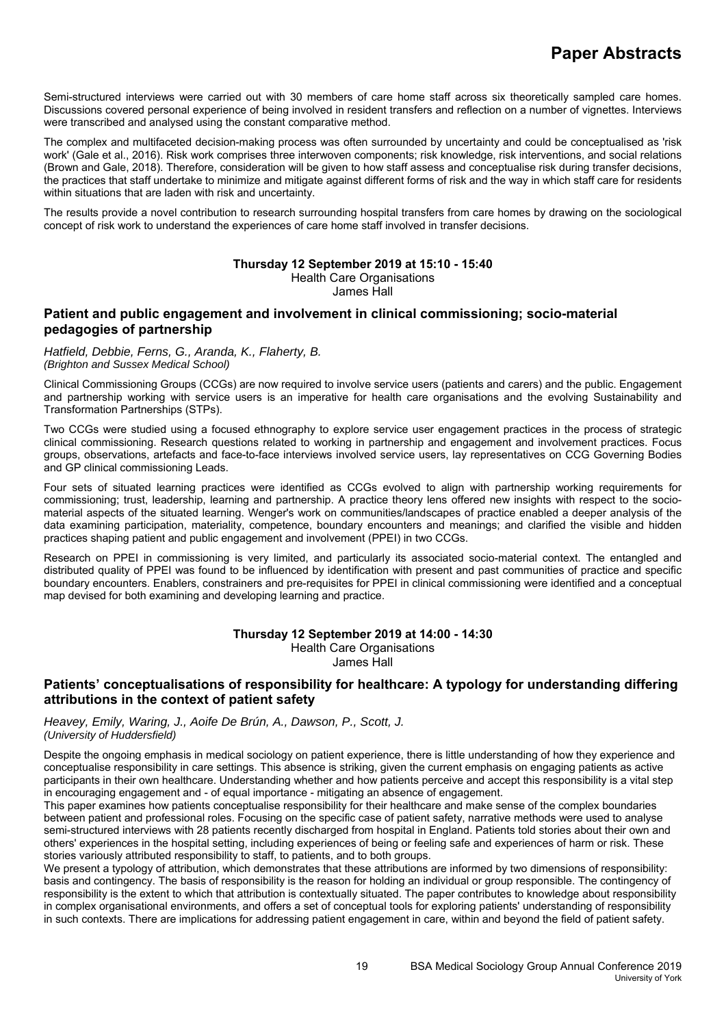Semi-structured interviews were carried out with 30 members of care home staff across six theoretically sampled care homes. Discussions covered personal experience of being involved in resident transfers and reflection on a number of vignettes. Interviews were transcribed and analysed using the constant comparative method.

The complex and multifaceted decision-making process was often surrounded by uncertainty and could be conceptualised as 'risk work' (Gale et al., 2016). Risk work comprises three interwoven components; risk knowledge, risk interventions, and social relations (Brown and Gale, 2018). Therefore, consideration will be given to how staff assess and conceptualise risk during transfer decisions, the practices that staff undertake to minimize and mitigate against different forms of risk and the way in which staff care for residents within situations that are laden with risk and uncertainty.

The results provide a novel contribution to research surrounding hospital transfers from care homes by drawing on the sociological concept of risk work to understand the experiences of care home staff involved in transfer decisions.

### **Thursday 12 September 2019 at 15:10 - 15:40**

Health Care Organisations

James Hall

# **Patient and public engagement and involvement in clinical commissioning; socio-material pedagogies of partnership**

*Hatfield, Debbie, Ferns, G., Aranda, K., Flaherty, B. (Brighton and Sussex Medical School)*

Clinical Commissioning Groups (CCGs) are now required to involve service users (patients and carers) and the public. Engagement and partnership working with service users is an imperative for health care organisations and the evolving Sustainability and Transformation Partnerships (STPs).

Two CCGs were studied using a focused ethnography to explore service user engagement practices in the process of strategic clinical commissioning. Research questions related to working in partnership and engagement and involvement practices. Focus groups, observations, artefacts and face-to-face interviews involved service users, lay representatives on CCG Governing Bodies and GP clinical commissioning Leads.

Four sets of situated learning practices were identified as CCGs evolved to align with partnership working requirements for commissioning; trust, leadership, learning and partnership. A practice theory lens offered new insights with respect to the sociomaterial aspects of the situated learning. Wenger's work on communities/landscapes of practice enabled a deeper analysis of the data examining participation, materiality, competence, boundary encounters and meanings; and clarified the visible and hidden practices shaping patient and public engagement and involvement (PPEI) in two CCGs.

Research on PPEI in commissioning is very limited, and particularly its associated socio-material context. The entangled and distributed quality of PPEI was found to be influenced by identification with present and past communities of practice and specific boundary encounters. Enablers, constrainers and pre-requisites for PPEI in clinical commissioning were identified and a conceptual map devised for both examining and developing learning and practice.

### **Thursday 12 September 2019 at 14:00 - 14:30**

Health Care Organisations

James Hall

# **Patients' conceptualisations of responsibility for healthcare: A typology for understanding differing attributions in the context of patient safety**

*Heavey, Emily, Waring, J., Aoife De Brún, A., Dawson, P., Scott, J. (University of Huddersfield)*

Despite the ongoing emphasis in medical sociology on patient experience, there is little understanding of how they experience and conceptualise responsibility in care settings. This absence is striking, given the current emphasis on engaging patients as active participants in their own healthcare. Understanding whether and how patients perceive and accept this responsibility is a vital step in encouraging engagement and - of equal importance - mitigating an absence of engagement.

This paper examines how patients conceptualise responsibility for their healthcare and make sense of the complex boundaries between patient and professional roles. Focusing on the specific case of patient safety, narrative methods were used to analyse semi-structured interviews with 28 patients recently discharged from hospital in England. Patients told stories about their own and others' experiences in the hospital setting, including experiences of being or feeling safe and experiences of harm or risk. These stories variously attributed responsibility to staff, to patients, and to both groups.

We present a typology of attribution, which demonstrates that these attributions are informed by two dimensions of responsibility: basis and contingency. The basis of responsibility is the reason for holding an individual or group responsible. The contingency of responsibility is the extent to which that attribution is contextually situated. The paper contributes to knowledge about responsibility in complex organisational environments, and offers a set of conceptual tools for exploring patients' understanding of responsibility in such contexts. There are implications for addressing patient engagement in care, within and beyond the field of patient safety.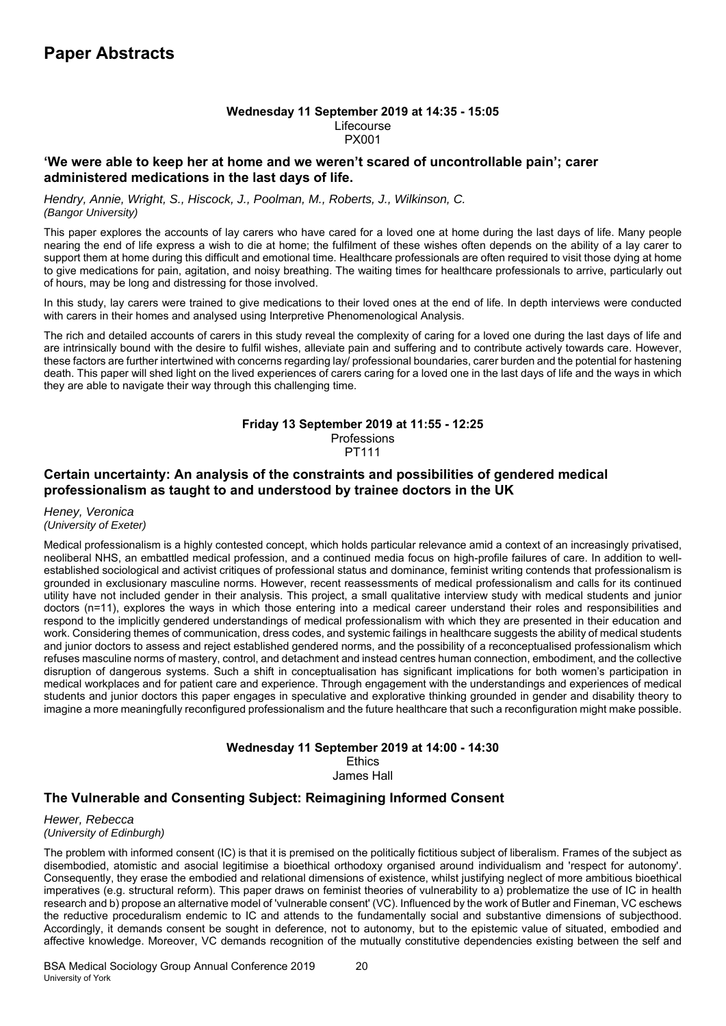### **Wednesday 11 September 2019 at 14:35 - 15:05**  Lifecourse PX001

### **'We were able to keep her at home and we weren't scared of uncontrollable pain'; carer administered medications in the last days of life.**

*Hendry, Annie, Wright, S., Hiscock, J., Poolman, M., Roberts, J., Wilkinson, C. (Bangor University)*

This paper explores the accounts of lay carers who have cared for a loved one at home during the last days of life. Many people nearing the end of life express a wish to die at home; the fulfilment of these wishes often depends on the ability of a lay carer to support them at home during this difficult and emotional time. Healthcare professionals are often required to visit those dying at home to give medications for pain, agitation, and noisy breathing. The waiting times for healthcare professionals to arrive, particularly out of hours, may be long and distressing for those involved.

In this study, lay carers were trained to give medications to their loved ones at the end of life. In depth interviews were conducted with carers in their homes and analysed using Interpretive Phenomenological Analysis.

The rich and detailed accounts of carers in this study reveal the complexity of caring for a loved one during the last days of life and are intrinsically bound with the desire to fulfil wishes, alleviate pain and suffering and to contribute actively towards care. However, these factors are further intertwined with concerns regarding lay/ professional boundaries, carer burden and the potential for hastening death. This paper will shed light on the lived experiences of carers caring for a loved one in the last days of life and the ways in which they are able to navigate their way through this challenging time.

# **Friday 13 September 2019 at 11:55 - 12:25**

Professions PT111

# **Certain uncertainty: An analysis of the constraints and possibilities of gendered medical professionalism as taught to and understood by trainee doctors in the UK**

*Heney, Veronica (University of Exeter)*

Medical professionalism is a highly contested concept, which holds particular relevance amid a context of an increasingly privatised, neoliberal NHS, an embattled medical profession, and a continued media focus on high-profile failures of care. In addition to wellestablished sociological and activist critiques of professional status and dominance, feminist writing contends that professionalism is grounded in exclusionary masculine norms. However, recent reassessments of medical professionalism and calls for its continued utility have not included gender in their analysis. This project, a small qualitative interview study with medical students and junior doctors (n=11), explores the ways in which those entering into a medical career understand their roles and responsibilities and respond to the implicitly gendered understandings of medical professionalism with which they are presented in their education and work. Considering themes of communication, dress codes, and systemic failings in healthcare suggests the ability of medical students and junior doctors to assess and reject established gendered norms, and the possibility of a reconceptualised professionalism which refuses masculine norms of mastery, control, and detachment and instead centres human connection, embodiment, and the collective disruption of dangerous systems. Such a shift in conceptualisation has significant implications for both women's participation in medical workplaces and for patient care and experience. Through engagement with the understandings and experiences of medical students and junior doctors this paper engages in speculative and explorative thinking grounded in gender and disability theory to imagine a more meaningfully reconfigured professionalism and the future healthcare that such a reconfiguration might make possible.

#### **Wednesday 11 September 2019 at 14:00 - 14:30**  Ethics

James Hall

# **The Vulnerable and Consenting Subject: Reimagining Informed Consent**

*Hewer, Rebecca (University of Edinburgh)*

The problem with informed consent (IC) is that it is premised on the politically fictitious subject of liberalism. Frames of the subject as disembodied, atomistic and asocial legitimise a bioethical orthodoxy organised around individualism and 'respect for autonomy'. Consequently, they erase the embodied and relational dimensions of existence, whilst justifying neglect of more ambitious bioethical imperatives (e.g. structural reform). This paper draws on feminist theories of vulnerability to a) problematize the use of IC in health research and b) propose an alternative model of 'vulnerable consent' (VC). Influenced by the work of Butler and Fineman, VC eschews the reductive proceduralism endemic to IC and attends to the fundamentally social and substantive dimensions of subjecthood. Accordingly, it demands consent be sought in deference, not to autonomy, but to the epistemic value of situated, embodied and affective knowledge. Moreover, VC demands recognition of the mutually constitutive dependencies existing between the self and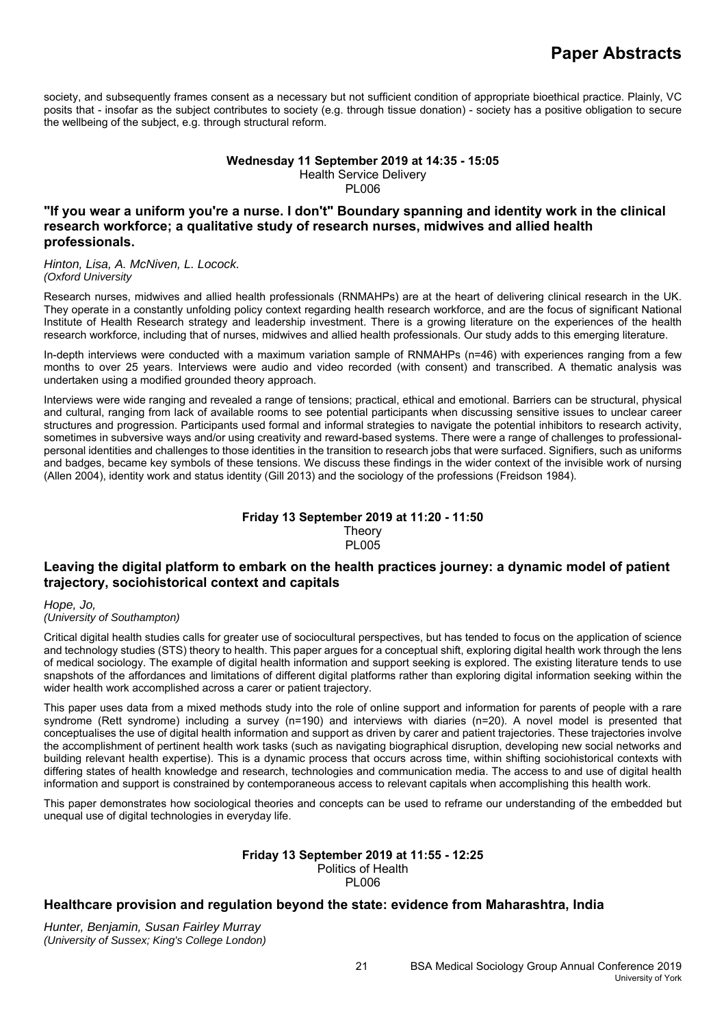society, and subsequently frames consent as a necessary but not sufficient condition of appropriate bioethical practice. Plainly, VC posits that - insofar as the subject contributes to society (e.g. through tissue donation) - society has a positive obligation to secure the wellbeing of the subject, e.g. through structural reform.

### **Wednesday 11 September 2019 at 14:35 - 15:05**  Health Service Delivery PL006

# **"If you wear a uniform you're a nurse. I don't" Boundary spanning and identity work in the clinical research workforce; a qualitative study of research nurses, midwives and allied health professionals.**

*Hinton, Lisa, A. McNiven, L. Locock. (Oxford University*

Research nurses, midwives and allied health professionals (RNMAHPs) are at the heart of delivering clinical research in the UK. They operate in a constantly unfolding policy context regarding health research workforce, and are the focus of significant National Institute of Health Research strategy and leadership investment. There is a growing literature on the experiences of the health research workforce, including that of nurses, midwives and allied health professionals. Our study adds to this emerging literature.

In-depth interviews were conducted with a maximum variation sample of RNMAHPs (n=46) with experiences ranging from a few months to over 25 years. Interviews were audio and video recorded (with consent) and transcribed. A thematic analysis was undertaken using a modified grounded theory approach.

Interviews were wide ranging and revealed a range of tensions; practical, ethical and emotional. Barriers can be structural, physical and cultural, ranging from lack of available rooms to see potential participants when discussing sensitive issues to unclear career structures and progression. Participants used formal and informal strategies to navigate the potential inhibitors to research activity, sometimes in subversive ways and/or using creativity and reward-based systems. There were a range of challenges to professionalpersonal identities and challenges to those identities in the transition to research jobs that were surfaced. Signifiers, such as uniforms and badges, became key symbols of these tensions. We discuss these findings in the wider context of the invisible work of nursing (Allen 2004), identity work and status identity (Gill 2013) and the sociology of the professions (Freidson 1984).

### **Friday 13 September 2019 at 11:20 - 11:50 Theory** PL005

# **Leaving the digital platform to embark on the health practices journey: a dynamic model of patient trajectory, sociohistorical context and capitals**

*Hope, Jo,* 

*(University of Southampton)*

Critical digital health studies calls for greater use of sociocultural perspectives, but has tended to focus on the application of science and technology studies (STS) theory to health. This paper argues for a conceptual shift, exploring digital health work through the lens of medical sociology. The example of digital health information and support seeking is explored. The existing literature tends to use snapshots of the affordances and limitations of different digital platforms rather than exploring digital information seeking within the wider health work accomplished across a carer or patient trajectory.

This paper uses data from a mixed methods study into the role of online support and information for parents of people with a rare syndrome (Rett syndrome) including a survey (n=190) and interviews with diaries (n=20). A novel model is presented that conceptualises the use of digital health information and support as driven by carer and patient trajectories. These trajectories involve the accomplishment of pertinent health work tasks (such as navigating biographical disruption, developing new social networks and building relevant health expertise). This is a dynamic process that occurs across time, within shifting sociohistorical contexts with differing states of health knowledge and research, technologies and communication media. The access to and use of digital health information and support is constrained by contemporaneous access to relevant capitals when accomplishing this health work.

This paper demonstrates how sociological theories and concepts can be used to reframe our understanding of the embedded but unequal use of digital technologies in everyday life.

#### **Friday 13 September 2019 at 11:55 - 12:25**  Politics of Health

PL006

# **Healthcare provision and regulation beyond the state: evidence from Maharashtra, India**

*Hunter, Benjamin, Susan Fairley Murray (University of Sussex; King's College London)*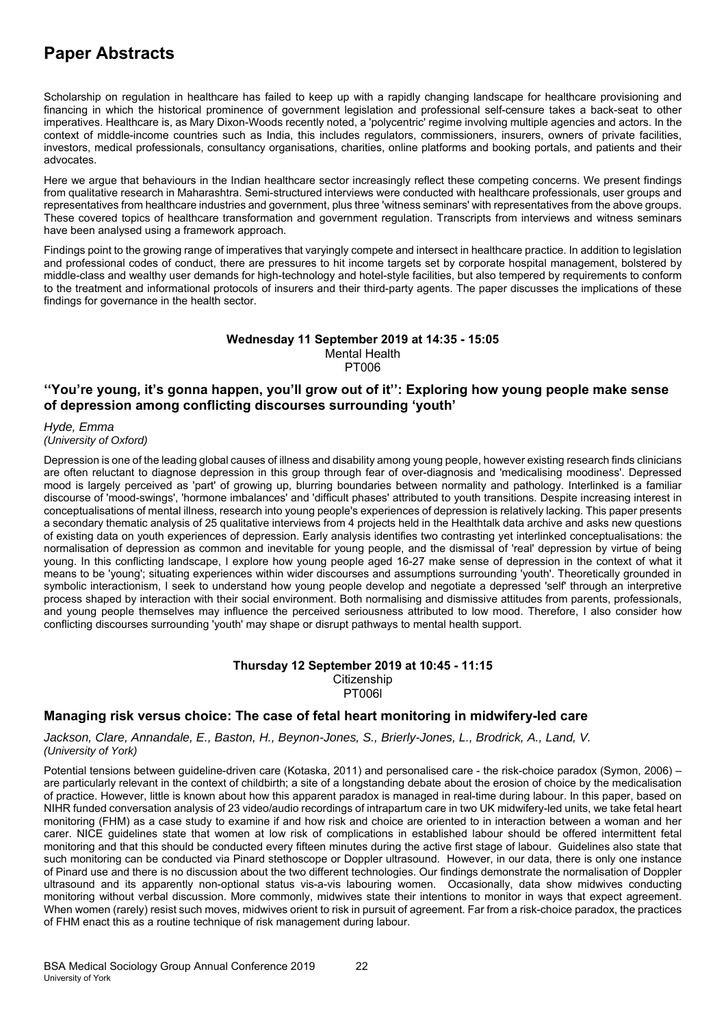Scholarship on regulation in healthcare has failed to keep up with a rapidly changing landscape for healthcare provisioning and financing in which the historical prominence of government legislation and professional self-censure takes a back-seat to other imperatives. Healthcare is, as Mary Dixon-Woods recently noted, a 'polycentric' regime involving multiple agencies and actors. In the context of middle-income countries such as India, this includes regulators, commissioners, insurers, owners of private facilities, investors, medical professionals, consultancy organisations, charities, online platforms and booking portals, and patients and their advocates.

Here we argue that behaviours in the Indian healthcare sector increasingly reflect these competing concerns. We present findings from qualitative research in Maharashtra. Semi-structured interviews were conducted with healthcare professionals, user groups and representatives from healthcare industries and government, plus three 'witness seminars' with representatives from the above groups. These covered topics of healthcare transformation and government regulation. Transcripts from interviews and witness seminars have been analysed using a framework approach.

Findings point to the growing range of imperatives that varyingly compete and intersect in healthcare practice. In addition to legislation and professional codes of conduct, there are pressures to hit income targets set by corporate hospital management, bolstered by middle-class and wealthy user demands for high-technology and hotel-style facilities, but also tempered by requirements to conform to the treatment and informational protocols of insurers and their third-party agents. The paper discusses the implications of these findings for governance in the health sector.

### **Wednesday 11 September 2019 at 14:35 - 15:05**  Mental Health PT006

# **''You're young, it's gonna happen, you'll grow out of it'': Exploring how young people make sense of depression among conflicting discourses surrounding 'youth'**

*Hyde, Emma (University of Oxford)*

Depression is one of the leading global causes of illness and disability among young people, however existing research finds clinicians are often reluctant to diagnose depression in this group through fear of over-diagnosis and 'medicalising moodiness'. Depressed mood is largely perceived as 'part' of growing up, blurring boundaries between normality and pathology. Interlinked is a familiar discourse of 'mood-swings', 'hormone imbalances' and 'difficult phases' attributed to youth transitions. Despite increasing interest in conceptualisations of mental illness, research into young people's experiences of depression is relatively lacking. This paper presents a secondary thematic analysis of 25 qualitative interviews from 4 projects held in the Healthtalk data archive and asks new questions of existing data on youth experiences of depression. Early analysis identifies two contrasting yet interlinked conceptualisations: the normalisation of depression as common and inevitable for young people, and the dismissal of 'real' depression by virtue of being young. In this conflicting landscape, I explore how young people aged 16-27 make sense of depression in the context of what it means to be 'young'; situating experiences within wider discourses and assumptions surrounding 'youth'. Theoretically grounded in symbolic interactionism, I seek to understand how young people develop and negotiate a depressed 'self' through an interpretive process shaped by interaction with their social environment. Both normalising and dismissive attitudes from parents, professionals, and young people themselves may influence the perceived seriousness attributed to low mood. Therefore, I also consider how conflicting discourses surrounding 'youth' may shape or disrupt pathways to mental health support.

### **Thursday 12 September 2019 at 10:45 - 11:15 Citizenship** PT006l

# **Managing risk versus choice: The case of fetal heart monitoring in midwifery-led care**

*Jackson, Clare, Annandale, E., Baston, H., Beynon-Jones, S., Brierly-Jones, L., Brodrick, A., Land, V. (University of York)*

Potential tensions between guideline-driven care (Kotaska, 2011) and personalised care - the risk-choice paradox (Symon, 2006) – are particularly relevant in the context of childbirth; a site of a longstanding debate about the erosion of choice by the medicalisation of practice. However, little is known about how this apparent paradox is managed in real-time during labour. In this paper, based on NIHR funded conversation analysis of 23 video/audio recordings of intrapartum care in two UK midwifery-led units, we take fetal heart monitoring (FHM) as a case study to examine if and how risk and choice are oriented to in interaction between a woman and her carer. NICE guidelines state that women at low risk of complications in established labour should be offered intermittent fetal monitoring and that this should be conducted every fifteen minutes during the active first stage of labour. Guidelines also state that such monitoring can be conducted via Pinard stethoscope or Doppler ultrasound. However, in our data, there is only one instance of Pinard use and there is no discussion about the two different technologies. Our findings demonstrate the normalisation of Doppler ultrasound and its apparently non-optional status vis-a-vis labouring women. Occasionally, data show midwives conducting monitoring without verbal discussion. More commonly, midwives state their intentions to monitor in ways that expect agreement. When women (rarely) resist such moves, midwives orient to risk in pursuit of agreement. Far from a risk-choice paradox, the practices of FHM enact this as a routine technique of risk management during labour.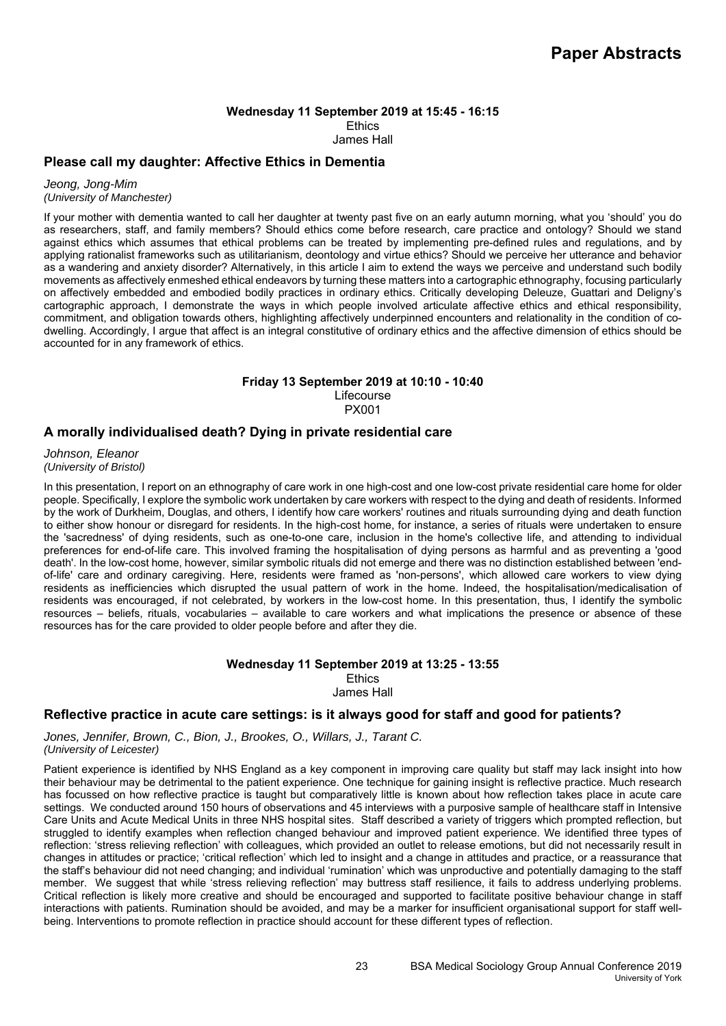### **Wednesday 11 September 2019 at 15:45 - 16:15 Ethics** James Hall

# **Please call my daughter: Affective Ethics in Dementia**

*Jeong, Jong-Mim (University of Manchester)*

If your mother with dementia wanted to call her daughter at twenty past five on an early autumn morning, what you 'should' you do as researchers, staff, and family members? Should ethics come before research, care practice and ontology? Should we stand against ethics which assumes that ethical problems can be treated by implementing pre-defined rules and regulations, and by applying rationalist frameworks such as utilitarianism, deontology and virtue ethics? Should we perceive her utterance and behavior

as a wandering and anxiety disorder? Alternatively, in this article I aim to extend the ways we perceive and understand such bodily movements as affectively enmeshed ethical endeavors by turning these matters into a cartographic ethnography, focusing particularly on affectively embedded and embodied bodily practices in ordinary ethics. Critically developing Deleuze, Guattari and Deligny's cartographic approach, I demonstrate the ways in which people involved articulate affective ethics and ethical responsibility, commitment, and obligation towards others, highlighting affectively underpinned encounters and relationality in the condition of codwelling. Accordingly, I argue that affect is an integral constitutive of ordinary ethics and the affective dimension of ethics should be accounted for in any framework of ethics.

### **Friday 13 September 2019 at 10:10 - 10:40**

Lifecourse PX001

# **A morally individualised death? Dying in private residential care**

*Johnson, Eleanor (University of Bristol)*

In this presentation, I report on an ethnography of care work in one high-cost and one low-cost private residential care home for older people. Specifically, I explore the symbolic work undertaken by care workers with respect to the dying and death of residents. Informed by the work of Durkheim, Douglas, and others, I identify how care workers' routines and rituals surrounding dying and death function to either show honour or disregard for residents. In the high-cost home, for instance, a series of rituals were undertaken to ensure the 'sacredness' of dying residents, such as one-to-one care, inclusion in the home's collective life, and attending to individual preferences for end-of-life care. This involved framing the hospitalisation of dying persons as harmful and as preventing a 'good death'. In the low-cost home, however, similar symbolic rituals did not emerge and there was no distinction established between 'endof-life' care and ordinary caregiving. Here, residents were framed as 'non-persons', which allowed care workers to view dying residents as inefficiencies which disrupted the usual pattern of work in the home. Indeed, the hospitalisation/medicalisation of residents was encouraged, if not celebrated, by workers in the low-cost home. In this presentation, thus, I identify the symbolic resources – beliefs, rituals, vocabularies – available to care workers and what implications the presence or absence of these resources has for the care provided to older people before and after they die.

### **Wednesday 11 September 2019 at 13:25 - 13:55 Ethics** James Hall

# **Reflective practice in acute care settings: is it always good for staff and good for patients?**

*Jones, Jennifer, Brown, C., Bion, J., Brookes, O., Willars, J., Tarant C. (University of Leicester)*

Patient experience is identified by NHS England as a key component in improving care quality but staff may lack insight into how their behaviour may be detrimental to the patient experience. One technique for gaining insight is reflective practice. Much research has focussed on how reflective practice is taught but comparatively little is known about how reflection takes place in acute care settings. We conducted around 150 hours of observations and 45 interviews with a purposive sample of healthcare staff in Intensive Care Units and Acute Medical Units in three NHS hospital sites. Staff described a variety of triggers which prompted reflection, but struggled to identify examples when reflection changed behaviour and improved patient experience. We identified three types of reflection: 'stress relieving reflection' with colleagues, which provided an outlet to release emotions, but did not necessarily result in changes in attitudes or practice; 'critical reflection' which led to insight and a change in attitudes and practice, or a reassurance that the staff's behaviour did not need changing; and individual 'rumination' which was unproductive and potentially damaging to the staff member. We suggest that while 'stress relieving reflection' may buttress staff resilience, it fails to address underlying problems. Critical reflection is likely more creative and should be encouraged and supported to facilitate positive behaviour change in staff interactions with patients. Rumination should be avoided, and may be a marker for insufficient organisational support for staff wellbeing. Interventions to promote reflection in practice should account for these different types of reflection.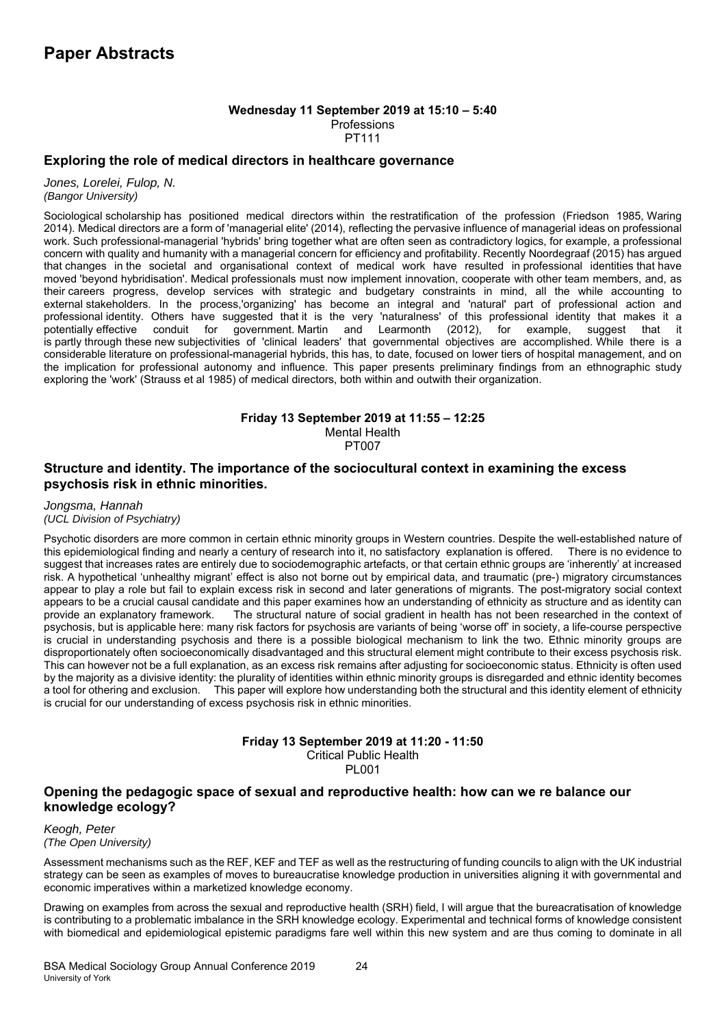### **Wednesday 11 September 2019 at 15:10 – 5:40 Professions** PT111

# **Exploring the role of medical directors in healthcare governance**

*Jones, Lorelei, Fulop, N. (Bangor University)*

Sociological scholarship has positioned medical directors within the restratification of the profession (Friedson 1985, Waring 2014). Medical directors are a form of 'managerial elite' (2014), reflecting the pervasive influence of managerial ideas on professional work. Such professional-managerial 'hybrids' bring together what are often seen as contradictory logics, for example, a professional concern with quality and humanity with a managerial concern for efficiency and profitability. Recently Noordegraaf (2015) has argued that changes in the societal and organisational context of medical work have resulted in professional identities that have moved 'beyond hybridisation'. Medical professionals must now implement innovation, cooperate with other team members, and, as their careers progress, develop services with strategic and budgetary constraints in mind, all the while accounting to external stakeholders. In the process,'organizing' has become an integral and 'natural' part of professional action and professional identity. Others have suggested that it is the very 'naturalness' of this professional identity that makes it a government Martin and Learmonth (2012), for example, suggest that it is partly through these new subjectivities of 'clinical leaders' that governmental objectives are accomplished. While there is a considerable literature on professional-managerial hybrids, this has, to date, focused on lower tiers of hospital management, and on the implication for professional autonomy and influence. This paper presents preliminary findings from an ethnographic study exploring the 'work' (Strauss et al 1985) of medical directors, both within and outwith their organization.

### **Friday 13 September 2019 at 11:55 – 12:25**

Mental Health

PT007

# **Structure and identity. The importance of the sociocultural context in examining the excess psychosis risk in ethnic minorities.**

*Jongsma, Hannah (UCL Division of Psychiatry)*

Psychotic disorders are more common in certain ethnic minority groups in Western countries. Despite the well-established nature of this epidemiological finding and nearly a century of research into it, no satisfactory explanation is offered. There is no evidence to suggest that increases rates are entirely due to sociodemographic artefacts, or that certain ethnic groups are 'inherently' at increased risk. A hypothetical 'unhealthy migrant' effect is also not borne out by empirical data, and traumatic (pre-) migratory circumstances appear to play a role but fail to explain excess risk in second and later generations of migrants. The post-migratory social context appears to be a crucial causal candidate and this paper examines how an understanding of ethnicity as structure and as identity can provide an explanatory framework. The structural nature of social gradient in health has not been researched in the context of psychosis, but is applicable here: many risk factors for psychosis are variants of being 'worse off' in society, a life-course perspective is crucial in understanding psychosis and there is a possible biological mechanism to link the two. Ethnic minority groups are disproportionately often socioeconomically disadvantaged and this structural element might contribute to their excess psychosis risk. This can however not be a full explanation, as an excess risk remains after adjusting for socioeconomic status. Ethnicity is often used by the majority as a divisive identity: the plurality of identities within ethnic minority groups is disregarded and ethnic identity becomes a tool for othering and exclusion. This paper will explore how understanding both the structural and this identity element of ethnicity is crucial for our understanding of excess psychosis risk in ethnic minorities.

### **Friday 13 September 2019 at 11:20 - 11:50**

Critical Public Health

PL001

# **Opening the pedagogic space of sexual and reproductive health: how can we re balance our knowledge ecology?**

*Keogh, Peter (The Open University)*

Assessment mechanisms such as the REF, KEF and TEF as well as the restructuring of funding councils to align with the UK industrial strategy can be seen as examples of moves to bureaucratise knowledge production in universities aligning it with governmental and economic imperatives within a marketized knowledge economy.

Drawing on examples from across the sexual and reproductive health (SRH) field, I will argue that the bureacratisation of knowledge is contributing to a problematic imbalance in the SRH knowledge ecology. Experimental and technical forms of knowledge consistent with biomedical and epidemiological epistemic paradigms fare well within this new system and are thus coming to dominate in all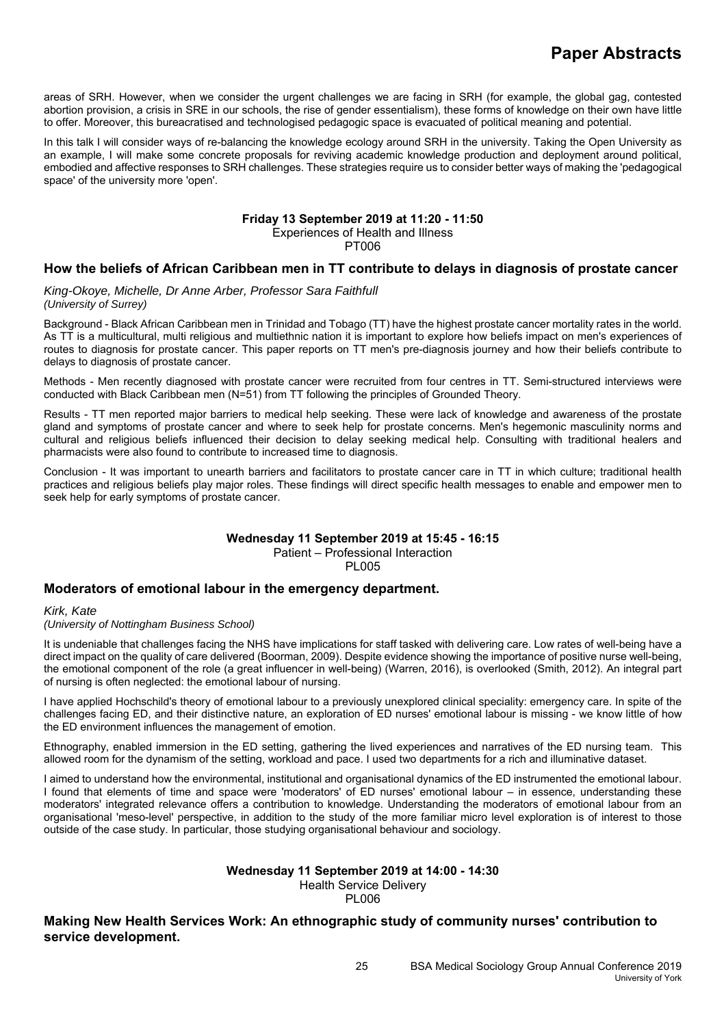areas of SRH. However, when we consider the urgent challenges we are facing in SRH (for example, the global gag, contested abortion provision, a crisis in SRE in our schools, the rise of gender essentialism), these forms of knowledge on their own have little to offer. Moreover, this bureacratised and technologised pedagogic space is evacuated of political meaning and potential.

In this talk I will consider ways of re-balancing the knowledge ecology around SRH in the university. Taking the Open University as an example, I will make some concrete proposals for reviving academic knowledge production and deployment around political, embodied and affective responses to SRH challenges. These strategies require us to consider better ways of making the 'pedagogical space' of the university more 'open'.

# **Friday 13 September 2019 at 11:20 - 11:50**

Experiences of Health and Illness

PT006

# **How the beliefs of African Caribbean men in TT contribute to delays in diagnosis of prostate cancer**

*King-Okoye, Michelle, Dr Anne Arber, Professor Sara Faithfull (University of Surrey)*

Background - Black African Caribbean men in Trinidad and Tobago (TT) have the highest prostate cancer mortality rates in the world. As TT is a multicultural, multi religious and multiethnic nation it is important to explore how beliefs impact on men's experiences of routes to diagnosis for prostate cancer. This paper reports on TT men's pre-diagnosis journey and how their beliefs contribute to delays to diagnosis of prostate cancer.

Methods - Men recently diagnosed with prostate cancer were recruited from four centres in TT. Semi-structured interviews were conducted with Black Caribbean men (N=51) from TT following the principles of Grounded Theory.

Results - TT men reported major barriers to medical help seeking. These were lack of knowledge and awareness of the prostate gland and symptoms of prostate cancer and where to seek help for prostate concerns. Men's hegemonic masculinity norms and cultural and religious beliefs influenced their decision to delay seeking medical help. Consulting with traditional healers and pharmacists were also found to contribute to increased time to diagnosis.

Conclusion - It was important to unearth barriers and facilitators to prostate cancer care in TT in which culture; traditional health practices and religious beliefs play major roles. These findings will direct specific health messages to enable and empower men to seek help for early symptoms of prostate cancer.

### **Wednesday 11 September 2019 at 15:45 - 16:15**  Patient – Professional Interaction

PL005

# **Moderators of emotional labour in the emergency department.**

*Kirk, Kate* 

*(University of Nottingham Business School)*

It is undeniable that challenges facing the NHS have implications for staff tasked with delivering care. Low rates of well-being have a direct impact on the quality of care delivered (Boorman, 2009). Despite evidence showing the importance of positive nurse well-being, the emotional component of the role (a great influencer in well-being) (Warren, 2016), is overlooked (Smith, 2012). An integral part of nursing is often neglected: the emotional labour of nursing.

I have applied Hochschild's theory of emotional labour to a previously unexplored clinical speciality: emergency care. In spite of the challenges facing ED, and their distinctive nature, an exploration of ED nurses' emotional labour is missing - we know little of how the ED environment influences the management of emotion.

Ethnography, enabled immersion in the ED setting, gathering the lived experiences and narratives of the ED nursing team. This allowed room for the dynamism of the setting, workload and pace. I used two departments for a rich and illuminative dataset.

I aimed to understand how the environmental, institutional and organisational dynamics of the ED instrumented the emotional labour. I found that elements of time and space were 'moderators' of ED nurses' emotional labour – in essence, understanding these moderators' integrated relevance offers a contribution to knowledge. Understanding the moderators of emotional labour from an organisational 'meso-level' perspective, in addition to the study of the more familiar micro level exploration is of interest to those outside of the case study. In particular, those studying organisational behaviour and sociology.

### **Wednesday 11 September 2019 at 14:00 - 14:30**  Health Service Delivery

PL006

**Making New Health Services Work: An ethnographic study of community nurses' contribution to service development.**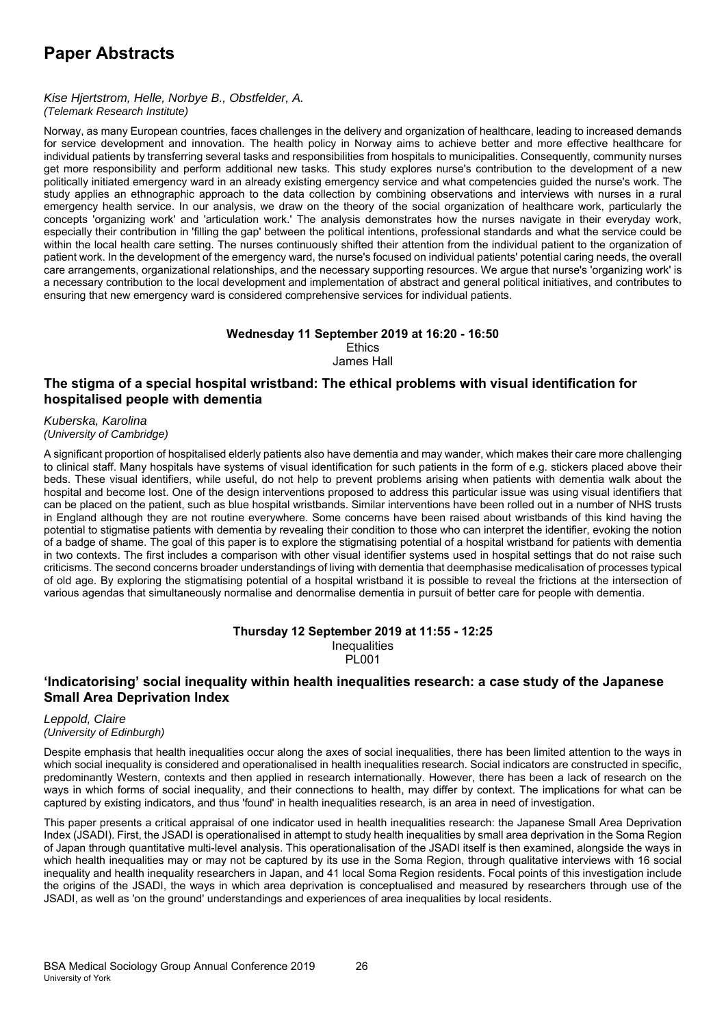### *Kise Hjertstrom, Helle, Norbye B., Obstfelder, A. (Telemark Research Institute)*

Norway, as many European countries, faces challenges in the delivery and organization of healthcare, leading to increased demands for service development and innovation. The health policy in Norway aims to achieve better and more effective healthcare for individual patients by transferring several tasks and responsibilities from hospitals to municipalities. Consequently, community nurses get more responsibility and perform additional new tasks. This study explores nurse's contribution to the development of a new politically initiated emergency ward in an already existing emergency service and what competencies guided the nurse's work. The study applies an ethnographic approach to the data collection by combining observations and interviews with nurses in a rural emergency health service. In our analysis, we draw on the theory of the social organization of healthcare work, particularly the concepts 'organizing work' and 'articulation work.' The analysis demonstrates how the nurses navigate in their everyday work, especially their contribution in 'filling the gap' between the political intentions, professional standards and what the service could be within the local health care setting. The nurses continuously shifted their attention from the individual patient to the organization of patient work. In the development of the emergency ward, the nurse's focused on individual patients' potential caring needs, the overall care arrangements, organizational relationships, and the necessary supporting resources. We argue that nurse's 'organizing work' is a necessary contribution to the local development and implementation of abstract and general political initiatives, and contributes to ensuring that new emergency ward is considered comprehensive services for individual patients.

### **Wednesday 11 September 2019 at 16:20 - 16:50**

**Ethics** James Hall

# **The stigma of a special hospital wristband: The ethical problems with visual identification for hospitalised people with dementia**

#### *Kuberska, Karolina (University of Cambridge)*

A significant proportion of hospitalised elderly patients also have dementia and may wander, which makes their care more challenging to clinical staff. Many hospitals have systems of visual identification for such patients in the form of e.g. stickers placed above their beds. These visual identifiers, while useful, do not help to prevent problems arising when patients with dementia walk about the hospital and become lost. One of the design interventions proposed to address this particular issue was using visual identifiers that can be placed on the patient, such as blue hospital wristbands. Similar interventions have been rolled out in a number of NHS trusts in England although they are not routine everywhere. Some concerns have been raised about wristbands of this kind having the potential to stigmatise patients with dementia by revealing their condition to those who can interpret the identifier, evoking the notion of a badge of shame. The goal of this paper is to explore the stigmatising potential of a hospital wristband for patients with dementia in two contexts. The first includes a comparison with other visual identifier systems used in hospital settings that do not raise such criticisms. The second concerns broader understandings of living with dementia that deemphasise medicalisation of processes typical of old age. By exploring the stigmatising potential of a hospital wristband it is possible to reveal the frictions at the intersection of various agendas that simultaneously normalise and denormalise dementia in pursuit of better care for people with dementia.

### **Thursday 12 September 2019 at 11:55 - 12:25 Inequalities** PL001

# **'Indicatorising' social inequality within health inequalities research: a case study of the Japanese Small Area Deprivation Index**

### *Leppold, Claire (University of Edinburgh)*

Despite emphasis that health inequalities occur along the axes of social inequalities, there has been limited attention to the ways in which social inequality is considered and operationalised in health inequalities research. Social indicators are constructed in specific, predominantly Western, contexts and then applied in research internationally. However, there has been a lack of research on the ways in which forms of social inequality, and their connections to health, may differ by context. The implications for what can be captured by existing indicators, and thus 'found' in health inequalities research, is an area in need of investigation.

This paper presents a critical appraisal of one indicator used in health inequalities research: the Japanese Small Area Deprivation Index (JSADI). First, the JSADI is operationalised in attempt to study health inequalities by small area deprivation in the Soma Region of Japan through quantitative multi-level analysis. This operationalisation of the JSADI itself is then examined, alongside the ways in which health inequalities may or may not be captured by its use in the Soma Region, through qualitative interviews with 16 social inequality and health inequality researchers in Japan, and 41 local Soma Region residents. Focal points of this investigation include the origins of the JSADI, the ways in which area deprivation is conceptualised and measured by researchers through use of the JSADI, as well as 'on the ground' understandings and experiences of area inequalities by local residents.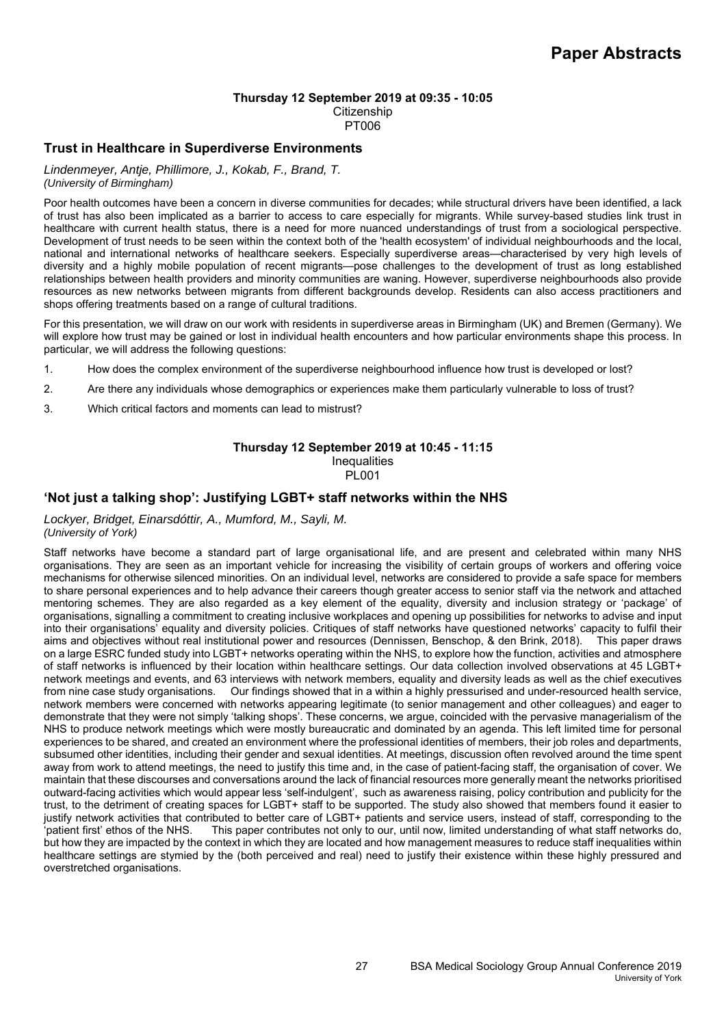### **Thursday 12 September 2019 at 09:35 - 10:05**

**Citizenship** 

PT006

### **Trust in Healthcare in Superdiverse Environments**

*Lindenmeyer, Antje, Phillimore, J., Kokab, F., Brand, T. (University of Birmingham)*

Poor health outcomes have been a concern in diverse communities for decades; while structural drivers have been identified, a lack of trust has also been implicated as a barrier to access to care especially for migrants. While survey-based studies link trust in healthcare with current health status, there is a need for more nuanced understandings of trust from a sociological perspective. Development of trust needs to be seen within the context both of the 'health ecosystem' of individual neighbourhoods and the local, national and international networks of healthcare seekers. Especially superdiverse areas—characterised by very high levels of diversity and a highly mobile population of recent migrants—pose challenges to the development of trust as long established relationships between health providers and minority communities are waning. However, superdiverse neighbourhoods also provide resources as new networks between migrants from different backgrounds develop. Residents can also access practitioners and shops offering treatments based on a range of cultural traditions.

For this presentation, we will draw on our work with residents in superdiverse areas in Birmingham (UK) and Bremen (Germany). We will explore how trust may be gained or lost in individual health encounters and how particular environments shape this process. In particular, we will address the following questions:

- 1. How does the complex environment of the superdiverse neighbourhood influence how trust is developed or lost?
- 2. Are there any individuals whose demographics or experiences make them particularly vulnerable to loss of trust?
- 3. Which critical factors and moments can lead to mistrust?

#### **Thursday 12 September 2019 at 10:45 - 11:15 Inequalities** PL001

### **'Not just a talking shop': Justifying LGBT+ staff networks within the NHS**

*Lockyer, Bridget, Einarsdóttir, A., Mumford, M., Sayli, M. (University of York)*

Staff networks have become a standard part of large organisational life, and are present and celebrated within many NHS organisations. They are seen as an important vehicle for increasing the visibility of certain groups of workers and offering voice mechanisms for otherwise silenced minorities. On an individual level, networks are considered to provide a safe space for members to share personal experiences and to help advance their careers though greater access to senior staff via the network and attached mentoring schemes. They are also regarded as a key element of the equality, diversity and inclusion strategy or 'package' of organisations, signalling a commitment to creating inclusive workplaces and opening up possibilities for networks to advise and input into their organisations' equality and diversity policies. Critiques of staff networks have questioned networks' capacity to fulfil their aims and objectives without real institutional power and resources (Dennissen, Benschop, & den Brink, 2018). This paper draws on a large ESRC funded study into LGBT+ networks operating within the NHS, to explore how the function, activities and atmosphere of staff networks is influenced by their location within healthcare settings. Our data collection involved observations at 45 LGBT+ network meetings and events, and 63 interviews with network members, equality and diversity leads as well as the chief executives from nine case study organisations. Our findings showed that in a within a highly pressurised and under-resourced health service, network members were concerned with networks appearing legitimate (to senior management and other colleagues) and eager to demonstrate that they were not simply 'talking shops'. These concerns, we argue, coincided with the pervasive managerialism of the NHS to produce network meetings which were mostly bureaucratic and dominated by an agenda. This left limited time for personal experiences to be shared, and created an environment where the professional identities of members, their job roles and departments, subsumed other identities, including their gender and sexual identities. At meetings, discussion often revolved around the time spent away from work to attend meetings, the need to justify this time and, in the case of patient-facing staff, the organisation of cover. We maintain that these discourses and conversations around the lack of financial resources more generally meant the networks prioritised outward-facing activities which would appear less 'self-indulgent', such as awareness raising, policy contribution and publicity for the trust, to the detriment of creating spaces for LGBT+ staff to be supported. The study also showed that members found it easier to justify network activities that contributed to better care of LGBT+ patients and service users, instead of staff, corresponding to the 'patient first' ethos of the NHS. This paper contributes not only to our, until now, limited understanding of what staff networks do, but how they are impacted by the context in which they are located and how management measures to reduce staff inequalities within healthcare settings are stymied by the (both perceived and real) need to justify their existence within these highly pressured and overstretched organisations.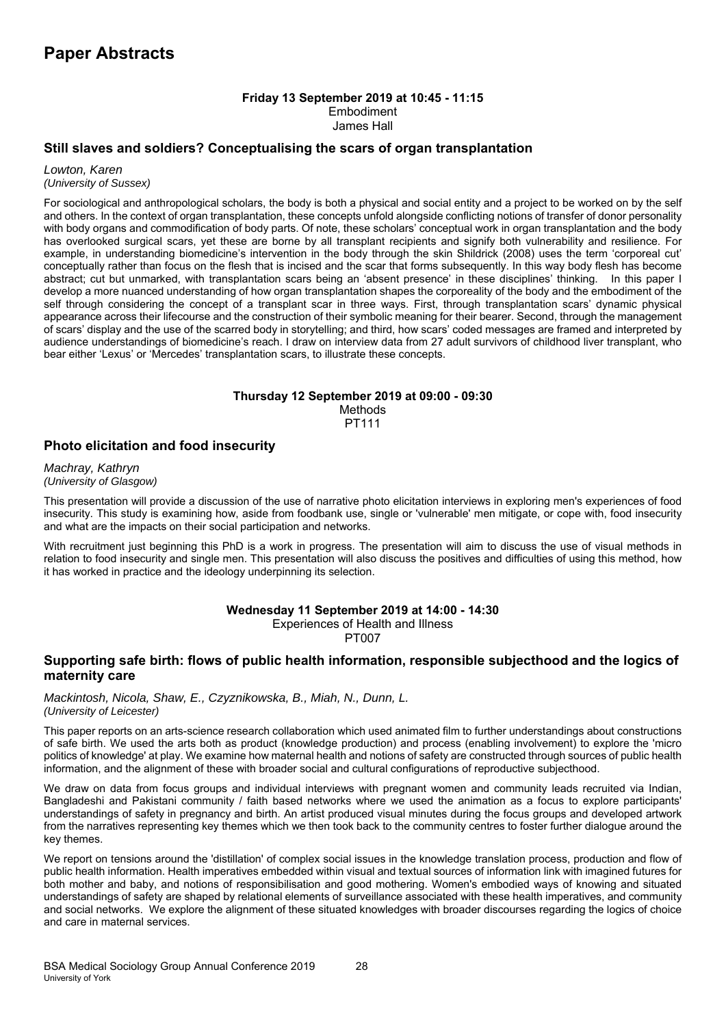### **Friday 13 September 2019 at 10:45 - 11:15**  Embodiment James Hall

## **Still slaves and soldiers? Conceptualising the scars of organ transplantation**

*Lowton, Karen (University of Sussex)*

For sociological and anthropological scholars, the body is both a physical and social entity and a project to be worked on by the self and others. In the context of organ transplantation, these concepts unfold alongside conflicting notions of transfer of donor personality with body organs and commodification of body parts. Of note, these scholars' conceptual work in organ transplantation and the body has overlooked surgical scars, yet these are borne by all transplant recipients and signify both vulnerability and resilience. For example, in understanding biomedicine's intervention in the body through the skin Shildrick (2008) uses the term 'corporeal cut' conceptually rather than focus on the flesh that is incised and the scar that forms subsequently. In this way body flesh has become abstract; cut but unmarked, with transplantation scars being an 'absent presence' in these disciplines' thinking. In this paper I develop a more nuanced understanding of how organ transplantation shapes the corporeality of the body and the embodiment of the self through considering the concept of a transplant scar in three ways. First, through transplantation scars' dynamic physical appearance across their lifecourse and the construction of their symbolic meaning for their bearer. Second, through the management of scars' display and the use of the scarred body in storytelling; and third, how scars' coded messages are framed and interpreted by audience understandings of biomedicine's reach. I draw on interview data from 27 adult survivors of childhood liver transplant, who bear either 'Lexus' or 'Mercedes' transplantation scars, to illustrate these concepts.

# **Thursday 12 September 2019 at 09:00 - 09:30 Methods**

PT111

# **Photo elicitation and food insecurity**

*Machray, Kathryn (University of Glasgow)*

This presentation will provide a discussion of the use of narrative photo elicitation interviews in exploring men's experiences of food insecurity. This study is examining how, aside from foodbank use, single or 'vulnerable' men mitigate, or cope with, food insecurity and what are the impacts on their social participation and networks.

With recruitment just beginning this PhD is a work in progress. The presentation will aim to discuss the use of visual methods in relation to food insecurity and single men. This presentation will also discuss the positives and difficulties of using this method, how it has worked in practice and the ideology underpinning its selection.

### **Wednesday 11 September 2019 at 14:00 - 14:30**

Experiences of Health and Illness PT007

# **Supporting safe birth: flows of public health information, responsible subjecthood and the logics of maternity care**

*Mackintosh, Nicola, Shaw, E., Czyznikowska, B., Miah, N., Dunn, L. (University of Leicester)*

This paper reports on an arts-science research collaboration which used animated film to further understandings about constructions of safe birth. We used the arts both as product (knowledge production) and process (enabling involvement) to explore the 'micro politics of knowledge' at play. We examine how maternal health and notions of safety are constructed through sources of public health information, and the alignment of these with broader social and cultural configurations of reproductive subjecthood.

We draw on data from focus groups and individual interviews with pregnant women and community leads recruited via Indian, Bangladeshi and Pakistani community / faith based networks where we used the animation as a focus to explore participants' understandings of safety in pregnancy and birth. An artist produced visual minutes during the focus groups and developed artwork from the narratives representing key themes which we then took back to the community centres to foster further dialogue around the key themes.

We report on tensions around the 'distillation' of complex social issues in the knowledge translation process, production and flow of public health information. Health imperatives embedded within visual and textual sources of information link with imagined futures for both mother and baby, and notions of responsibilisation and good mothering. Women's embodied ways of knowing and situated understandings of safety are shaped by relational elements of surveillance associated with these health imperatives, and community and social networks. We explore the alignment of these situated knowledges with broader discourses regarding the logics of choice and care in maternal services.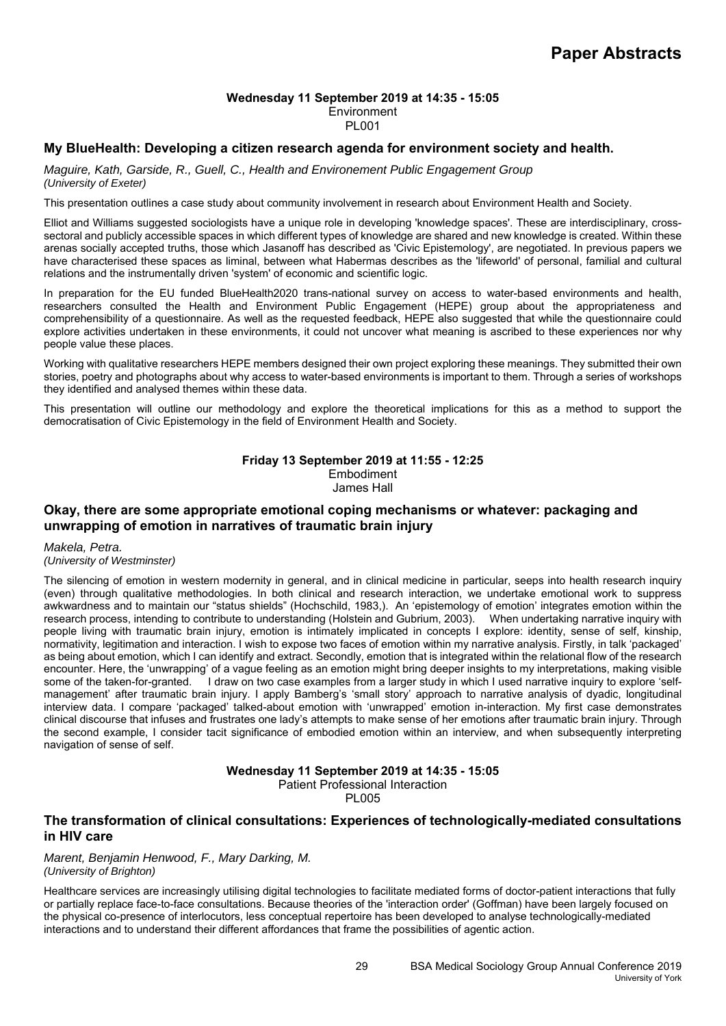# **Wednesday 11 September 2019 at 14:35 - 15:05**

# **Environment**

## PL001

## **My BlueHealth: Developing a citizen research agenda for environment society and health.**

*Maguire, Kath, Garside, R., Guell, C., Health and Environement Public Engagement Group (University of Exeter)*

This presentation outlines a case study about community involvement in research about Environment Health and Society.

Elliot and Williams suggested sociologists have a unique role in developing 'knowledge spaces'. These are interdisciplinary, crosssectoral and publicly accessible spaces in which different types of knowledge are shared and new knowledge is created. Within these arenas socially accepted truths, those which Jasanoff has described as 'Civic Epistemology', are negotiated. In previous papers we have characterised these spaces as liminal, between what Habermas describes as the 'lifeworld' of personal, familial and cultural relations and the instrumentally driven 'system' of economic and scientific logic.

In preparation for the EU funded BlueHealth2020 trans-national survey on access to water-based environments and health, researchers consulted the Health and Environment Public Engagement (HEPE) group about the appropriateness and comprehensibility of a questionnaire. As well as the requested feedback, HEPE also suggested that while the questionnaire could explore activities undertaken in these environments, it could not uncover what meaning is ascribed to these experiences nor why people value these places.

Working with qualitative researchers HEPE members designed their own project exploring these meanings. They submitted their own stories, poetry and photographs about why access to water-based environments is important to them. Through a series of workshops they identified and analysed themes within these data.

This presentation will outline our methodology and explore the theoretical implications for this as a method to support the democratisation of Civic Epistemology in the field of Environment Health and Society.

# **Friday 13 September 2019 at 11:55 - 12:25**  Embodiment James Hall

## **Okay, there are some appropriate emotional coping mechanisms or whatever: packaging and unwrapping of emotion in narratives of traumatic brain injury**

*Makela, Petra.* 

*(University of Westminster)*

The silencing of emotion in western modernity in general, and in clinical medicine in particular, seeps into health research inquiry (even) through qualitative methodologies. In both clinical and research interaction, we undertake emotional work to suppress awkwardness and to maintain our "status shields" (Hochschild, 1983,). An 'epistemology of emotion' integrates emotion within the research process, intending to contribute to understanding (Holstein and Gubrium, 2003). When undertaking narrative inquiry with people living with traumatic brain injury, emotion is intimately implicated in concepts I explore: identity, sense of self, kinship, normativity, legitimation and interaction. I wish to expose two faces of emotion within my narrative analysis. Firstly, in talk 'packaged' as being about emotion, which I can identify and extract. Secondly, emotion that is integrated within the relational flow of the research encounter. Here, the 'unwrapping' of a vague feeling as an emotion might bring deeper insights to my interpretations, making visible some of the taken-for-granted. I draw on two case examples from a larger study in which I used narrative inquiry to explore 'selfmanagement' after traumatic brain injury. I apply Bamberg's 'small story' approach to narrative analysis of dyadic, longitudinal interview data. I compare 'packaged' talked-about emotion with 'unwrapped' emotion in-interaction. My first case demonstrates clinical discourse that infuses and frustrates one lady's attempts to make sense of her emotions after traumatic brain injury. Through the second example, I consider tacit significance of embodied emotion within an interview, and when subsequently interpreting navigation of sense of self.

**Wednesday 11 September 2019 at 14:35 - 15:05** 

Patient Professional Interaction

PL005

# **The transformation of clinical consultations: Experiences of technologically-mediated consultations in HIV care**

*Marent, Benjamin Henwood, F., Mary Darking, M. (University of Brighton)*

Healthcare services are increasingly utilising digital technologies to facilitate mediated forms of doctor-patient interactions that fully or partially replace face-to-face consultations. Because theories of the 'interaction order' (Goffman) have been largely focused on the physical co-presence of interlocutors, less conceptual repertoire has been developed to analyse technologically-mediated interactions and to understand their different affordances that frame the possibilities of agentic action.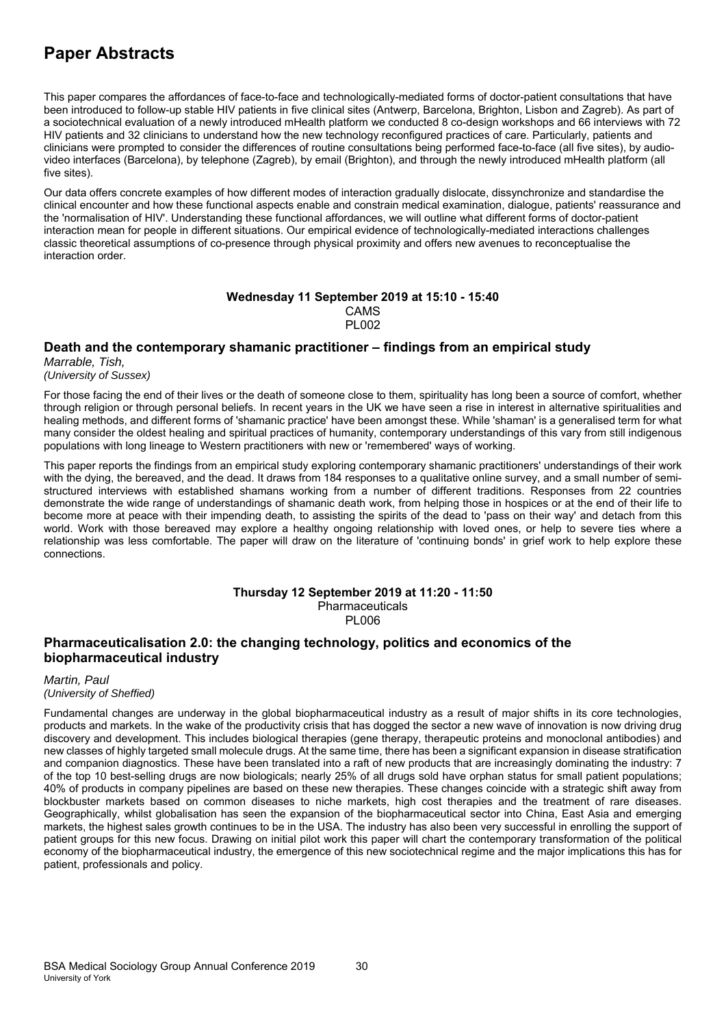This paper compares the affordances of face-to-face and technologically-mediated forms of doctor-patient consultations that have been introduced to follow-up stable HIV patients in five clinical sites (Antwerp, Barcelona, Brighton, Lisbon and Zagreb). As part of a sociotechnical evaluation of a newly introduced mHealth platform we conducted 8 co-design workshops and 66 interviews with 72 HIV patients and 32 clinicians to understand how the new technology reconfigured practices of care. Particularly, patients and clinicians were prompted to consider the differences of routine consultations being performed face-to-face (all five sites), by audiovideo interfaces (Barcelona), by telephone (Zagreb), by email (Brighton), and through the newly introduced mHealth platform (all five sites).

Our data offers concrete examples of how different modes of interaction gradually dislocate, dissynchronize and standardise the clinical encounter and how these functional aspects enable and constrain medical examination, dialogue, patients' reassurance and the 'normalisation of HIV'. Understanding these functional affordances, we will outline what different forms of doctor-patient interaction mean for people in different situations. Our empirical evidence of technologically-mediated interactions challenges classic theoretical assumptions of co-presence through physical proximity and offers new avenues to reconceptualise the interaction order.

### **Wednesday 11 September 2019 at 15:10 - 15:40**  CAMS PL002

# **Death and the contemporary shamanic practitioner – findings from an empirical study**

*Marrable, Tish, (University of Sussex)*

For those facing the end of their lives or the death of someone close to them, spirituality has long been a source of comfort, whether through religion or through personal beliefs. In recent years in the UK we have seen a rise in interest in alternative spiritualities and healing methods, and different forms of 'shamanic practice' have been amongst these. While 'shaman' is a generalised term for what many consider the oldest healing and spiritual practices of humanity, contemporary understandings of this vary from still indigenous populations with long lineage to Western practitioners with new or 'remembered' ways of working.

This paper reports the findings from an empirical study exploring contemporary shamanic practitioners' understandings of their work with the dying, the bereaved, and the dead. It draws from 184 responses to a qualitative online survey, and a small number of semistructured interviews with established shamans working from a number of different traditions. Responses from 22 countries demonstrate the wide range of understandings of shamanic death work, from helping those in hospices or at the end of their life to become more at peace with their impending death, to assisting the spirits of the dead to 'pass on their way' and detach from this world. Work with those bereaved may explore a healthy ongoing relationship with loved ones, or help to severe ties where a relationship was less comfortable. The paper will draw on the literature of 'continuing bonds' in grief work to help explore these connections.

#### **Thursday 12 September 2019 at 11:20 - 11:50**  Pharmaceuticals

PL006

# **Pharmaceuticalisation 2.0: the changing technology, politics and economics of the biopharmaceutical industry**

*Martin, Paul (University of Sheffied)*

Fundamental changes are underway in the global biopharmaceutical industry as a result of major shifts in its core technologies, products and markets. In the wake of the productivity crisis that has dogged the sector a new wave of innovation is now driving drug discovery and development. This includes biological therapies (gene therapy, therapeutic proteins and monoclonal antibodies) and new classes of highly targeted small molecule drugs. At the same time, there has been a significant expansion in disease stratification and companion diagnostics. These have been translated into a raft of new products that are increasingly dominating the industry: 7 of the top 10 best-selling drugs are now biologicals; nearly 25% of all drugs sold have orphan status for small patient populations; 40% of products in company pipelines are based on these new therapies. These changes coincide with a strategic shift away from blockbuster markets based on common diseases to niche markets, high cost therapies and the treatment of rare diseases. Geographically, whilst globalisation has seen the expansion of the biopharmaceutical sector into China, East Asia and emerging markets, the highest sales growth continues to be in the USA. The industry has also been very successful in enrolling the support of patient groups for this new focus. Drawing on initial pilot work this paper will chart the contemporary transformation of the political economy of the biopharmaceutical industry, the emergence of this new sociotechnical regime and the major implications this has for patient, professionals and policy.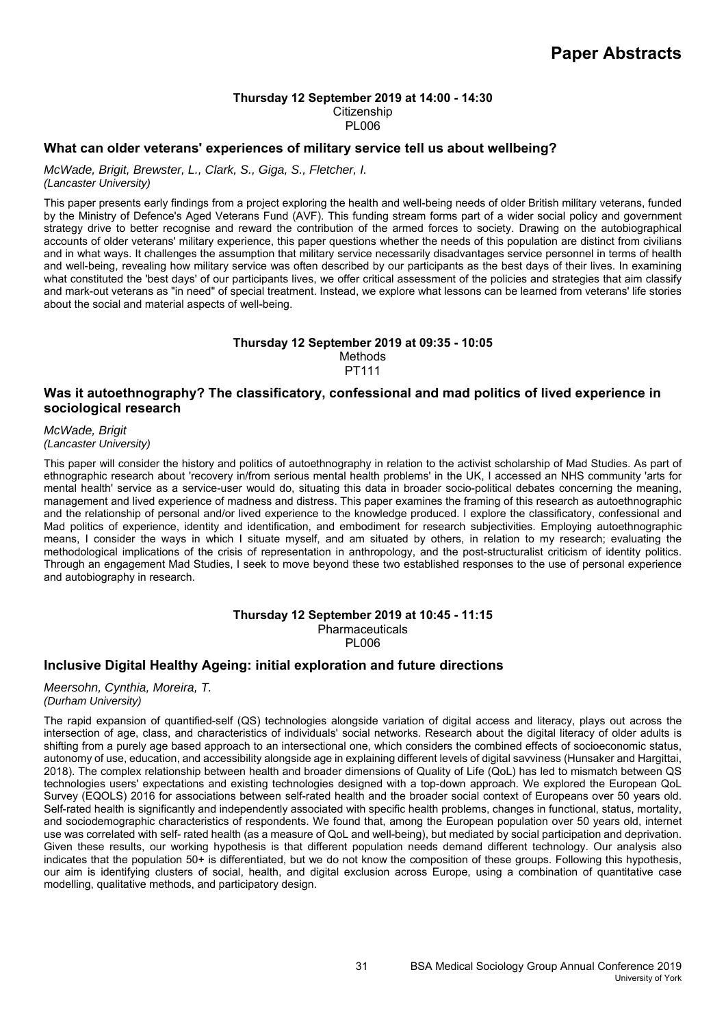### **Thursday 12 September 2019 at 14:00 - 14:30 Citizenship**

PL006

### **What can older veterans' experiences of military service tell us about wellbeing?**

*McWade, Brigit, Brewster, L., Clark, S., Giga, S., Fletcher, I.* 

*(Lancaster University)*

This paper presents early findings from a project exploring the health and well-being needs of older British military veterans, funded by the Ministry of Defence's Aged Veterans Fund (AVF). This funding stream forms part of a wider social policy and government strategy drive to better recognise and reward the contribution of the armed forces to society. Drawing on the autobiographical accounts of older veterans' military experience, this paper questions whether the needs of this population are distinct from civilians and in what ways. It challenges the assumption that military service necessarily disadvantages service personnel in terms of health and well-being, revealing how military service was often described by our participants as the best days of their lives. In examining what constituted the 'best days' of our participants lives, we offer critical assessment of the policies and strategies that aim classify and mark-out veterans as "in need" of special treatment. Instead, we explore what lessons can be learned from veterans' life stories about the social and material aspects of well-being.

# **Thursday 12 September 2019 at 09:35 - 10:05**

Methods PT111

# **Was it autoethnography? The classificatory, confessional and mad politics of lived experience in sociological research**

*McWade, Brigit (Lancaster University)*

This paper will consider the history and politics of autoethnography in relation to the activist scholarship of Mad Studies. As part of ethnographic research about 'recovery in/from serious mental health problems' in the UK, I accessed an NHS community 'arts for mental health' service as a service-user would do, situating this data in broader socio-political debates concerning the meaning, management and lived experience of madness and distress. This paper examines the framing of this research as autoethnographic and the relationship of personal and/or lived experience to the knowledge produced. I explore the classificatory, confessional and Mad politics of experience, identity and identification, and embodiment for research subjectivities. Employing autoethnographic means, I consider the ways in which I situate myself, and am situated by others, in relation to my research; evaluating the methodological implications of the crisis of representation in anthropology, and the post-structuralist criticism of identity politics. Through an engagement Mad Studies, I seek to move beyond these two established responses to the use of personal experience and autobiography in research.

### **Thursday 12 September 2019 at 10:45 - 11:15 Pharmaceuticals**

PL006

# **Inclusive Digital Healthy Ageing: initial exploration and future directions**

*Meersohn, Cynthia, Moreira, T. (Durham University)*

The rapid expansion of quantified-self (QS) technologies alongside variation of digital access and literacy, plays out across the intersection of age, class, and characteristics of individuals' social networks. Research about the digital literacy of older adults is shifting from a purely age based approach to an intersectional one, which considers the combined effects of socioeconomic status, autonomy of use, education, and accessibility alongside age in explaining different levels of digital savviness (Hunsaker and Hargittai, 2018). The complex relationship between health and broader dimensions of Quality of Life (QoL) has led to mismatch between QS technologies users' expectations and existing technologies designed with a top-down approach. We explored the European QoL Survey (EQOLS) 2016 for associations between self-rated health and the broader social context of Europeans over 50 years old. Self-rated health is significantly and independently associated with specific health problems, changes in functional, status, mortality, and sociodemographic characteristics of respondents. We found that, among the European population over 50 years old, internet use was correlated with self- rated health (as a measure of QoL and well-being), but mediated by social participation and deprivation. Given these results, our working hypothesis is that different population needs demand different technology. Our analysis also indicates that the population 50+ is differentiated, but we do not know the composition of these groups. Following this hypothesis, our aim is identifying clusters of social, health, and digital exclusion across Europe, using a combination of quantitative case modelling, qualitative methods, and participatory design.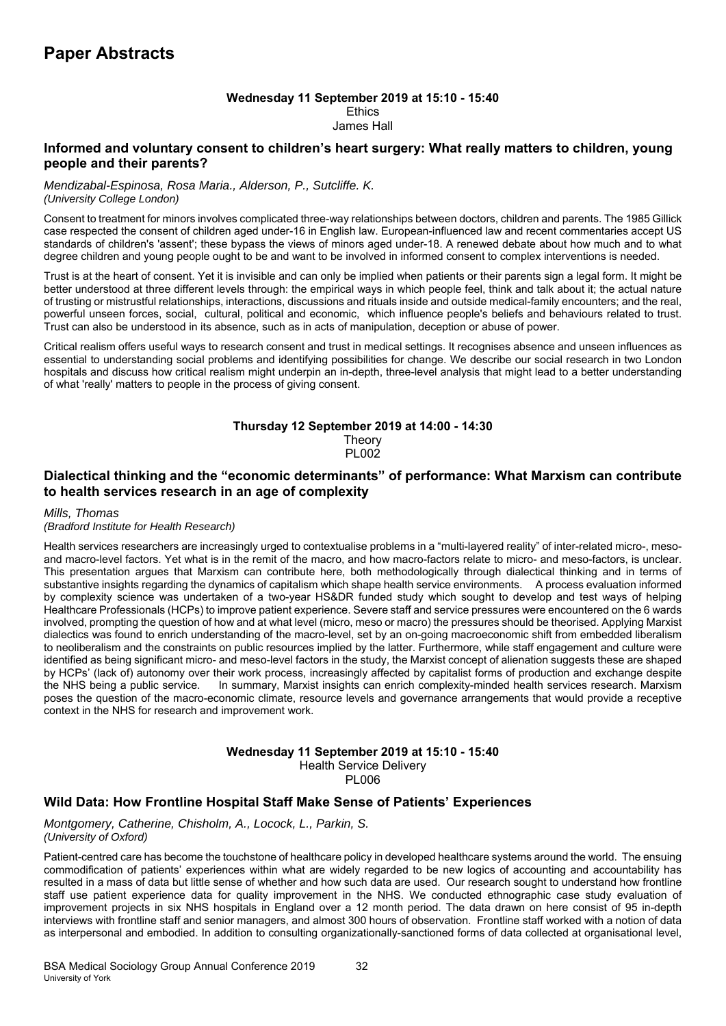# **Wednesday 11 September 2019 at 15:10 - 15:40 Ethics**

### James Hall

## **Informed and voluntary consent to children's heart surgery: What really matters to children, young people and their parents?**

### *Mendizabal-Espinosa, Rosa Maria., Alderson, P., Sutcliffe. K. (University College London)*

Consent to treatment for minors involves complicated three-way relationships between doctors, children and parents. The 1985 Gillick case respected the consent of children aged under-16 in English law. European-influenced law and recent commentaries accept US standards of children's 'assent'; these bypass the views of minors aged under-18. A renewed debate about how much and to what degree children and young people ought to be and want to be involved in informed consent to complex interventions is needed.

Trust is at the heart of consent. Yet it is invisible and can only be implied when patients or their parents sign a legal form. It might be better understood at three different levels through: the empirical ways in which people feel, think and talk about it; the actual nature of trusting or mistrustful relationships, interactions, discussions and rituals inside and outside medical-family encounters; and the real, powerful unseen forces, social, cultural, political and economic, which influence people's beliefs and behaviours related to trust. Trust can also be understood in its absence, such as in acts of manipulation, deception or abuse of power.

Critical realism offers useful ways to research consent and trust in medical settings. It recognises absence and unseen influences as essential to understanding social problems and identifying possibilities for change. We describe our social research in two London hospitals and discuss how critical realism might underpin an in-depth, three-level analysis that might lead to a better understanding of what 'really' matters to people in the process of giving consent.

# **Thursday 12 September 2019 at 14:00 - 14:30**

**Theory** PL002

# **Dialectical thinking and the "economic determinants" of performance: What Marxism can contribute to health services research in an age of complexity**

### *Mills, Thomas*

### *(Bradford Institute for Health Research)*

Health services researchers are increasingly urged to contextualise problems in a "multi-layered reality" of inter-related micro-, mesoand macro-level factors. Yet what is in the remit of the macro, and how macro-factors relate to micro- and meso-factors, is unclear. This presentation argues that Marxism can contribute here, both methodologically through dialectical thinking and in terms of substantive insights regarding the dynamics of capitalism which shape health service environments. A process evaluation informed by complexity science was undertaken of a two-year HS&DR funded study which sought to develop and test ways of helping Healthcare Professionals (HCPs) to improve patient experience. Severe staff and service pressures were encountered on the 6 wards involved, prompting the question of how and at what level (micro, meso or macro) the pressures should be theorised. Applying Marxist dialectics was found to enrich understanding of the macro-level, set by an on-going macroeconomic shift from embedded liberalism to neoliberalism and the constraints on public resources implied by the latter. Furthermore, while staff engagement and culture were identified as being significant micro- and meso-level factors in the study, the Marxist concept of alienation suggests these are shaped by HCPs' (lack of) autonomy over their work process, increasingly affected by capitalist forms of production and exchange despite the NHS being a public service. In summary, Marxist insights can enrich complexity-minded he In summary, Marxist insights can enrich complexity-minded health services research. Marxism poses the question of the macro-economic climate, resource levels and governance arrangements that would provide a receptive context in the NHS for research and improvement work.

#### **Wednesday 11 September 2019 at 15:10 - 15:40**  Health Service Delivery PL006

# **Wild Data: How Frontline Hospital Staff Make Sense of Patients' Experiences**

### *Montgomery, Catherine, Chisholm, A., Locock, L., Parkin, S. (University of Oxford)*

Patient-centred care has become the touchstone of healthcare policy in developed healthcare systems around the world. The ensuing commodification of patients' experiences within what are widely regarded to be new logics of accounting and accountability has resulted in a mass of data but little sense of whether and how such data are used. Our research sought to understand how frontline staff use patient experience data for quality improvement in the NHS. We conducted ethnographic case study evaluation of improvement projects in six NHS hospitals in England over a 12 month period. The data drawn on here consist of 95 in-depth interviews with frontline staff and senior managers, and almost 300 hours of observation. Frontline staff worked with a notion of data as interpersonal and embodied. In addition to consulting organizationally-sanctioned forms of data collected at organisational level,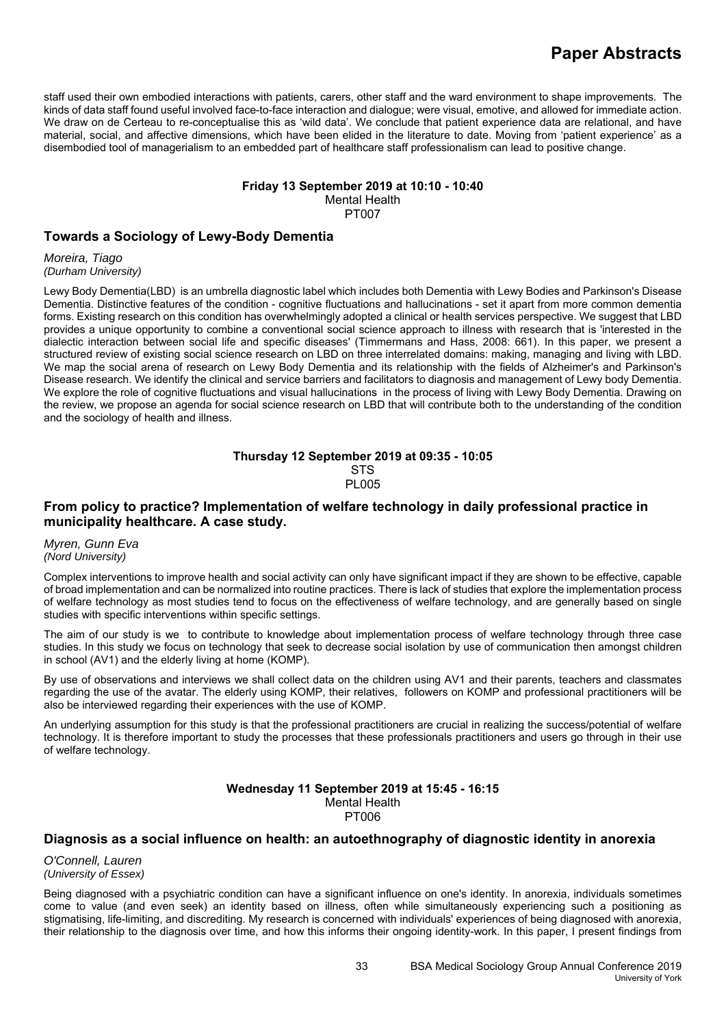staff used their own embodied interactions with patients, carers, other staff and the ward environment to shape improvements. The kinds of data staff found useful involved face-to-face interaction and dialogue; were visual, emotive, and allowed for immediate action. We draw on de Certeau to re-conceptualise this as 'wild data'. We conclude that patient experience data are relational, and have material, social, and affective dimensions, which have been elided in the literature to date. Moving from 'patient experience' as a disembodied tool of managerialism to an embedded part of healthcare staff professionalism can lead to positive change.

### **Friday 13 September 2019 at 10:10 - 10:40**

Mental Health

PT007

# **Towards a Sociology of Lewy-Body Dementia**

*Moreira, Tiago (Durham University)*

Lewy Body Dementia(LBD) is an umbrella diagnostic label which includes both Dementia with Lewy Bodies and Parkinson's Disease Dementia. Distinctive features of the condition - cognitive fluctuations and hallucinations - set it apart from more common dementia forms. Existing research on this condition has overwhelmingly adopted a clinical or health services perspective. We suggest that LBD provides a unique opportunity to combine a conventional social science approach to illness with research that is 'interested in the dialectic interaction between social life and specific diseases' (Timmermans and Hass, 2008: 661). In this paper, we present a structured review of existing social science research on LBD on three interrelated domains: making, managing and living with LBD. We map the social arena of research on Lewy Body Dementia and its relationship with the fields of Alzheimer's and Parkinson's Disease research. We identify the clinical and service barriers and facilitators to diagnosis and management of Lewy body Dementia. We explore the role of cognitive fluctuations and visual hallucinations in the process of living with Lewy Body Dementia. Drawing on the review, we propose an agenda for social science research on LBD that will contribute both to the understanding of the condition and the sociology of health and illness.

### **Thursday 12 September 2019 at 09:35 - 10:05 STS** PL005

# **From policy to practice? Implementation of welfare technology in daily professional practice in municipality healthcare. A case study.**

*Myren, Gunn Eva (Nord University)*

Complex interventions to improve health and social activity can only have significant impact if they are shown to be effective, capable of broad implementation and can be normalized into routine practices. There is lack of studies that explore the implementation process of welfare technology as most studies tend to focus on the effectiveness of welfare technology, and are generally based on single studies with specific interventions within specific settings.

The aim of our study is we to contribute to knowledge about implementation process of welfare technology through three case studies. In this study we focus on technology that seek to decrease social isolation by use of communication then amongst children in school (AV1) and the elderly living at home (KOMP).

By use of observations and interviews we shall collect data on the children using AV1 and their parents, teachers and classmates regarding the use of the avatar. The elderly using KOMP, their relatives, followers on KOMP and professional practitioners will be also be interviewed regarding their experiences with the use of KOMP.

An underlying assumption for this study is that the professional practitioners are crucial in realizing the success/potential of welfare technology. It is therefore important to study the processes that these professionals practitioners and users go through in their use of welfare technology.

### **Wednesday 11 September 2019 at 15:45 - 16:15**  Mental Health PT006

# **Diagnosis as a social influence on health: an autoethnography of diagnostic identity in anorexia**

*O'Connell, Lauren (University of Essex)*

Being diagnosed with a psychiatric condition can have a significant influence on one's identity. In anorexia, individuals sometimes come to value (and even seek) an identity based on illness, often while simultaneously experiencing such a positioning as stigmatising, life-limiting, and discrediting. My research is concerned with individuals' experiences of being diagnosed with anorexia, their relationship to the diagnosis over time, and how this informs their ongoing identity-work. In this paper, I present findings from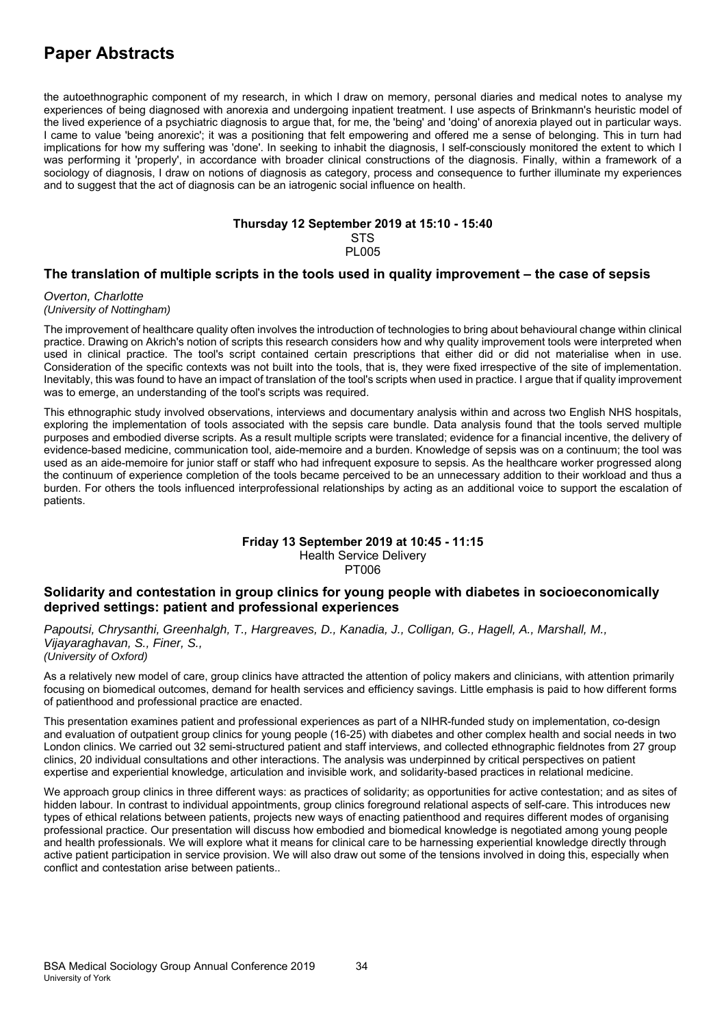the autoethnographic component of my research, in which I draw on memory, personal diaries and medical notes to analyse my experiences of being diagnosed with anorexia and undergoing inpatient treatment. I use aspects of Brinkmann's heuristic model of the lived experience of a psychiatric diagnosis to argue that, for me, the 'being' and 'doing' of anorexia played out in particular ways. I came to value 'being anorexic'; it was a positioning that felt empowering and offered me a sense of belonging. This in turn had implications for how my suffering was 'done'. In seeking to inhabit the diagnosis, I self-consciously monitored the extent to which I was performing it 'properly', in accordance with broader clinical constructions of the diagnosis. Finally, within a framework of a sociology of diagnosis, I draw on notions of diagnosis as category, process and consequence to further illuminate my experiences and to suggest that the act of diagnosis can be an iatrogenic social influence on health.

# **Thursday 12 September 2019 at 15:10 - 15:40**

**STS** PL005

# **The translation of multiple scripts in the tools used in quality improvement – the case of sepsis**

*Overton, Charlotte (University of Nottingham)*

The improvement of healthcare quality often involves the introduction of technologies to bring about behavioural change within clinical practice. Drawing on Akrich's notion of scripts this research considers how and why quality improvement tools were interpreted when used in clinical practice. The tool's script contained certain prescriptions that either did or did not materialise when in use. Consideration of the specific contexts was not built into the tools, that is, they were fixed irrespective of the site of implementation. Inevitably, this was found to have an impact of translation of the tool's scripts when used in practice. I argue that if quality improvement was to emerge, an understanding of the tool's scripts was required.

This ethnographic study involved observations, interviews and documentary analysis within and across two English NHS hospitals, exploring the implementation of tools associated with the sepsis care bundle. Data analysis found that the tools served multiple purposes and embodied diverse scripts. As a result multiple scripts were translated; evidence for a financial incentive, the delivery of evidence-based medicine, communication tool, aide-memoire and a burden. Knowledge of sepsis was on a continuum; the tool was used as an aide-memoire for junior staff or staff who had infrequent exposure to sepsis. As the healthcare worker progressed along the continuum of experience completion of the tools became perceived to be an unnecessary addition to their workload and thus a burden. For others the tools influenced interprofessional relationships by acting as an additional voice to support the escalation of patients.

### **Friday 13 September 2019 at 10:45 - 11:15**  Health Service Delivery PT006

# **Solidarity and contestation in group clinics for young people with diabetes in socioeconomically deprived settings: patient and professional experiences**

*Papoutsi, Chrysanthi, Greenhalgh, T., Hargreaves, D., Kanadia, J., Colligan, G., Hagell, A., Marshall, M., Vijayaraghavan, S., Finer, S., (University of Oxford)*

As a relatively new model of care, group clinics have attracted the attention of policy makers and clinicians, with attention primarily focusing on biomedical outcomes, demand for health services and efficiency savings. Little emphasis is paid to how different forms of patienthood and professional practice are enacted.

This presentation examines patient and professional experiences as part of a NIHR-funded study on implementation, co-design and evaluation of outpatient group clinics for young people (16-25) with diabetes and other complex health and social needs in two London clinics. We carried out 32 semi-structured patient and staff interviews, and collected ethnographic fieldnotes from 27 group clinics, 20 individual consultations and other interactions. The analysis was underpinned by critical perspectives on patient expertise and experiential knowledge, articulation and invisible work, and solidarity-based practices in relational medicine.

We approach group clinics in three different ways: as practices of solidarity; as opportunities for active contestation; and as sites of hidden labour. In contrast to individual appointments, group clinics foreground relational aspects of self-care. This introduces new types of ethical relations between patients, projects new ways of enacting patienthood and requires different modes of organising professional practice. Our presentation will discuss how embodied and biomedical knowledge is negotiated among young people and health professionals. We will explore what it means for clinical care to be harnessing experiential knowledge directly through active patient participation in service provision. We will also draw out some of the tensions involved in doing this, especially when conflict and contestation arise between patients..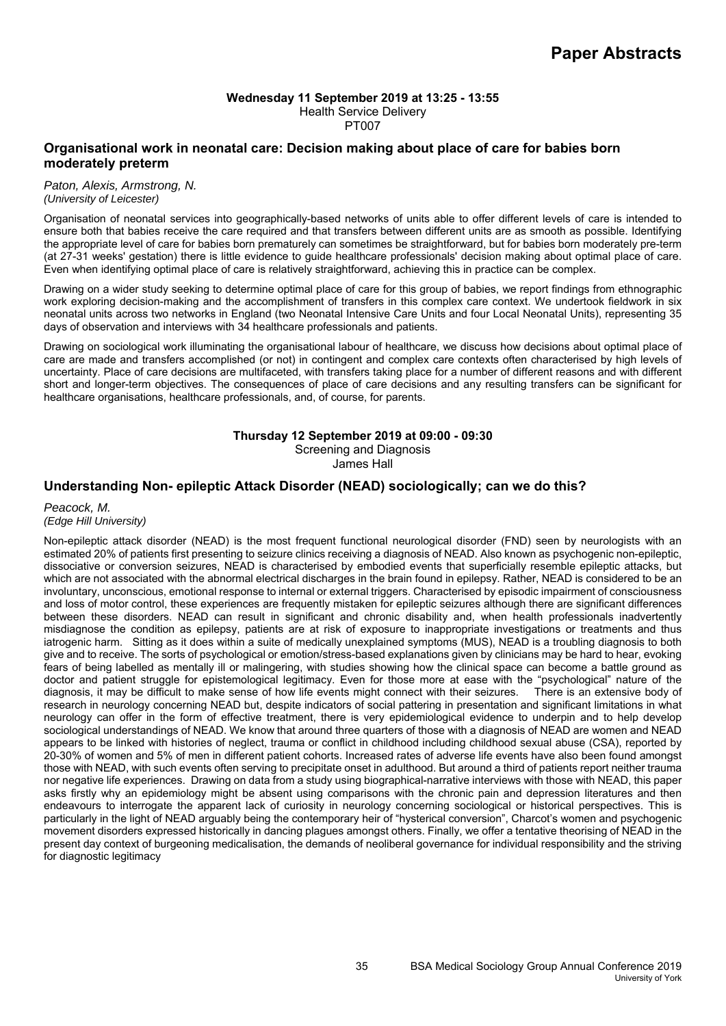### **Wednesday 11 September 2019 at 13:25 - 13:55**  Health Service Delivery PT007

# **Organisational work in neonatal care: Decision making about place of care for babies born moderately preterm**

#### *Paton, Alexis, Armstrong, N. (University of Leicester)*

Organisation of neonatal services into geographically-based networks of units able to offer different levels of care is intended to ensure both that babies receive the care required and that transfers between different units are as smooth as possible. Identifying the appropriate level of care for babies born prematurely can sometimes be straightforward, but for babies born moderately pre-term (at 27-31 weeks' gestation) there is little evidence to guide healthcare professionals' decision making about optimal place of care. Even when identifying optimal place of care is relatively straightforward, achieving this in practice can be complex.

Drawing on a wider study seeking to determine optimal place of care for this group of babies, we report findings from ethnographic work exploring decision-making and the accomplishment of transfers in this complex care context. We undertook fieldwork in six neonatal units across two networks in England (two Neonatal Intensive Care Units and four Local Neonatal Units), representing 35 days of observation and interviews with 34 healthcare professionals and patients.

Drawing on sociological work illuminating the organisational labour of healthcare, we discuss how decisions about optimal place of care are made and transfers accomplished (or not) in contingent and complex care contexts often characterised by high levels of uncertainty. Place of care decisions are multifaceted, with transfers taking place for a number of different reasons and with different short and longer-term objectives. The consequences of place of care decisions and any resulting transfers can be significant for healthcare organisations, healthcare professionals, and, of course, for parents.

# **Thursday 12 September 2019 at 09:00 - 09:30**

Screening and Diagnosis

James Hall

# **Understanding Non- epileptic Attack Disorder (NEAD) sociologically; can we do this?**

### *Peacock, M. (Edge Hill University)*

Non-epileptic attack disorder (NEAD) is the most frequent functional neurological disorder (FND) seen by neurologists with an estimated 20% of patients first presenting to seizure clinics receiving a diagnosis of NEAD. Also known as psychogenic non-epileptic, dissociative or conversion seizures, NEAD is characterised by embodied events that superficially resemble epileptic attacks, but which are not associated with the abnormal electrical discharges in the brain found in epilepsy. Rather, NEAD is considered to be an involuntary, unconscious, emotional response to internal or external triggers. Characterised by episodic impairment of consciousness and loss of motor control, these experiences are frequently mistaken for epileptic seizures although there are significant differences between these disorders. NEAD can result in significant and chronic disability and, when health professionals inadvertently misdiagnose the condition as epilepsy, patients are at risk of exposure to inappropriate investigations or treatments and thus iatrogenic harm. Sitting as it does within a suite of medically unexplained symptoms (MUS), NEAD is a troubling diagnosis to both give and to receive. The sorts of psychological or emotion/stress-based explanations given by clinicians may be hard to hear, evoking fears of being labelled as mentally ill or malingering, with studies showing how the clinical space can become a battle ground as doctor and patient struggle for epistemological legitimacy. Even for those more at ease with the "psychological" nature of the diagnosis, it may be difficult to make sense of how life events might connect with their seizures. There is an extensive body of research in neurology concerning NEAD but, despite indicators of social pattering in presentation and significant limitations in what neurology can offer in the form of effective treatment, there is very epidemiological evidence to underpin and to help develop sociological understandings of NEAD. We know that around three quarters of those with a diagnosis of NEAD are women and NEAD appears to be linked with histories of neglect, trauma or conflict in childhood including childhood sexual abuse (CSA), reported by 20-30% of women and 5% of men in different patient cohorts. Increased rates of adverse life events have also been found amongst those with NEAD, with such events often serving to precipitate onset in adulthood. But around a third of patients report neither trauma nor negative life experiences. Drawing on data from a study using biographical-narrative interviews with those with NEAD, this paper asks firstly why an epidemiology might be absent using comparisons with the chronic pain and depression literatures and then endeavours to interrogate the apparent lack of curiosity in neurology concerning sociological or historical perspectives. This is particularly in the light of NEAD arguably being the contemporary heir of "hysterical conversion", Charcot's women and psychogenic movement disorders expressed historically in dancing plagues amongst others. Finally, we offer a tentative theorising of NEAD in the present day context of burgeoning medicalisation, the demands of neoliberal governance for individual responsibility and the striving for diagnostic legitimacy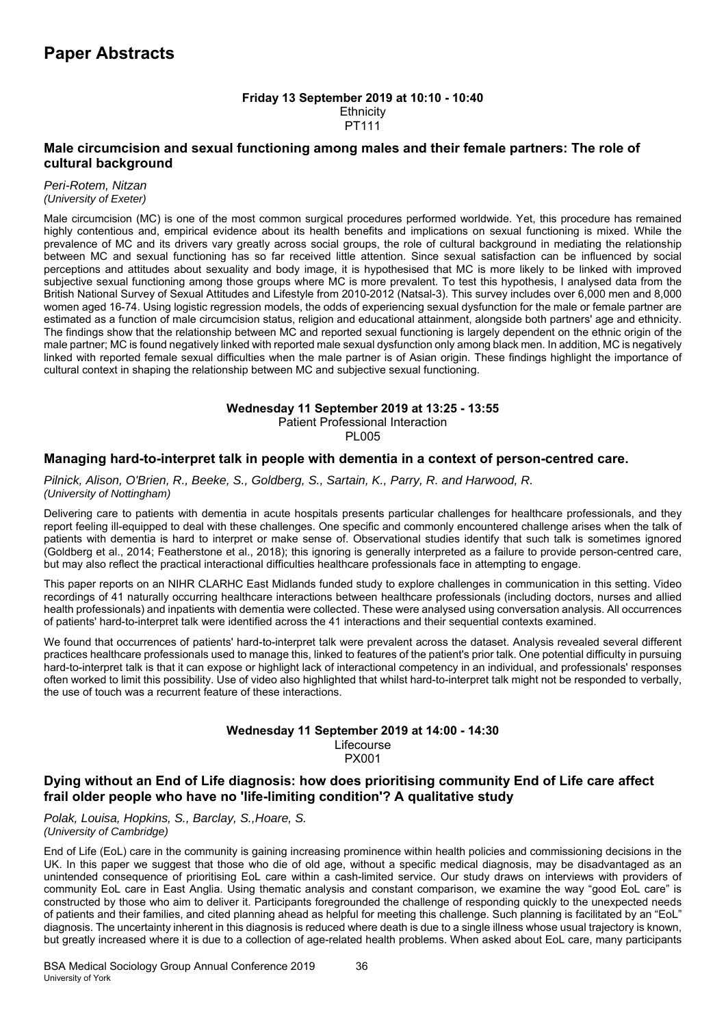### **Friday 13 September 2019 at 10:10 - 10:40 Ethnicity** PT111

# **Male circumcision and sexual functioning among males and their female partners: The role of cultural background**

### *Peri-Rotem, Nitzan (University of Exeter)*

Male circumcision (MC) is one of the most common surgical procedures performed worldwide. Yet, this procedure has remained highly contentious and, empirical evidence about its health benefits and implications on sexual functioning is mixed. While the prevalence of MC and its drivers vary greatly across social groups, the role of cultural background in mediating the relationship between MC and sexual functioning has so far received little attention. Since sexual satisfaction can be influenced by social perceptions and attitudes about sexuality and body image, it is hypothesised that MC is more likely to be linked with improved subjective sexual functioning among those groups where MC is more prevalent. To test this hypothesis, I analysed data from the British National Survey of Sexual Attitudes and Lifestyle from 2010-2012 (Natsal-3). This survey includes over 6,000 men and 8,000 women aged 16-74. Using logistic regression models, the odds of experiencing sexual dysfunction for the male or female partner are estimated as a function of male circumcision status, religion and educational attainment, alongside both partners' age and ethnicity. The findings show that the relationship between MC and reported sexual functioning is largely dependent on the ethnic origin of the male partner; MC is found negatively linked with reported male sexual dysfunction only among black men. In addition, MC is negatively linked with reported female sexual difficulties when the male partner is of Asian origin. These findings highlight the importance of cultural context in shaping the relationship between MC and subjective sexual functioning.

### **Wednesday 11 September 2019 at 13:25 - 13:55**

Patient Professional Interaction

**PL005** 

# **Managing hard-to-interpret talk in people with dementia in a context of person-centred care.**

*Pilnick, Alison, O'Brien, R., Beeke, S., Goldberg, S., Sartain, K., Parry, R. and Harwood, R. (University of Nottingham)*

Delivering care to patients with dementia in acute hospitals presents particular challenges for healthcare professionals, and they report feeling ill-equipped to deal with these challenges. One specific and commonly encountered challenge arises when the talk of patients with dementia is hard to interpret or make sense of. Observational studies identify that such talk is sometimes ignored (Goldberg et al., 2014; Featherstone et al., 2018); this ignoring is generally interpreted as a failure to provide person-centred care, but may also reflect the practical interactional difficulties healthcare professionals face in attempting to engage.

This paper reports on an NIHR CLARHC East Midlands funded study to explore challenges in communication in this setting. Video recordings of 41 naturally occurring healthcare interactions between healthcare professionals (including doctors, nurses and allied health professionals) and inpatients with dementia were collected. These were analysed using conversation analysis. All occurrences of patients' hard-to-interpret talk were identified across the 41 interactions and their sequential contexts examined.

We found that occurrences of patients' hard-to-interpret talk were prevalent across the dataset. Analysis revealed several different practices healthcare professionals used to manage this, linked to features of the patient's prior talk. One potential difficulty in pursuing hard-to-interpret talk is that it can expose or highlight lack of interactional competency in an individual, and professionals' responses often worked to limit this possibility. Use of video also highlighted that whilst hard-to-interpret talk might not be responded to verbally, the use of touch was a recurrent feature of these interactions.

### **Wednesday 11 September 2019 at 14:00 - 14:30**  Lifecourse PX001

# **Dying without an End of Life diagnosis: how does prioritising community End of Life care affect frail older people who have no 'life-limiting condition'? A qualitative study**

*Polak, Louisa, Hopkins, S., Barclay, S.,Hoare, S. (University of Cambridge)*

End of Life (EoL) care in the community is gaining increasing prominence within health policies and commissioning decisions in the UK. In this paper we suggest that those who die of old age, without a specific medical diagnosis, may be disadvantaged as an unintended consequence of prioritising EoL care within a cash-limited service. Our study draws on interviews with providers of community EoL care in East Anglia. Using thematic analysis and constant comparison, we examine the way "good EoL care" is constructed by those who aim to deliver it. Participants foregrounded the challenge of responding quickly to the unexpected needs of patients and their families, and cited planning ahead as helpful for meeting this challenge. Such planning is facilitated by an "EoL" diagnosis. The uncertainty inherent in this diagnosis is reduced where death is due to a single illness whose usual trajectory is known, but greatly increased where it is due to a collection of age-related health problems. When asked about EoL care, many participants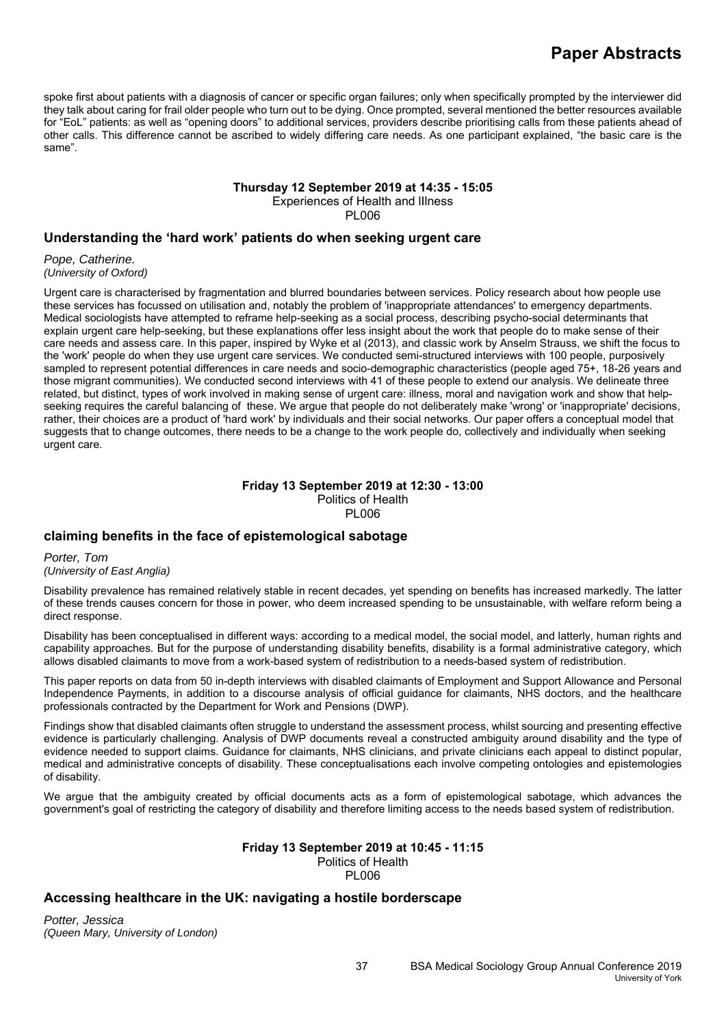spoke first about patients with a diagnosis of cancer or specific organ failures; only when specifically prompted by the interviewer did they talk about caring for frail older people who turn out to be dying. Once prompted, several mentioned the better resources available for "EoL" patients: as well as "opening doors" to additional services, providers describe prioritising calls from these patients ahead of other calls. This difference cannot be ascribed to widely differing care needs. As one participant explained, "the basic care is the same".

# **Thursday 12 September 2019 at 14:35 - 15:05**

Experiences of Health and lIlness PL006

**Understanding the 'hard work' patients do when seeking urgent care** 

*Pope, Catherine. (University of Oxford)*

Urgent care is characterised by fragmentation and blurred boundaries between services. Policy research about how people use these services has focussed on utilisation and, notably the problem of 'inappropriate attendances' to emergency departments. Medical sociologists have attempted to reframe help-seeking as a social process, describing psycho-social determinants that explain urgent care help-seeking, but these explanations offer less insight about the work that people do to make sense of their care needs and assess care. In this paper, inspired by Wyke et al (2013), and classic work by Anselm Strauss, we shift the focus to the 'work' people do when they use urgent care services. We conducted semi-structured interviews with 100 people, purposively sampled to represent potential differences in care needs and socio-demographic characteristics (people aged 75+, 18-26 years and those migrant communities). We conducted second interviews with 41 of these people to extend our analysis. We delineate three related, but distinct, types of work involved in making sense of urgent care: illness, moral and navigation work and show that helpseeking requires the careful balancing of these. We argue that people do not deliberately make 'wrong' or 'inappropriate' decisions, rather, their choices are a product of 'hard work' by individuals and their social networks. Our paper offers a conceptual model that suggests that to change outcomes, there needs to be a change to the work people do, collectively and individually when seeking urgent care.

### **Friday 13 September 2019 at 12:30 - 13:00**  Politics of Health PL006

# **claiming benefits in the face of epistemological sabotage**

*Porter, Tom (University of East Anglia)*

Disability prevalence has remained relatively stable in recent decades, yet spending on benefits has increased markedly. The latter of these trends causes concern for those in power, who deem increased spending to be unsustainable, with welfare reform being a direct response.

Disability has been conceptualised in different ways: according to a medical model, the social model, and latterly, human rights and capability approaches. But for the purpose of understanding disability benefits, disability is a formal administrative category, which allows disabled claimants to move from a work-based system of redistribution to a needs-based system of redistribution.

This paper reports on data from 50 in-depth interviews with disabled claimants of Employment and Support Allowance and Personal Independence Payments, in addition to a discourse analysis of official guidance for claimants, NHS doctors, and the healthcare professionals contracted by the Department for Work and Pensions (DWP).

Findings show that disabled claimants often struggle to understand the assessment process, whilst sourcing and presenting effective evidence is particularly challenging. Analysis of DWP documents reveal a constructed ambiguity around disability and the type of evidence needed to support claims. Guidance for claimants, NHS clinicians, and private clinicians each appeal to distinct popular, medical and administrative concepts of disability. These conceptualisations each involve competing ontologies and epistemologies of disability.

We argue that the ambiguity created by official documents acts as a form of epistemological sabotage, which advances the government's goal of restricting the category of disability and therefore limiting access to the needs based system of redistribution.

# **Friday 13 September 2019 at 10:45 - 11:15**

Politics of Health PL006

# **Accessing healthcare in the UK: navigating a hostile borderscape**

*Potter, Jessica (Queen Mary, University of London)*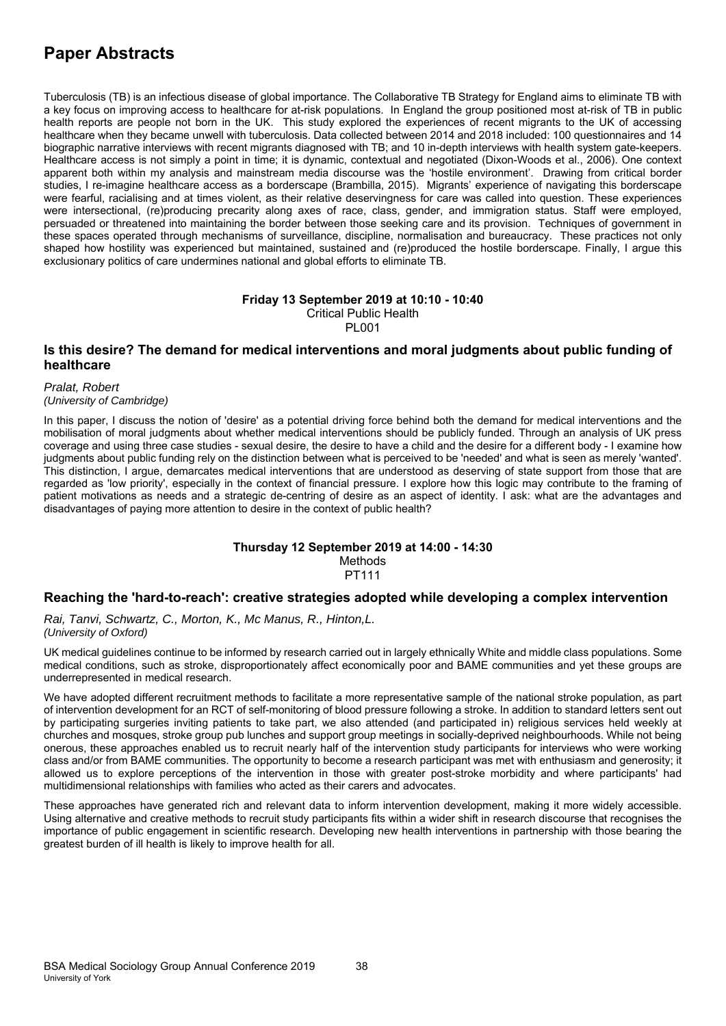Tuberculosis (TB) is an infectious disease of global importance. The Collaborative TB Strategy for England aims to eliminate TB with a key focus on improving access to healthcare for at-risk populations. In England the group positioned most at-risk of TB in public health reports are people not born in the UK. This study explored the experiences of recent migrants to the UK of accessing healthcare when they became unwell with tuberculosis. Data collected between 2014 and 2018 included: 100 questionnaires and 14 biographic narrative interviews with recent migrants diagnosed with TB; and 10 in-depth interviews with health system gate-keepers. Healthcare access is not simply a point in time; it is dynamic, contextual and negotiated (Dixon-Woods et al., 2006). One context apparent both within my analysis and mainstream media discourse was the 'hostile environment'. Drawing from critical border studies, I re-imagine healthcare access as a borderscape (Brambilla, 2015). Migrants' experience of navigating this borderscape were fearful, racialising and at times violent, as their relative deservingness for care was called into question. These experiences were intersectional, (re)producing precarity along axes of race, class, gender, and immigration status. Staff were employed, persuaded or threatened into maintaining the border between those seeking care and its provision. Techniques of government in these spaces operated through mechanisms of surveillance, discipline, normalisation and bureaucracy. These practices not only shaped how hostility was experienced but maintained, sustained and (re)produced the hostile borderscape. Finally, I argue this exclusionary politics of care undermines national and global efforts to eliminate TB.

### **Friday 13 September 2019 at 10:10 - 10:40**  Critical Public Health PL001

# **Is this desire? The demand for medical interventions and moral judgments about public funding of healthcare**

*Pralat, Robert (University of Cambridge)*

In this paper, I discuss the notion of 'desire' as a potential driving force behind both the demand for medical interventions and the mobilisation of moral judgments about whether medical interventions should be publicly funded. Through an analysis of UK press coverage and using three case studies - sexual desire, the desire to have a child and the desire for a different body - I examine how judgments about public funding rely on the distinction between what is perceived to be 'needed' and what is seen as merely 'wanted'. This distinction, I argue, demarcates medical interventions that are understood as deserving of state support from those that are regarded as 'low priority', especially in the context of financial pressure. I explore how this logic may contribute to the framing of patient motivations as needs and a strategic de-centring of desire as an aspect of identity. I ask: what are the advantages and disadvantages of paying more attention to desire in the context of public health?

### **Thursday 12 September 2019 at 14:00 - 14:30**  Methods PT111

# **Reaching the 'hard-to-reach': creative strategies adopted while developing a complex intervention**

*Rai, Tanvi, Schwartz, C., Morton, K., Mc Manus, R., Hinton,L. (University of Oxford)*

UK medical guidelines continue to be informed by research carried out in largely ethnically White and middle class populations. Some medical conditions, such as stroke, disproportionately affect economically poor and BAME communities and yet these groups are underrepresented in medical research.

We have adopted different recruitment methods to facilitate a more representative sample of the national stroke population, as part of intervention development for an RCT of self-monitoring of blood pressure following a stroke. In addition to standard letters sent out by participating surgeries inviting patients to take part, we also attended (and participated in) religious services held weekly at churches and mosques, stroke group pub lunches and support group meetings in socially-deprived neighbourhoods. While not being onerous, these approaches enabled us to recruit nearly half of the intervention study participants for interviews who were working class and/or from BAME communities. The opportunity to become a research participant was met with enthusiasm and generosity; it allowed us to explore perceptions of the intervention in those with greater post-stroke morbidity and where participants' had multidimensional relationships with families who acted as their carers and advocates.

These approaches have generated rich and relevant data to inform intervention development, making it more widely accessible. Using alternative and creative methods to recruit study participants fits within a wider shift in research discourse that recognises the importance of public engagement in scientific research. Developing new health interventions in partnership with those bearing the greatest burden of ill health is likely to improve health for all.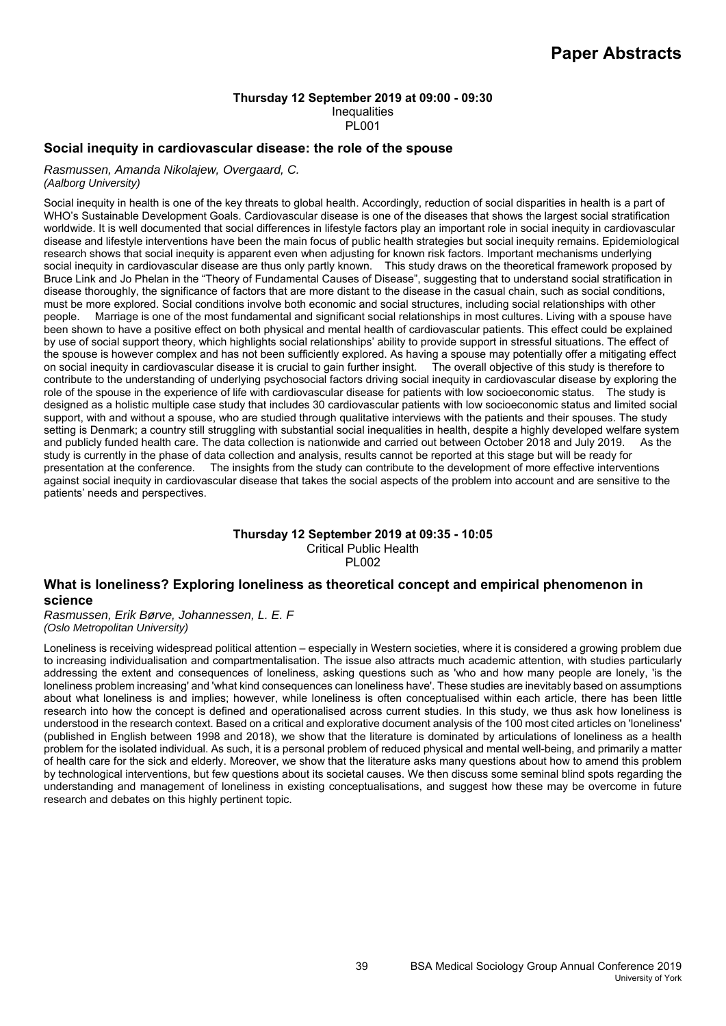# **Thursday 12 September 2019 at 09:00 - 09:30**  Inequalities

### PL001

### **Social inequity in cardiovascular disease: the role of the spouse**

*Rasmussen, Amanda Nikolajew, Overgaard, C. (Aalborg University)*

Social inequity in health is one of the key threats to global health. Accordingly, reduction of social disparities in health is a part of WHO's Sustainable Development Goals. Cardiovascular disease is one of the diseases that shows the largest social stratification worldwide. It is well documented that social differences in lifestyle factors play an important role in social inequity in cardiovascular disease and lifestyle interventions have been the main focus of public health strategies but social inequity remains. Epidemiological research shows that social inequity is apparent even when adjusting for known risk factors. Important mechanisms underlying social inequity in cardiovascular disease are thus only partly known. This study draws on the theoretical framework proposed by Bruce Link and Jo Phelan in the "Theory of Fundamental Causes of Disease", suggesting that to understand social stratification in disease thoroughly, the significance of factors that are more distant to the disease in the casual chain, such as social conditions, must be more explored. Social conditions involve both economic and social structures, including social relationships with other people. Marriage is one of the most fundamental and significant social relationships in most cultures. Living with a spouse have been shown to have a positive effect on both physical and mental health of cardiovascular patients. This effect could be explained by use of social support theory, which highlights social relationships' ability to provide support in stressful situations. The effect of the spouse is however complex and has not been sufficiently explored. As having a spouse may potentially offer a mitigating effect on social inequity in cardiovascular disease it is crucial to gain further insight. The overall objective of this study is therefore to contribute to the understanding of underlying psychosocial factors driving social inequity in cardiovascular disease by exploring the role of the spouse in the experience of life with cardiovascular disease for patients with low socioeconomic status. The study is designed as a holistic multiple case study that includes 30 cardiovascular patients with low socioeconomic status and limited social support, with and without a spouse, who are studied through qualitative interviews with the patients and their spouses. The study setting is Denmark; a country still struggling with substantial social inequalities in health, despite a highly developed welfare system and publicly funded health care. The data collection is nationwide and carried out between October 2018 and July 2019. As the study is currently in the phase of data collection and analysis, results cannot be reported at this stage but will be ready for presentation at the conference. The insights from the study can contribute to the development of more effective interventions against social inequity in cardiovascular disease that takes the social aspects of the problem into account and are sensitive to the patients' needs and perspectives.

### **Thursday 12 September 2019 at 09:35 - 10:05**  Critical Public Health **PL002**

# **What is loneliness? Exploring loneliness as theoretical concept and empirical phenomenon in science**

*Rasmussen, Erik Børve, Johannessen, L. E. F (Oslo Metropolitan University)*

Loneliness is receiving widespread political attention – especially in Western societies, where it is considered a growing problem due to increasing individualisation and compartmentalisation. The issue also attracts much academic attention, with studies particularly addressing the extent and consequences of loneliness, asking questions such as 'who and how many people are lonely, 'is the loneliness problem increasing' and 'what kind consequences can loneliness have'. These studies are inevitably based on assumptions about what loneliness is and implies; however, while loneliness is often conceptualised within each article, there has been little research into how the concept is defined and operationalised across current studies. In this study, we thus ask how loneliness is understood in the research context. Based on a critical and explorative document analysis of the 100 most cited articles on 'loneliness' (published in English between 1998 and 2018), we show that the literature is dominated by articulations of loneliness as a health problem for the isolated individual. As such, it is a personal problem of reduced physical and mental well-being, and primarily a matter of health care for the sick and elderly. Moreover, we show that the literature asks many questions about how to amend this problem by technological interventions, but few questions about its societal causes. We then discuss some seminal blind spots regarding the understanding and management of loneliness in existing conceptualisations, and suggest how these may be overcome in future research and debates on this highly pertinent topic.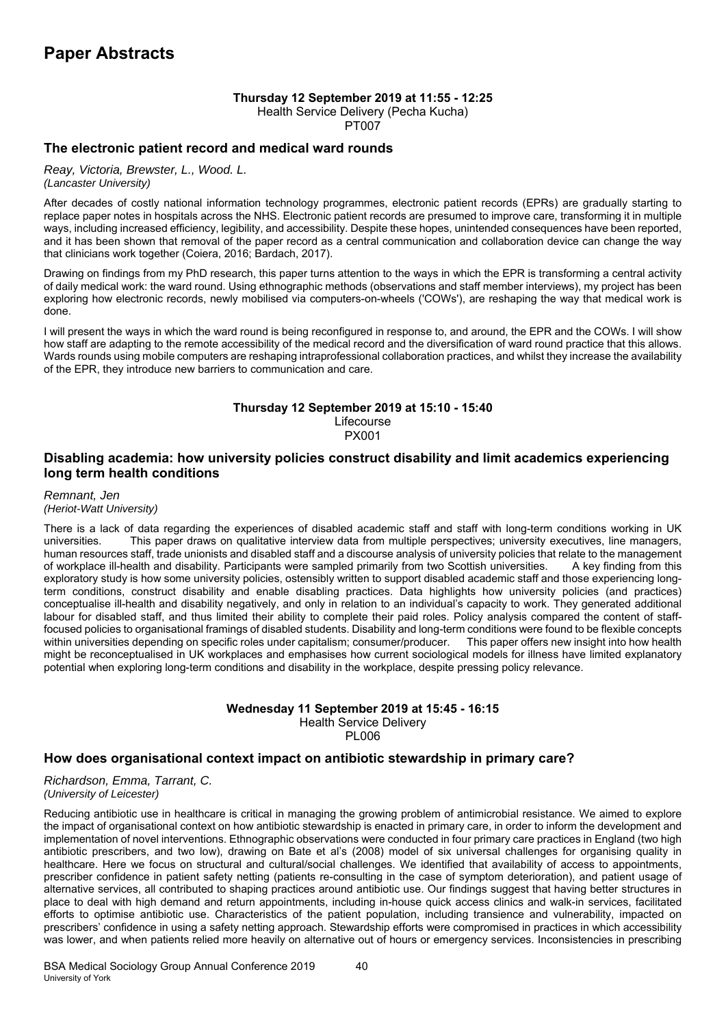# **Thursday 12 September 2019 at 11:55 - 12:25**

Health Service Delivery (Pecha Kucha)

PT007

# **The electronic patient record and medical ward rounds**

*Reay, Victoria, Brewster, L., Wood. L. (Lancaster University)*

After decades of costly national information technology programmes, electronic patient records (EPRs) are gradually starting to replace paper notes in hospitals across the NHS. Electronic patient records are presumed to improve care, transforming it in multiple ways, including increased efficiency, legibility, and accessibility. Despite these hopes, unintended consequences have been reported, and it has been shown that removal of the paper record as a central communication and collaboration device can change the way that clinicians work together (Coiera, 2016; Bardach, 2017).

Drawing on findings from my PhD research, this paper turns attention to the ways in which the EPR is transforming a central activity of daily medical work: the ward round. Using ethnographic methods (observations and staff member interviews), my project has been exploring how electronic records, newly mobilised via computers-on-wheels ('COWs'), are reshaping the way that medical work is done.

I will present the ways in which the ward round is being reconfigured in response to, and around, the EPR and the COWs. I will show how staff are adapting to the remote accessibility of the medical record and the diversification of ward round practice that this allows. Wards rounds using mobile computers are reshaping intraprofessional collaboration practices, and whilst they increase the availability of the EPR, they introduce new barriers to communication and care.

# **Thursday 12 September 2019 at 15:10 - 15:40**  Lifecourse

PX001

# **Disabling academia: how university policies construct disability and limit academics experiencing long term health conditions**

*Remnant, Jen (Heriot-Watt University)*

There is a lack of data regarding the experiences of disabled academic staff and staff with long-term conditions working in UK universities. This paper draws on qualitative interview data from multiple perspectives; university executives, line managers, human resources staff, trade unionists and disabled staff and a discourse analysis of university policies that relate to the management of workplace ill-health and disability. Participants were sampled primarily from two Scottish universities. A key finding from this exploratory study is how some university policies, ostensibly written to support disabled academic staff and those experiencing longterm conditions, construct disability and enable disabling practices. Data highlights how university policies (and practices) conceptualise ill-health and disability negatively, and only in relation to an individual's capacity to work. They generated additional labour for disabled staff, and thus limited their ability to complete their paid roles. Policy analysis compared the content of stafffocused policies to organisational framings of disabled students. Disability and long-term conditions were found to be flexible concepts within universities depending on specific roles under capitalism; consumer/producer. This paper offers new insight into how health might be reconceptualised in UK workplaces and emphasises how current sociological models for illness have limited explanatory potential when exploring long-term conditions and disability in the workplace, despite pressing policy relevance.

### **Wednesday 11 September 2019 at 15:45 - 16:15**  Health Service Delivery PL006

# **How does organisational context impact on antibiotic stewardship in primary care?**

*Richardson, Emma, Tarrant, C. (University of Leicester)*

Reducing antibiotic use in healthcare is critical in managing the growing problem of antimicrobial resistance. We aimed to explore the impact of organisational context on how antibiotic stewardship is enacted in primary care, in order to inform the development and implementation of novel interventions. Ethnographic observations were conducted in four primary care practices in England (two high antibiotic prescribers, and two low), drawing on Bate et al's (2008) model of six universal challenges for organising quality in healthcare. Here we focus on structural and cultural/social challenges. We identified that availability of access to appointments, prescriber confidence in patient safety netting (patients re-consulting in the case of symptom deterioration), and patient usage of alternative services, all contributed to shaping practices around antibiotic use. Our findings suggest that having better structures in place to deal with high demand and return appointments, including in-house quick access clinics and walk-in services, facilitated efforts to optimise antibiotic use. Characteristics of the patient population, including transience and vulnerability, impacted on prescribers' confidence in using a safety netting approach. Stewardship efforts were compromised in practices in which accessibility was lower, and when patients relied more heavily on alternative out of hours or emergency services. Inconsistencies in prescribing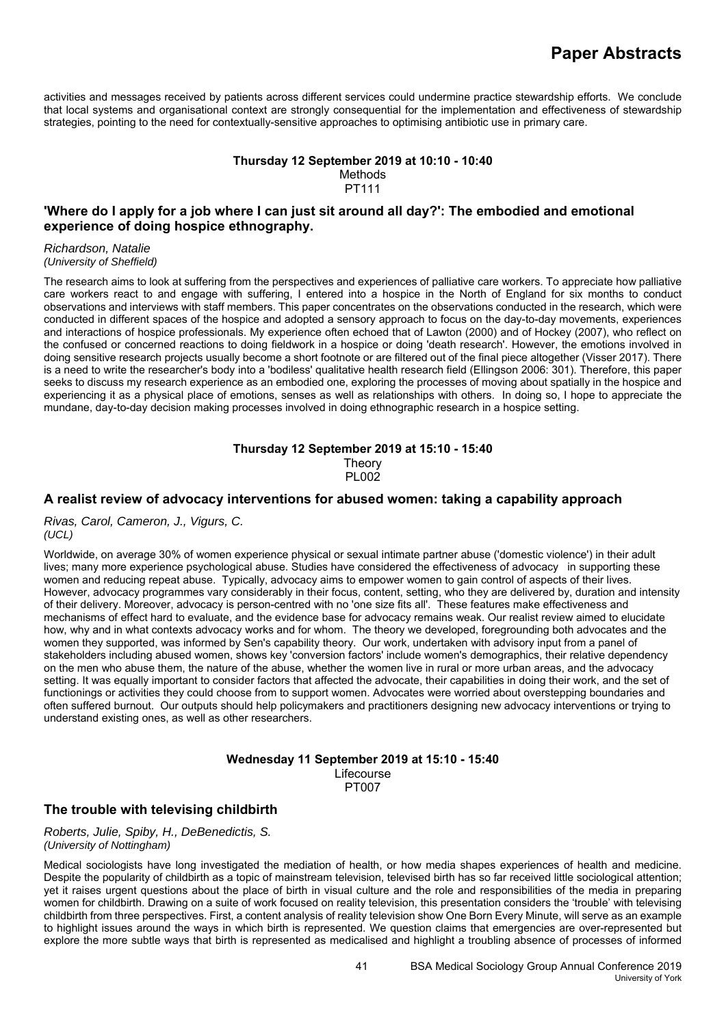activities and messages received by patients across different services could undermine practice stewardship efforts. We conclude that local systems and organisational context are strongly consequential for the implementation and effectiveness of stewardship strategies, pointing to the need for contextually-sensitive approaches to optimising antibiotic use in primary care.

### **Thursday 12 September 2019 at 10:10 - 10:40**  Methods PT111

# **'Where do I apply for a job where I can just sit around all day?': The embodied and emotional experience of doing hospice ethnography.**

*Richardson, Natalie (University of Sheffield)*

The research aims to look at suffering from the perspectives and experiences of palliative care workers. To appreciate how palliative care workers react to and engage with suffering, I entered into a hospice in the North of England for six months to conduct observations and interviews with staff members. This paper concentrates on the observations conducted in the research, which were conducted in different spaces of the hospice and adopted a sensory approach to focus on the day-to-day movements, experiences and interactions of hospice professionals. My experience often echoed that of Lawton (2000) and of Hockey (2007), who reflect on the confused or concerned reactions to doing fieldwork in a hospice or doing 'death research'. However, the emotions involved in doing sensitive research projects usually become a short footnote or are filtered out of the final piece altogether (Visser 2017). There is a need to write the researcher's body into a 'bodiless' qualitative health research field (Ellingson 2006: 301). Therefore, this paper seeks to discuss my research experience as an embodied one, exploring the processes of moving about spatially in the hospice and experiencing it as a physical place of emotions, senses as well as relationships with others. In doing so, I hope to appreciate the mundane, day-to-day decision making processes involved in doing ethnographic research in a hospice setting.

# **Thursday 12 September 2019 at 15:10 - 15:40 Theory**

PL002

# **A realist review of advocacy interventions for abused women: taking a capability approach**

*Rivas, Carol, Cameron, J., Vigurs, C. (UCL)*

Worldwide, on average 30% of women experience physical or sexual intimate partner abuse ('domestic violence') in their adult lives; many more experience psychological abuse. Studies have considered the effectiveness of advocacy in supporting these women and reducing repeat abuse. Typically, advocacy aims to empower women to gain control of aspects of their lives. However, advocacy programmes vary considerably in their focus, content, setting, who they are delivered by, duration and intensity of their delivery. Moreover, advocacy is person-centred with no 'one size fits all'. These features make effectiveness and mechanisms of effect hard to evaluate, and the evidence base for advocacy remains weak. Our realist review aimed to elucidate how, why and in what contexts advocacy works and for whom. The theory we developed, foregrounding both advocates and the women they supported, was informed by Sen's capability theory. Our work, undertaken with advisory input from a panel of stakeholders including abused women, shows key 'conversion factors' include women's demographics, their relative dependency on the men who abuse them, the nature of the abuse, whether the women live in rural or more urban areas, and the advocacy setting. It was equally important to consider factors that affected the advocate, their capabilities in doing their work, and the set of functionings or activities they could choose from to support women. Advocates were worried about overstepping boundaries and often suffered burnout. Our outputs should help policymakers and practitioners designing new advocacy interventions or trying to understand existing ones, as well as other researchers.

### **Wednesday 11 September 2019 at 15:10 - 15:40**

Lifecourse PT007

# **The trouble with televising childbirth**

*Roberts, Julie, Spiby, H., DeBenedictis, S. (University of Nottingham)*

Medical sociologists have long investigated the mediation of health, or how media shapes experiences of health and medicine. Despite the popularity of childbirth as a topic of mainstream television, televised birth has so far received little sociological attention; yet it raises urgent questions about the place of birth in visual culture and the role and responsibilities of the media in preparing women for childbirth. Drawing on a suite of work focused on reality television, this presentation considers the 'trouble' with televising childbirth from three perspectives. First, a content analysis of reality television show One Born Every Minute, will serve as an example to highlight issues around the ways in which birth is represented. We question claims that emergencies are over-represented but explore the more subtle ways that birth is represented as medicalised and highlight a troubling absence of processes of informed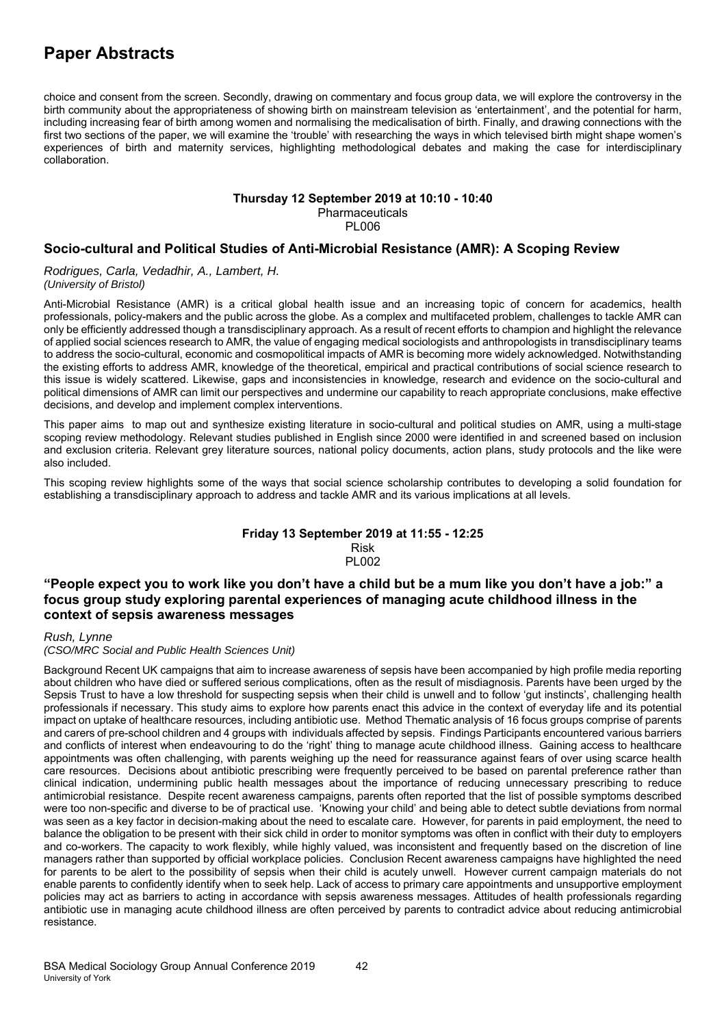choice and consent from the screen. Secondly, drawing on commentary and focus group data, we will explore the controversy in the birth community about the appropriateness of showing birth on mainstream television as 'entertainment', and the potential for harm, including increasing fear of birth among women and normalising the medicalisation of birth. Finally, and drawing connections with the first two sections of the paper, we will examine the 'trouble' with researching the ways in which televised birth might shape women's experiences of birth and maternity services, highlighting methodological debates and making the case for interdisciplinary collaboration.

### **Thursday 12 September 2019 at 10:10 - 10:40**  Pharmaceuticals PL006

### **Socio-cultural and Political Studies of Anti-Microbial Resistance (AMR): A Scoping Review**

*Rodrigues, Carla, Vedadhir, A., Lambert, H. (University of Bristol)*

Anti-Microbial Resistance (AMR) is a critical global health issue and an increasing topic of concern for academics, health professionals, policy-makers and the public across the globe. As a complex and multifaceted problem, challenges to tackle AMR can only be efficiently addressed though a transdisciplinary approach. As a result of recent efforts to champion and highlight the relevance of applied social sciences research to AMR, the value of engaging medical sociologists and anthropologists in transdisciplinary teams to address the socio-cultural, economic and cosmopolitical impacts of AMR is becoming more widely acknowledged. Notwithstanding the existing efforts to address AMR, knowledge of the theoretical, empirical and practical contributions of social science research to this issue is widely scattered. Likewise, gaps and inconsistencies in knowledge, research and evidence on the socio-cultural and political dimensions of AMR can limit our perspectives and undermine our capability to reach appropriate conclusions, make effective decisions, and develop and implement complex interventions.

This paper aims to map out and synthesize existing literature in socio-cultural and political studies on AMR, using a multi-stage scoping review methodology. Relevant studies published in English since 2000 were identified in and screened based on inclusion and exclusion criteria. Relevant grey literature sources, national policy documents, action plans, study protocols and the like were also included.

This scoping review highlights some of the ways that social science scholarship contributes to developing a solid foundation for establishing a transdisciplinary approach to address and tackle AMR and its various implications at all levels.

#### **Friday 13 September 2019 at 11:55 - 12:25**  Risk

PL002

# **"People expect you to work like you don't have a child but be a mum like you don't have a job:" a focus group study exploring parental experiences of managing acute childhood illness in the context of sepsis awareness messages**

*Rush, Lynne* 

# *(CSO/MRC Social and Public Health Sciences Unit)*

Background Recent UK campaigns that aim to increase awareness of sepsis have been accompanied by high profile media reporting about children who have died or suffered serious complications, often as the result of misdiagnosis. Parents have been urged by the Sepsis Trust to have a low threshold for suspecting sepsis when their child is unwell and to follow 'gut instincts', challenging health professionals if necessary. This study aims to explore how parents enact this advice in the context of everyday life and its potential impact on uptake of healthcare resources, including antibiotic use. Method Thematic analysis of 16 focus groups comprise of parents and carers of pre-school children and 4 groups with individuals affected by sepsis. Findings Participants encountered various barriers and conflicts of interest when endeavouring to do the 'right' thing to manage acute childhood illness. Gaining access to healthcare appointments was often challenging, with parents weighing up the need for reassurance against fears of over using scarce health care resources. Decisions about antibiotic prescribing were frequently perceived to be based on parental preference rather than clinical indication, undermining public health messages about the importance of reducing unnecessary prescribing to reduce antimicrobial resistance. Despite recent awareness campaigns, parents often reported that the list of possible symptoms described were too non-specific and diverse to be of practical use. 'Knowing your child' and being able to detect subtle deviations from normal was seen as a key factor in decision-making about the need to escalate care. However, for parents in paid employment, the need to balance the obligation to be present with their sick child in order to monitor symptoms was often in conflict with their duty to employers and co-workers. The capacity to work flexibly, while highly valued, was inconsistent and frequently based on the discretion of line managers rather than supported by official workplace policies. Conclusion Recent awareness campaigns have highlighted the need for parents to be alert to the possibility of sepsis when their child is acutely unwell. However current campaign materials do not enable parents to confidently identify when to seek help. Lack of access to primary care appointments and unsupportive employment policies may act as barriers to acting in accordance with sepsis awareness messages. Attitudes of health professionals regarding antibiotic use in managing acute childhood illness are often perceived by parents to contradict advice about reducing antimicrobial resistance.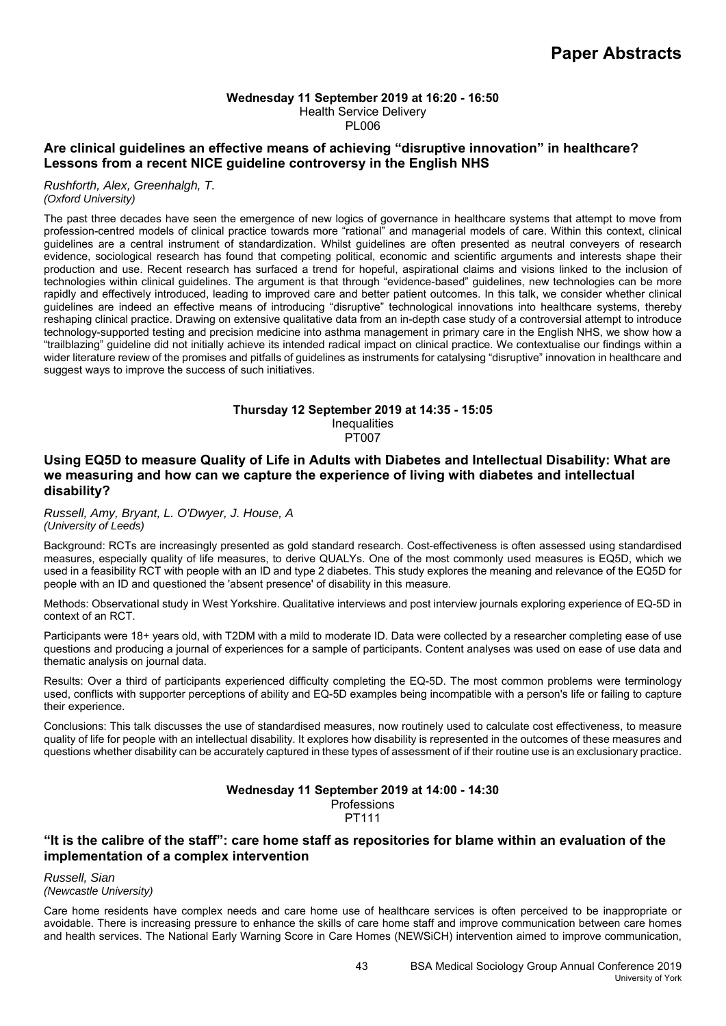# **Wednesday 11 September 2019 at 16:20 - 16:50**  Health Service Delivery

PL006

# **Are clinical guidelines an effective means of achieving "disruptive innovation" in healthcare? Lessons from a recent NICE guideline controversy in the English NHS**

*Rushforth, Alex, Greenhalgh, T. (Oxford University)*

The past three decades have seen the emergence of new logics of governance in healthcare systems that attempt to move from profession-centred models of clinical practice towards more "rational" and managerial models of care. Within this context, clinical guidelines are a central instrument of standardization. Whilst guidelines are often presented as neutral conveyers of research evidence, sociological research has found that competing political, economic and scientific arguments and interests shape their production and use. Recent research has surfaced a trend for hopeful, aspirational claims and visions linked to the inclusion of technologies within clinical guidelines. The argument is that through "evidence-based" guidelines, new technologies can be more rapidly and effectively introduced, leading to improved care and better patient outcomes. In this talk, we consider whether clinical guidelines are indeed an effective means of introducing "disruptive" technological innovations into healthcare systems, thereby reshaping clinical practice. Drawing on extensive qualitative data from an in-depth case study of a controversial attempt to introduce technology-supported testing and precision medicine into asthma management in primary care in the English NHS, we show how a "trailblazing" guideline did not initially achieve its intended radical impact on clinical practice. We contextualise our findings within a wider literature review of the promises and pitfalls of guidelines as instruments for catalysing "disruptive" innovation in healthcare and suggest ways to improve the success of such initiatives.

### **Thursday 12 September 2019 at 14:35 - 15:05 Inequalities** PT007

# **Using EQ5D to measure Quality of Life in Adults with Diabetes and Intellectual Disability: What are we measuring and how can we capture the experience of living with diabetes and intellectual disability?**

*Russell, Amy, Bryant, L. O'Dwyer, J. House, A (University of Leeds)*

Background: RCTs are increasingly presented as gold standard research. Cost-effectiveness is often assessed using standardised measures, especially quality of life measures, to derive QUALYs. One of the most commonly used measures is EQ5D, which we used in a feasibility RCT with people with an ID and type 2 diabetes. This study explores the meaning and relevance of the EQ5D for people with an ID and questioned the 'absent presence' of disability in this measure.

Methods: Observational study in West Yorkshire. Qualitative interviews and post interview journals exploring experience of EQ-5D in context of an RCT.

Participants were 18+ years old, with T2DM with a mild to moderate ID. Data were collected by a researcher completing ease of use questions and producing a journal of experiences for a sample of participants. Content analyses was used on ease of use data and thematic analysis on journal data.

Results: Over a third of participants experienced difficulty completing the EQ-5D. The most common problems were terminology used, conflicts with supporter perceptions of ability and EQ-5D examples being incompatible with a person's life or failing to capture their experience.

Conclusions: This talk discusses the use of standardised measures, now routinely used to calculate cost effectiveness, to measure quality of life for people with an intellectual disability. It explores how disability is represented in the outcomes of these measures and questions whether disability can be accurately captured in these types of assessment of if their routine use is an exclusionary practice.

# **Wednesday 11 September 2019 at 14:00 - 14:30**

**Professions** 

PT111

# **"It is the calibre of the staff": care home staff as repositories for blame within an evaluation of the implementation of a complex intervention**

*Russell, Sian (Newcastle University)*

Care home residents have complex needs and care home use of healthcare services is often perceived to be inappropriate or avoidable. There is increasing pressure to enhance the skills of care home staff and improve communication between care homes and health services. The National Early Warning Score in Care Homes (NEWSiCH) intervention aimed to improve communication,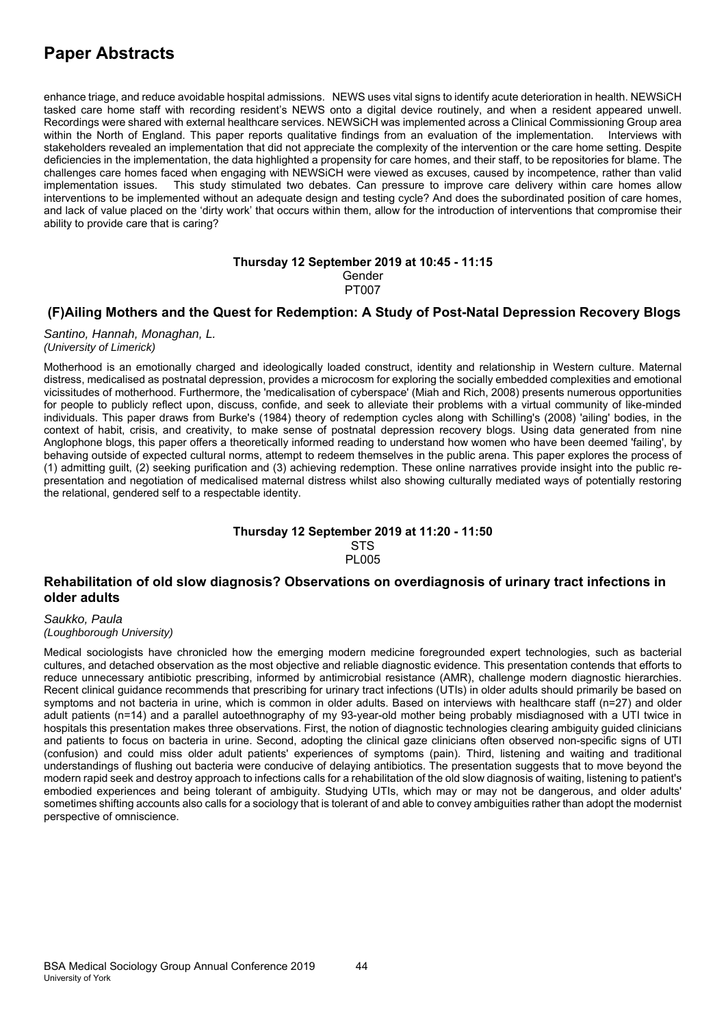enhance triage, and reduce avoidable hospital admissions. NEWS uses vital signs to identify acute deterioration in health. NEWSiCH tasked care home staff with recording resident's NEWS onto a digital device routinely, and when a resident appeared unwell. Recordings were shared with external healthcare services. NEWSiCH was implemented across a Clinical Commissioning Group area within the North of England. This paper reports qualitative findings from an evaluation of the implementation. Interviews with stakeholders revealed an implementation that did not appreciate the complexity of the intervention or the care home setting. Despite deficiencies in the implementation, the data highlighted a propensity for care homes, and their staff, to be repositories for blame. The challenges care homes faced when engaging with NEWSiCH were viewed as excuses, caused by incompetence, rather than valid implementation issues. This study stimulated two debates. Can pressure to improve care delivery within care homes allow interventions to be implemented without an adequate design and testing cycle? And does the subordinated position of care homes, and lack of value placed on the 'dirty work' that occurs within them, allow for the introduction of interventions that compromise their ability to provide care that is caring?

### **Thursday 12 September 2019 at 10:45 - 11:15**  Gender PT007

# **(F)Ailing Mothers and the Quest for Redemption: A Study of Post-Natal Depression Recovery Blogs**

*Santino, Hannah, Monaghan, L. (University of Limerick)*

Motherhood is an emotionally charged and ideologically loaded construct, identity and relationship in Western culture. Maternal distress, medicalised as postnatal depression, provides a microcosm for exploring the socially embedded complexities and emotional vicissitudes of motherhood. Furthermore, the 'medicalisation of cyberspace' (Miah and Rich, 2008) presents numerous opportunities for people to publicly reflect upon, discuss, confide, and seek to alleviate their problems with a virtual community of like-minded individuals. This paper draws from Burke's (1984) theory of redemption cycles along with Schilling's (2008) 'ailing' bodies, in the context of habit, crisis, and creativity, to make sense of postnatal depression recovery blogs. Using data generated from nine Anglophone blogs, this paper offers a theoretically informed reading to understand how women who have been deemed 'failing', by behaving outside of expected cultural norms, attempt to redeem themselves in the public arena. This paper explores the process of (1) admitting guilt, (2) seeking purification and (3) achieving redemption. These online narratives provide insight into the public representation and negotiation of medicalised maternal distress whilst also showing culturally mediated ways of potentially restoring the relational, gendered self to a respectable identity.

#### **Thursday 12 September 2019 at 11:20 - 11:50 STS PL005**

# **Rehabilitation of old slow diagnosis? Observations on overdiagnosis of urinary tract infections in older adults**

*Saukko, Paula (Loughborough University)*

Medical sociologists have chronicled how the emerging modern medicine foregrounded expert technologies, such as bacterial cultures, and detached observation as the most objective and reliable diagnostic evidence. This presentation contends that efforts to reduce unnecessary antibiotic prescribing, informed by antimicrobial resistance (AMR), challenge modern diagnostic hierarchies. Recent clinical guidance recommends that prescribing for urinary tract infections (UTIs) in older adults should primarily be based on symptoms and not bacteria in urine, which is common in older adults. Based on interviews with healthcare staff (n=27) and older adult patients (n=14) and a parallel autoethnography of my 93-year-old mother being probably misdiagnosed with a UTI twice in hospitals this presentation makes three observations. First, the notion of diagnostic technologies clearing ambiguity guided clinicians and patients to focus on bacteria in urine. Second, adopting the clinical gaze clinicians often observed non-specific signs of UTI (confusion) and could miss older adult patients' experiences of symptoms (pain). Third, listening and waiting and traditional understandings of flushing out bacteria were conducive of delaying antibiotics. The presentation suggests that to move beyond the modern rapid seek and destroy approach to infections calls for a rehabilitation of the old slow diagnosis of waiting, listening to patient's embodied experiences and being tolerant of ambiguity. Studying UTIs, which may or may not be dangerous, and older adults' sometimes shifting accounts also calls for a sociology that is tolerant of and able to convey ambiguities rather than adopt the modernist perspective of omniscience.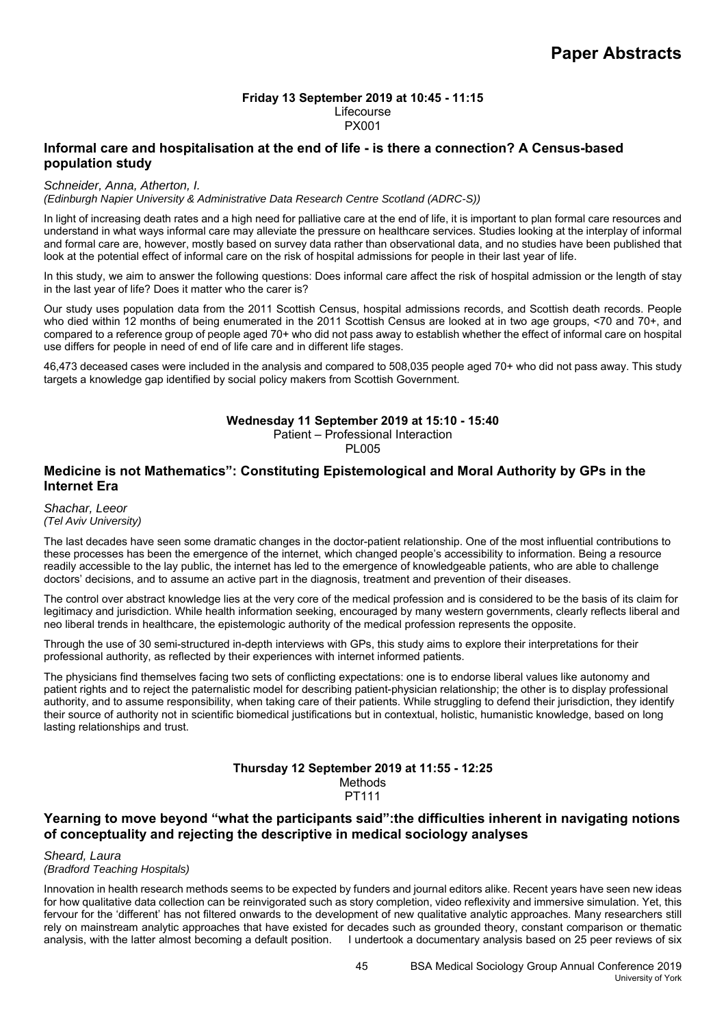# **Friday 13 September 2019 at 10:45 - 11:15**  Lifecourse

### PX001

# **Informal care and hospitalisation at the end of life - is there a connection? A Census-based population study**

### *Schneider, Anna, Atherton, I.*

*(Edinburgh Napier University & Administrative Data Research Centre Scotland (ADRC-S))*

In light of increasing death rates and a high need for palliative care at the end of life, it is important to plan formal care resources and understand in what ways informal care may alleviate the pressure on healthcare services. Studies looking at the interplay of informal and formal care are, however, mostly based on survey data rather than observational data, and no studies have been published that look at the potential effect of informal care on the risk of hospital admissions for people in their last year of life.

In this study, we aim to answer the following questions: Does informal care affect the risk of hospital admission or the length of stay in the last year of life? Does it matter who the carer is?

Our study uses population data from the 2011 Scottish Census, hospital admissions records, and Scottish death records. People who died within 12 months of being enumerated in the 2011 Scottish Census are looked at in two age groups, <70 and 70+, and compared to a reference group of people aged 70+ who did not pass away to establish whether the effect of informal care on hospital use differs for people in need of end of life care and in different life stages.

46,473 deceased cases were included in the analysis and compared to 508,035 people aged 70+ who did not pass away. This study targets a knowledge gap identified by social policy makers from Scottish Government.

### **Wednesday 11 September 2019 at 15:10 - 15:40**

Patient – Professional Interaction

**PL005** 

# **Medicine is not Mathematics": Constituting Epistemological and Moral Authority by GPs in the Internet Era**

#### *Shachar, Leeor (Tel Aviv University)*

The last decades have seen some dramatic changes in the doctor-patient relationship. One of the most influential contributions to these processes has been the emergence of the internet, which changed people's accessibility to information. Being a resource readily accessible to the lay public, the internet has led to the emergence of knowledgeable patients, who are able to challenge doctors' decisions, and to assume an active part in the diagnosis, treatment and prevention of their diseases.

The control over abstract knowledge lies at the very core of the medical profession and is considered to be the basis of its claim for legitimacy and jurisdiction. While health information seeking, encouraged by many western governments, clearly reflects liberal and neo liberal trends in healthcare, the epistemologic authority of the medical profession represents the opposite.

Through the use of 30 semi-structured in-depth interviews with GPs, this study aims to explore their interpretations for their professional authority, as reflected by their experiences with internet informed patients.

The physicians find themselves facing two sets of conflicting expectations: one is to endorse liberal values like autonomy and patient rights and to reject the paternalistic model for describing patient-physician relationship; the other is to display professional authority, and to assume responsibility, when taking care of their patients. While struggling to defend their jurisdiction, they identify their source of authority not in scientific biomedical justifications but in contextual, holistic, humanistic knowledge, based on long lasting relationships and trust.

### **Thursday 12 September 2019 at 11:55 - 12:25**  Methods PT111

# **Yearning to move beyond "what the participants said":the difficulties inherent in navigating notions of conceptuality and rejecting the descriptive in medical sociology analyses**

*Sheard, Laura (Bradford Teaching Hospitals)*

Innovation in health research methods seems to be expected by funders and journal editors alike. Recent years have seen new ideas for how qualitative data collection can be reinvigorated such as story completion, video reflexivity and immersive simulation. Yet, this fervour for the 'different' has not filtered onwards to the development of new qualitative analytic approaches. Many researchers still rely on mainstream analytic approaches that have existed for decades such as grounded theory, constant comparison or thematic analysis, with the latter almost becoming a default position. I undertook a documentary analysis based on 25 peer reviews of six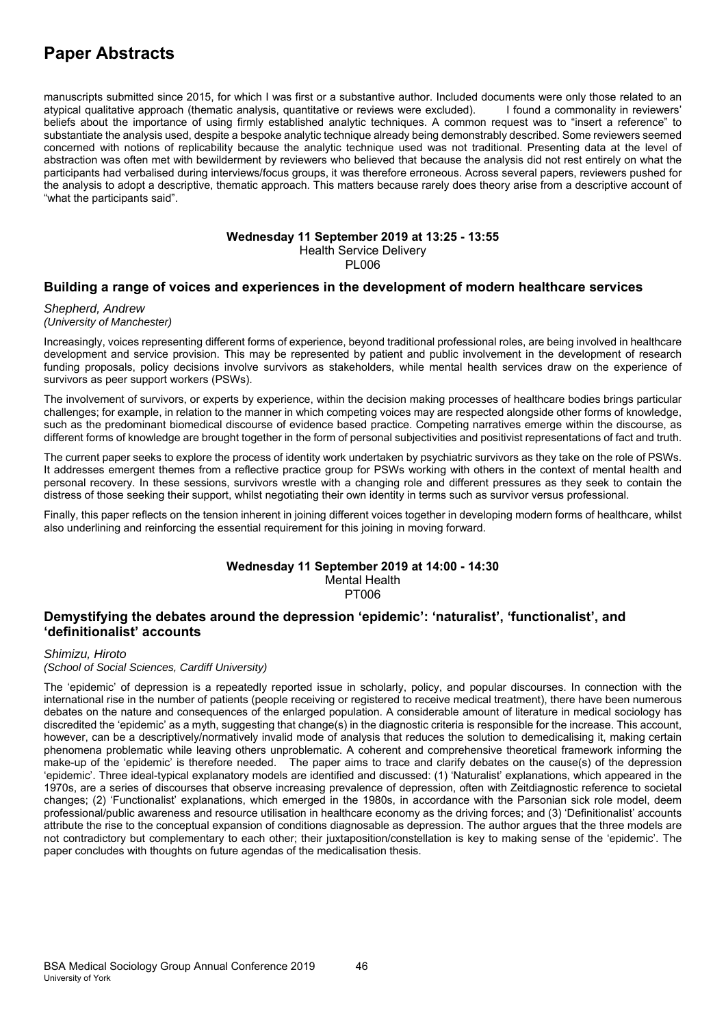manuscripts submitted since 2015, for which I was first or a substantive author. Included documents were only those related to an atypical qualitative approach (thematic analysis, quantitative or reviews were excluded). I found a commonality in reviewers' beliefs about the importance of using firmly established analytic techniques. A common request was to "insert a reference" to substantiate the analysis used, despite a bespoke analytic technique already being demonstrably described. Some reviewers seemed concerned with notions of replicability because the analytic technique used was not traditional. Presenting data at the level of abstraction was often met with bewilderment by reviewers who believed that because the analysis did not rest entirely on what the participants had verbalised during interviews/focus groups, it was therefore erroneous. Across several papers, reviewers pushed for the analysis to adopt a descriptive, thematic approach. This matters because rarely does theory arise from a descriptive account of "what the participants said".

### **Wednesday 11 September 2019 at 13:25 - 13:55**  Health Service Delivery PL006

### **Building a range of voices and experiences in the development of modern healthcare services**

### *Shepherd, Andrew (University of Manchester)*

Increasingly, voices representing different forms of experience, beyond traditional professional roles, are being involved in healthcare development and service provision. This may be represented by patient and public involvement in the development of research funding proposals, policy decisions involve survivors as stakeholders, while mental health services draw on the experience of survivors as peer support workers (PSWs).

The involvement of survivors, or experts by experience, within the decision making processes of healthcare bodies brings particular challenges; for example, in relation to the manner in which competing voices may are respected alongside other forms of knowledge, such as the predominant biomedical discourse of evidence based practice. Competing narratives emerge within the discourse, as different forms of knowledge are brought together in the form of personal subjectivities and positivist representations of fact and truth.

The current paper seeks to explore the process of identity work undertaken by psychiatric survivors as they take on the role of PSWs. It addresses emergent themes from a reflective practice group for PSWs working with others in the context of mental health and personal recovery. In these sessions, survivors wrestle with a changing role and different pressures as they seek to contain the distress of those seeking their support, whilst negotiating their own identity in terms such as survivor versus professional.

Finally, this paper reflects on the tension inherent in joining different voices together in developing modern forms of healthcare, whilst also underlining and reinforcing the essential requirement for this joining in moving forward.

#### **Wednesday 11 September 2019 at 14:00 - 14:30**  Mental Health PT006

# **Demystifying the debates around the depression 'epidemic': 'naturalist', 'functionalist', and 'definitionalist' accounts**

*Shimizu, Hiroto* 

*(School of Social Sciences, Cardiff University)*

The 'epidemic' of depression is a repeatedly reported issue in scholarly, policy, and popular discourses. In connection with the international rise in the number of patients (people receiving or registered to receive medical treatment), there have been numerous debates on the nature and consequences of the enlarged population. A considerable amount of literature in medical sociology has discredited the 'epidemic' as a myth, suggesting that change(s) in the diagnostic criteria is responsible for the increase. This account, however, can be a descriptively/normatively invalid mode of analysis that reduces the solution to demedicalising it, making certain phenomena problematic while leaving others unproblematic. A coherent and comprehensive theoretical framework informing the make-up of the 'epidemic' is therefore needed. The paper aims to trace and clarify debates on the cause(s) of the depression 'epidemic'. Three ideal-typical explanatory models are identified and discussed: (1) 'Naturalist' explanations, which appeared in the 1970s, are a series of discourses that observe increasing prevalence of depression, often with Zeitdiagnostic reference to societal changes; (2) 'Functionalist' explanations, which emerged in the 1980s, in accordance with the Parsonian sick role model, deem professional/public awareness and resource utilisation in healthcare economy as the driving forces; and (3) 'Definitionalist' accounts attribute the rise to the conceptual expansion of conditions diagnosable as depression. The author argues that the three models are not contradictory but complementary to each other; their juxtaposition/constellation is key to making sense of the 'epidemic'. The paper concludes with thoughts on future agendas of the medicalisation thesis.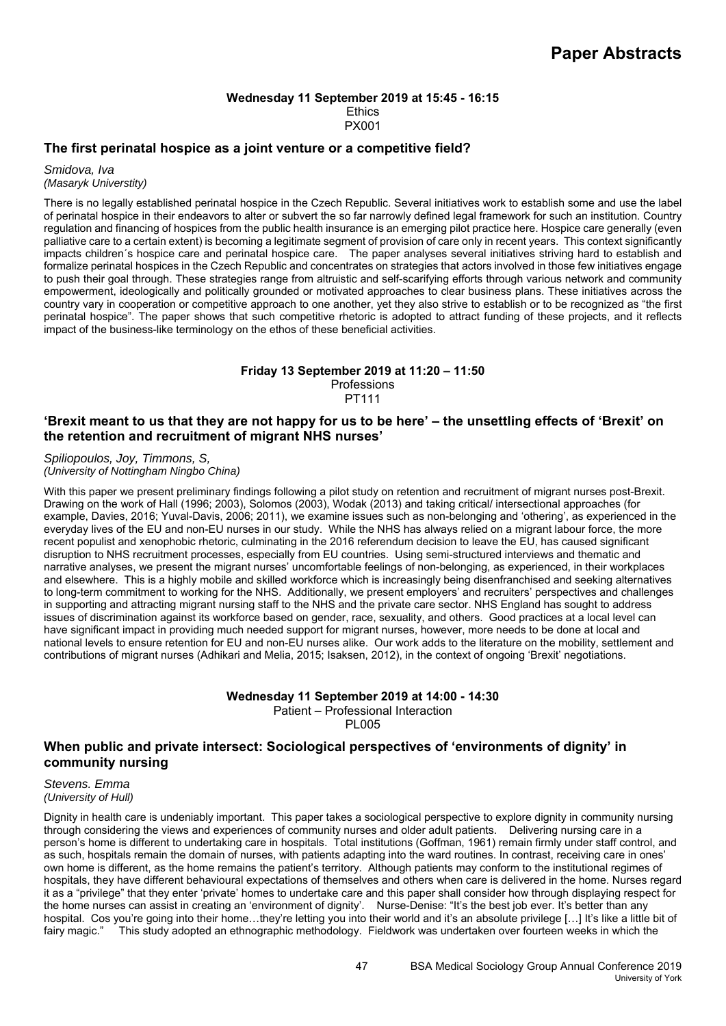### **Wednesday 11 September 2019 at 15:45 - 16:15 Ethics** PX001

# **The first perinatal hospice as a joint venture or a competitive field?**

*Smidova, Iva (Masaryk Universtity)*

There is no legally established perinatal hospice in the Czech Republic. Several initiatives work to establish some and use the label of perinatal hospice in their endeavors to alter or subvert the so far narrowly defined legal framework for such an institution. Country regulation and financing of hospices from the public health insurance is an emerging pilot practice here. Hospice care generally (even palliative care to a certain extent) is becoming a legitimate segment of provision of care only in recent years. This context significantly impacts children´s hospice care and perinatal hospice care. The paper analyses several initiatives striving hard to establish and formalize perinatal hospices in the Czech Republic and concentrates on strategies that actors involved in those few initiatives engage to push their goal through. These strategies range from altruistic and self-scarifying efforts through various network and community empowerment, ideologically and politically grounded or motivated approaches to clear business plans. These initiatives across the country vary in cooperation or competitive approach to one another, yet they also strive to establish or to be recognized as "the first perinatal hospice". The paper shows that such competitive rhetoric is adopted to attract funding of these projects, and it reflects impact of the business-like terminology on the ethos of these beneficial activities.

### **Friday 13 September 2019 at 11:20 – 11:50**  Professions PT111

# **'Brexit meant to us that they are not happy for us to be here' – the unsettling effects of 'Brexit' on the retention and recruitment of migrant NHS nurses'**

*Spiliopoulos, Joy, Timmons, S, (University of Nottingham Ningbo China)*

With this paper we present preliminary findings following a pilot study on retention and recruitment of migrant nurses post-Brexit. Drawing on the work of Hall (1996; 2003), Solomos (2003), Wodak (2013) and taking critical/ intersectional approaches (for example, Davies, 2016; Yuval-Davis, 2006; 2011), we examine issues such as non-belonging and 'othering', as experienced in the everyday lives of the EU and non-EU nurses in our study. While the NHS has always relied on a migrant labour force, the more recent populist and xenophobic rhetoric, culminating in the 2016 referendum decision to leave the EU, has caused significant disruption to NHS recruitment processes, especially from EU countries. Using semi-structured interviews and thematic and narrative analyses, we present the migrant nurses' uncomfortable feelings of non-belonging, as experienced, in their workplaces and elsewhere. This is a highly mobile and skilled workforce which is increasingly being disenfranchised and seeking alternatives to long-term commitment to working for the NHS. Additionally, we present employers' and recruiters' perspectives and challenges in supporting and attracting migrant nursing staff to the NHS and the private care sector. NHS England has sought to address issues of discrimination against its workforce based on gender, race, sexuality, and others. Good practices at a local level can have significant impact in providing much needed support for migrant nurses, however, more needs to be done at local and national levels to ensure retention for EU and non-EU nurses alike. Our work adds to the literature on the mobility, settlement and contributions of migrant nurses (Adhikari and Melia, 2015; Isaksen, 2012), in the context of ongoing 'Brexit' negotiations.

### **Wednesday 11 September 2019 at 14:00 - 14:30**  Patient – Professional Interaction

PL005

# **When public and private intersect: Sociological perspectives of 'environments of dignity' in community nursing**

*Stevens. Emma (University of Hull)*

Dignity in health care is undeniably important. This paper takes a sociological perspective to explore dignity in community nursing through considering the views and experiences of community nurses and older adult patients. Delivering nursing care in a person's home is different to undertaking care in hospitals. Total institutions (Goffman, 1961) remain firmly under staff control, and as such, hospitals remain the domain of nurses, with patients adapting into the ward routines. In contrast, receiving care in ones' own home is different, as the home remains the patient's territory. Although patients may conform to the institutional regimes of hospitals, they have different behavioural expectations of themselves and others when care is delivered in the home. Nurses regard it as a "privilege" that they enter 'private' homes to undertake care and this paper shall consider how through displaying respect for the home nurses can assist in creating an 'environment of dignity'. Nurse-Denise: "It's the best job ever. It's better than any hospital. Cos you're going into their home...they're letting you into their world and it's an absolute privilege [...] It's like a little bit of fairy magic." This study adopted an ethnographic methodology. Fieldwork was undertaken over fourteen weeks in which the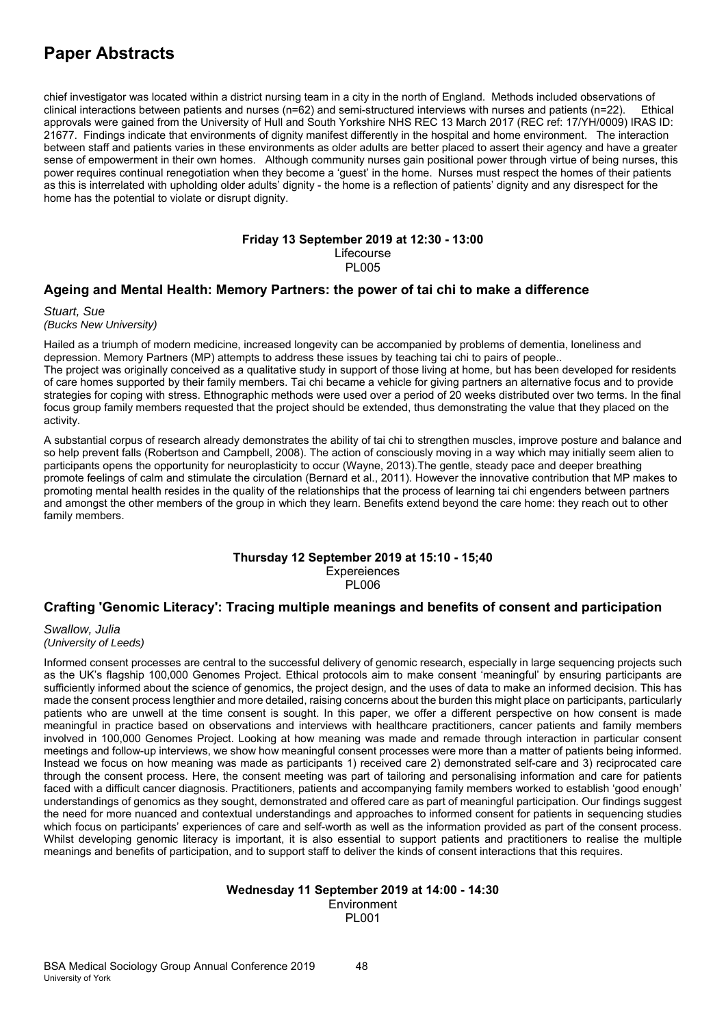chief investigator was located within a district nursing team in a city in the north of England. Methods included observations of clinical interactions between patients and nurses (n=62) and semi-structured interviews with nurses and patients (n=22). Ethical approvals were gained from the University of Hull and South Yorkshire NHS REC 13 March 2017 (REC ref: 17/YH/0009) IRAS ID: 21677. Findings indicate that environments of dignity manifest differently in the hospital and home environment. The interaction between staff and patients varies in these environments as older adults are better placed to assert their agency and have a greater sense of empowerment in their own homes. Although community nurses gain positional power through virtue of being nurses, this power requires continual renegotiation when they become a 'guest' in the home. Nurses must respect the homes of their patients as this is interrelated with upholding older adults' dignity - the home is a reflection of patients' dignity and any disrespect for the home has the potential to violate or disrupt dignity.

#### **Friday 13 September 2019 at 12:30 - 13:00**  Lifecourse **PL005**

### **Ageing and Mental Health: Memory Partners: the power of tai chi to make a difference**

*Stuart, Sue (Bucks New University)*

Hailed as a triumph of modern medicine, increased longevity can be accompanied by problems of dementia, loneliness and depression. Memory Partners (MP) attempts to address these issues by teaching tai chi to pairs of people.. The project was originally conceived as a qualitative study in support of those living at home, but has been developed for residents of care homes supported by their family members. Tai chi became a vehicle for giving partners an alternative focus and to provide strategies for coping with stress. Ethnographic methods were used over a period of 20 weeks distributed over two terms. In the final focus group family members requested that the project should be extended, thus demonstrating the value that they placed on the activity.

A substantial corpus of research already demonstrates the ability of tai chi to strengthen muscles, improve posture and balance and so help prevent falls (Robertson and Campbell, 2008). The action of consciously moving in a way which may initially seem alien to participants opens the opportunity for neuroplasticity to occur (Wayne, 2013).The gentle, steady pace and deeper breathing promote feelings of calm and stimulate the circulation (Bernard et al., 2011). However the innovative contribution that MP makes to promoting mental health resides in the quality of the relationships that the process of learning tai chi engenders between partners and amongst the other members of the group in which they learn. Benefits extend beyond the care home: they reach out to other family members.

### **Thursday 12 September 2019 at 15:10 - 15;40 Expereiences** PL006

### **Crafting 'Genomic Literacy': Tracing multiple meanings and benefits of consent and participation**

*Swallow, Julia (University of Leeds)*

Informed consent processes are central to the successful delivery of genomic research, especially in large sequencing projects such as the UK's flagship 100,000 Genomes Project. Ethical protocols aim to make consent 'meaningful' by ensuring participants are sufficiently informed about the science of genomics, the project design, and the uses of data to make an informed decision. This has made the consent process lengthier and more detailed, raising concerns about the burden this might place on participants, particularly patients who are unwell at the time consent is sought. In this paper, we offer a different perspective on how consent is made meaningful in practice based on observations and interviews with healthcare practitioners, cancer patients and family members involved in 100,000 Genomes Project. Looking at how meaning was made and remade through interaction in particular consent meetings and follow-up interviews, we show how meaningful consent processes were more than a matter of patients being informed. Instead we focus on how meaning was made as participants 1) received care 2) demonstrated self-care and 3) reciprocated care through the consent process. Here, the consent meeting was part of tailoring and personalising information and care for patients faced with a difficult cancer diagnosis. Practitioners, patients and accompanying family members worked to establish 'good enough' understandings of genomics as they sought, demonstrated and offered care as part of meaningful participation. Our findings suggest the need for more nuanced and contextual understandings and approaches to informed consent for patients in sequencing studies which focus on participants' experiences of care and self-worth as well as the information provided as part of the consent process. Whilst developing genomic literacy is important, it is also essential to support patients and practitioners to realise the multiple meanings and benefits of participation, and to support staff to deliver the kinds of consent interactions that this requires.

## **Wednesday 11 September 2019 at 14:00 - 14:30**  Environment PL001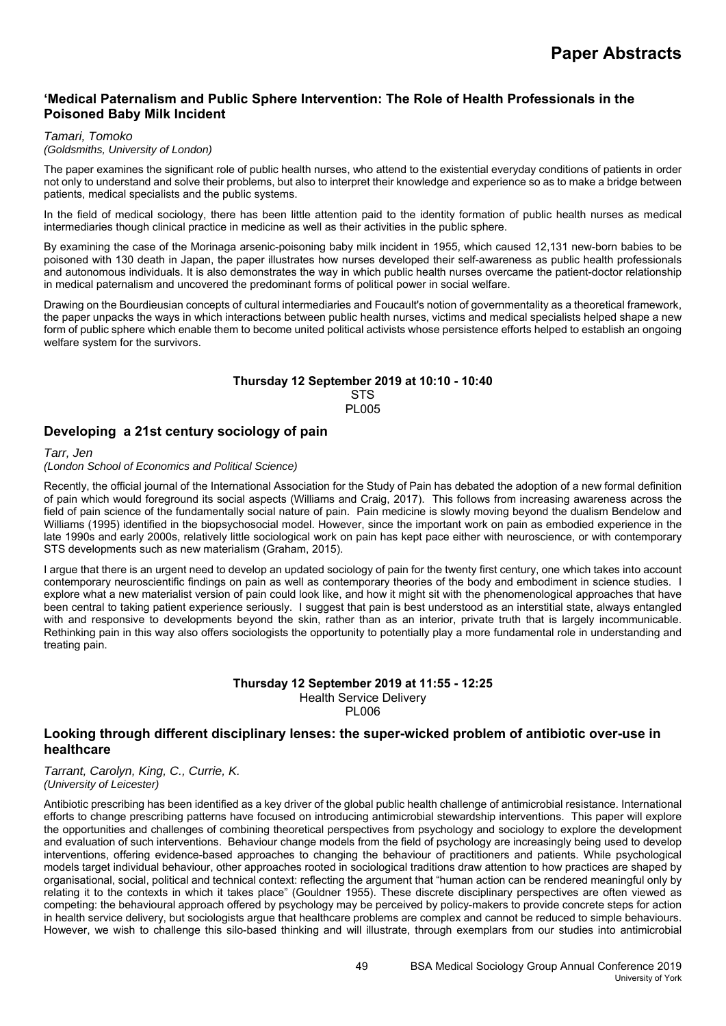# **'Medical Paternalism and Public Sphere Intervention: The Role of Health Professionals in the Poisoned Baby Milk Incident**

### *Tamari, Tomoko*

### *(Goldsmiths, University of London)*

The paper examines the significant role of public health nurses, who attend to the existential everyday conditions of patients in order not only to understand and solve their problems, but also to interpret their knowledge and experience so as to make a bridge between patients, medical specialists and the public systems.

In the field of medical sociology, there has been little attention paid to the identity formation of public health nurses as medical intermediaries though clinical practice in medicine as well as their activities in the public sphere.

By examining the case of the Morinaga arsenic-poisoning baby milk incident in 1955, which caused 12,131 new-born babies to be poisoned with 130 death in Japan, the paper illustrates how nurses developed their self-awareness as public health professionals and autonomous individuals. It is also demonstrates the way in which public health nurses overcame the patient-doctor relationship in medical paternalism and uncovered the predominant forms of political power in social welfare.

Drawing on the Bourdieusian concepts of cultural intermediaries and Foucault's notion of governmentality as a theoretical framework, the paper unpacks the ways in which interactions between public health nurses, victims and medical specialists helped shape a new form of public sphere which enable them to become united political activists whose persistence efforts helped to establish an ongoing welfare system for the survivors.

### **Thursday 12 September 2019 at 10:10 - 10:40 STS PL005**

# **Developing a 21st century sociology of pain**

*Tarr, Jen* 

*(London School of Economics and Political Science)*

Recently, the official journal of the International Association for the Study of Pain has debated the adoption of a new formal definition of pain which would foreground its social aspects (Williams and Craig, 2017). This follows from increasing awareness across the field of pain science of the fundamentally social nature of pain. Pain medicine is slowly moving beyond the dualism Bendelow and Williams (1995) identified in the biopsychosocial model. However, since the important work on pain as embodied experience in the late 1990s and early 2000s, relatively little sociological work on pain has kept pace either with neuroscience, or with contemporary STS developments such as new materialism (Graham, 2015).

I argue that there is an urgent need to develop an updated sociology of pain for the twenty first century, one which takes into account contemporary neuroscientific findings on pain as well as contemporary theories of the body and embodiment in science studies. I explore what a new materialist version of pain could look like, and how it might sit with the phenomenological approaches that have been central to taking patient experience seriously. I suggest that pain is best understood as an interstitial state, always entangled with and responsive to developments beyond the skin, rather than as an interior, private truth that is largely incommunicable. Rethinking pain in this way also offers sociologists the opportunity to potentially play a more fundamental role in understanding and treating pain.

### **Thursday 12 September 2019 at 11:55 - 12:25**  Health Service Delivery PL006

# **Looking through different disciplinary lenses: the super-wicked problem of antibiotic over-use in healthcare**

*Tarrant, Carolyn, King, C., Currie, K. (University of Leicester)*

Antibiotic prescribing has been identified as a key driver of the global public health challenge of antimicrobial resistance. International efforts to change prescribing patterns have focused on introducing antimicrobial stewardship interventions. This paper will explore the opportunities and challenges of combining theoretical perspectives from psychology and sociology to explore the development and evaluation of such interventions. Behaviour change models from the field of psychology are increasingly being used to develop interventions, offering evidence-based approaches to changing the behaviour of practitioners and patients. While psychological models target individual behaviour, other approaches rooted in sociological traditions draw attention to how practices are shaped by organisational, social, political and technical context: reflecting the argument that "human action can be rendered meaningful only by relating it to the contexts in which it takes place" (Gouldner 1955). These discrete disciplinary perspectives are often viewed as competing: the behavioural approach offered by psychology may be perceived by policy-makers to provide concrete steps for action in health service delivery, but sociologists argue that healthcare problems are complex and cannot be reduced to simple behaviours. However, we wish to challenge this silo-based thinking and will illustrate, through exemplars from our studies into antimicrobial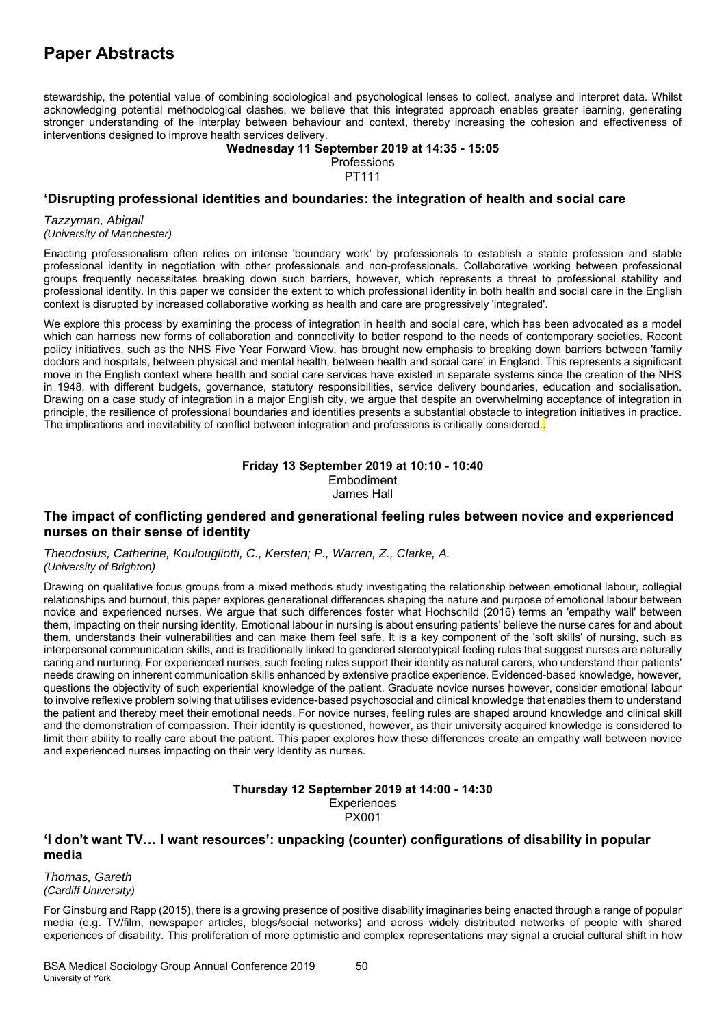stewardship, the potential value of combining sociological and psychological lenses to collect, analyse and interpret data. Whilst acknowledging potential methodological clashes, we believe that this integrated approach enables greater learning, generating stronger understanding of the interplay between behaviour and context, thereby increasing the cohesion and effectiveness of interventions designed to improve health services delivery.

**Wednesday 11 September 2019 at 14:35 - 15:05** 

**Professions** PT111

# **'Disrupting professional identities and boundaries: the integration of health and social care**

*Tazzyman, Abigail (University of Manchester)*

Enacting professionalism often relies on intense 'boundary work' by professionals to establish a stable profession and stable professional identity in negotiation with other professionals and non-professionals. Collaborative working between professional groups frequently necessitates breaking down such barriers, however, which represents a threat to professional stability and professional identity. In this paper we consider the extent to which professional identity in both health and social care in the English context is disrupted by increased collaborative working as health and care are progressively 'integrated'.

We explore this process by examining the process of integration in health and social care, which has been advocated as a model which can harness new forms of collaboration and connectivity to better respond to the needs of contemporary societies. Recent policy initiatives, such as the NHS Five Year Forward View, has brought new emphasis to breaking down barriers between 'family doctors and hospitals, between physical and mental health, between health and social care' in England. This represents a significant move in the English context where health and social care services have existed in separate systems since the creation of the NHS in 1948, with different budgets, governance, statutory responsibilities, service delivery boundaries, education and socialisation. Drawing on a case study of integration in a major English city, we argue that despite an overwhelming acceptance of integration in principle, the resilience of professional boundaries and identities presents a substantial obstacle to integration initiatives in practice. The implications and inevitability of conflict between integration and professions is critically considered..

#### **Friday 13 September 2019 at 10:10 - 10:40**  Embodiment

James Hall

## **The impact of conflicting gendered and generational feeling rules between novice and experienced nurses on their sense of identity**

*Theodosius, Catherine, Koulougliotti, C., Kersten; P., Warren, Z., Clarke, A. (University of Brighton)*

Drawing on qualitative focus groups from a mixed methods study investigating the relationship between emotional labour, collegial relationships and burnout, this paper explores generational differences shaping the nature and purpose of emotional labour between novice and experienced nurses. We argue that such differences foster what Hochschild (2016) terms an 'empathy wall' between them, impacting on their nursing identity. Emotional labour in nursing is about ensuring patients' believe the nurse cares for and about them, understands their vulnerabilities and can make them feel safe. It is a key component of the 'soft skills' of nursing, such as interpersonal communication skills, and is traditionally linked to gendered stereotypical feeling rules that suggest nurses are naturally caring and nurturing. For experienced nurses, such feeling rules support their identity as natural carers, who understand their patients' needs drawing on inherent communication skills enhanced by extensive practice experience. Evidenced-based knowledge, however, questions the objectivity of such experiential knowledge of the patient. Graduate novice nurses however, consider emotional labour to involve reflexive problem solving that utilises evidence-based psychosocial and clinical knowledge that enables them to understand the patient and thereby meet their emotional needs. For novice nurses, feeling rules are shaped around knowledge and clinical skill and the demonstration of compassion. Their identity is questioned, however, as their university acquired knowledge is considered to limit their ability to really care about the patient. This paper explores how these differences create an empathy wall between novice and experienced nurses impacting on their very identity as nurses.

### **Thursday 12 September 2019 at 14:00 - 14:30 Experiences** PX001

# **'I don't want TV… I want resources': unpacking (counter) configurations of disability in popular media**

*Thomas, Gareth (Cardiff University)*

For Ginsburg and Rapp (2015), there is a growing presence of positive disability imaginaries being enacted through a range of popular media (e.g. TV/film, newspaper articles, blogs/social networks) and across widely distributed networks of people with shared experiences of disability. This proliferation of more optimistic and complex representations may signal a crucial cultural shift in how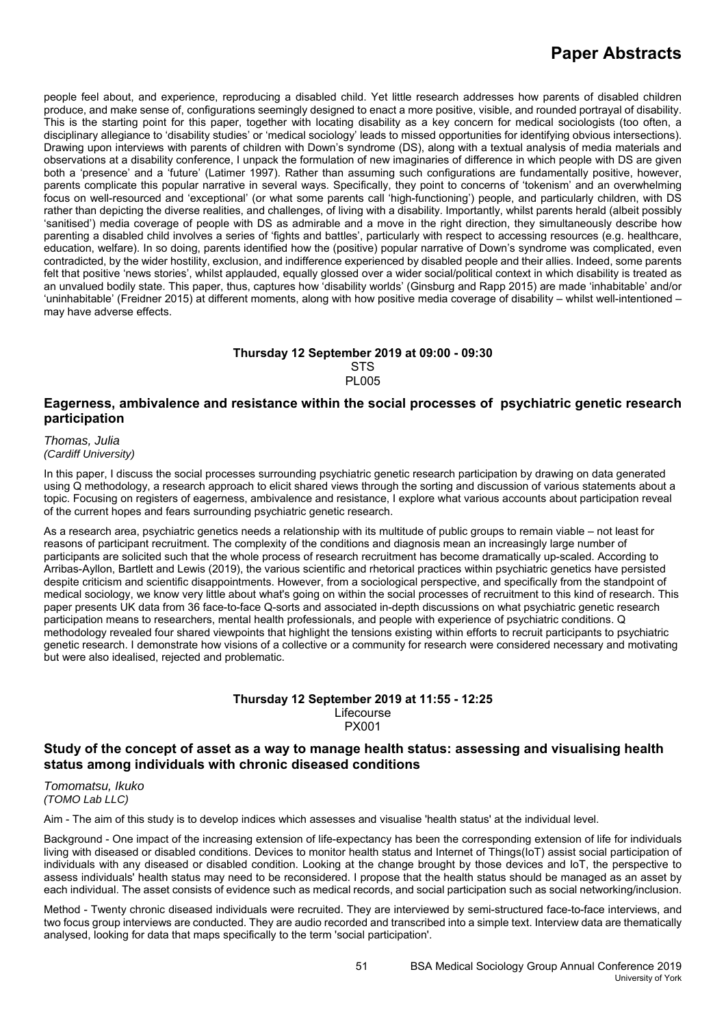people feel about, and experience, reproducing a disabled child. Yet little research addresses how parents of disabled children produce, and make sense of, configurations seemingly designed to enact a more positive, visible, and rounded portrayal of disability. This is the starting point for this paper, together with locating disability as a key concern for medical sociologists (too often, a disciplinary allegiance to 'disability studies' or 'medical sociology' leads to missed opportunities for identifying obvious intersections). Drawing upon interviews with parents of children with Down's syndrome (DS), along with a textual analysis of media materials and observations at a disability conference, I unpack the formulation of new imaginaries of difference in which people with DS are given both a 'presence' and a 'future' (Latimer 1997). Rather than assuming such configurations are fundamentally positive, however, parents complicate this popular narrative in several ways. Specifically, they point to concerns of 'tokenism' and an overwhelming focus on well-resourced and 'exceptional' (or what some parents call 'high-functioning') people, and particularly children, with DS rather than depicting the diverse realities, and challenges, of living with a disability. Importantly, whilst parents herald (albeit possibly 'sanitised') media coverage of people with DS as admirable and a move in the right direction, they simultaneously describe how parenting a disabled child involves a series of 'fights and battles', particularly with respect to accessing resources (e.g. healthcare, education, welfare). In so doing, parents identified how the (positive) popular narrative of Down's syndrome was complicated, even contradicted, by the wider hostility, exclusion, and indifference experienced by disabled people and their allies. Indeed, some parents felt that positive 'news stories', whilst applauded, equally glossed over a wider social/political context in which disability is treated as an unvalued bodily state. This paper, thus, captures how 'disability worlds' (Ginsburg and Rapp 2015) are made 'inhabitable' and/or 'uninhabitable' (Freidner 2015) at different moments, along with how positive media coverage of disability – whilst well-intentioned – may have adverse effects.

### **Thursday 12 September 2019 at 09:00 - 09:30 STS** PL005

# **Eagerness, ambivalence and resistance within the social processes of psychiatric genetic research participation**

*Thomas, Julia (Cardiff University)*

In this paper, I discuss the social processes surrounding psychiatric genetic research participation by drawing on data generated using Q methodology, a research approach to elicit shared views through the sorting and discussion of various statements about a topic. Focusing on registers of eagerness, ambivalence and resistance, I explore what various accounts about participation reveal of the current hopes and fears surrounding psychiatric genetic research.

As a research area, psychiatric genetics needs a relationship with its multitude of public groups to remain viable – not least for reasons of participant recruitment. The complexity of the conditions and diagnosis mean an increasingly large number of participants are solicited such that the whole process of research recruitment has become dramatically up-scaled. According to Arribas-Ayllon, Bartlett and Lewis (2019), the various scientific and rhetorical practices within psychiatric genetics have persisted despite criticism and scientific disappointments. However, from a sociological perspective, and specifically from the standpoint of medical sociology, we know very little about what's going on within the social processes of recruitment to this kind of research. This paper presents UK data from 36 face-to-face Q-sorts and associated in-depth discussions on what psychiatric genetic research participation means to researchers, mental health professionals, and people with experience of psychiatric conditions. Q methodology revealed four shared viewpoints that highlight the tensions existing within efforts to recruit participants to psychiatric genetic research. I demonstrate how visions of a collective or a community for research were considered necessary and motivating but were also idealised, rejected and problematic.

#### **Thursday 12 September 2019 at 11:55 - 12:25**  Lifecourse PX001

# **Study of the concept of asset as a way to manage health status: assessing and visualising health status among individuals with chronic diseased conditions**

*Tomomatsu, Ikuko (TOMO Lab LLC)*

Aim - The aim of this study is to develop indices which assesses and visualise 'health status' at the individual level.

Background - One impact of the increasing extension of life-expectancy has been the corresponding extension of life for individuals living with diseased or disabled conditions. Devices to monitor health status and Internet of Things(IoT) assist social participation of individuals with any diseased or disabled condition. Looking at the change brought by those devices and IoT, the perspective to assess individuals' health status may need to be reconsidered. I propose that the health status should be managed as an asset by each individual. The asset consists of evidence such as medical records, and social participation such as social networking/inclusion.

Method - Twenty chronic diseased individuals were recruited. They are interviewed by semi-structured face-to-face interviews, and two focus group interviews are conducted. They are audio recorded and transcribed into a simple text. Interview data are thematically analysed, looking for data that maps specifically to the term 'social participation'.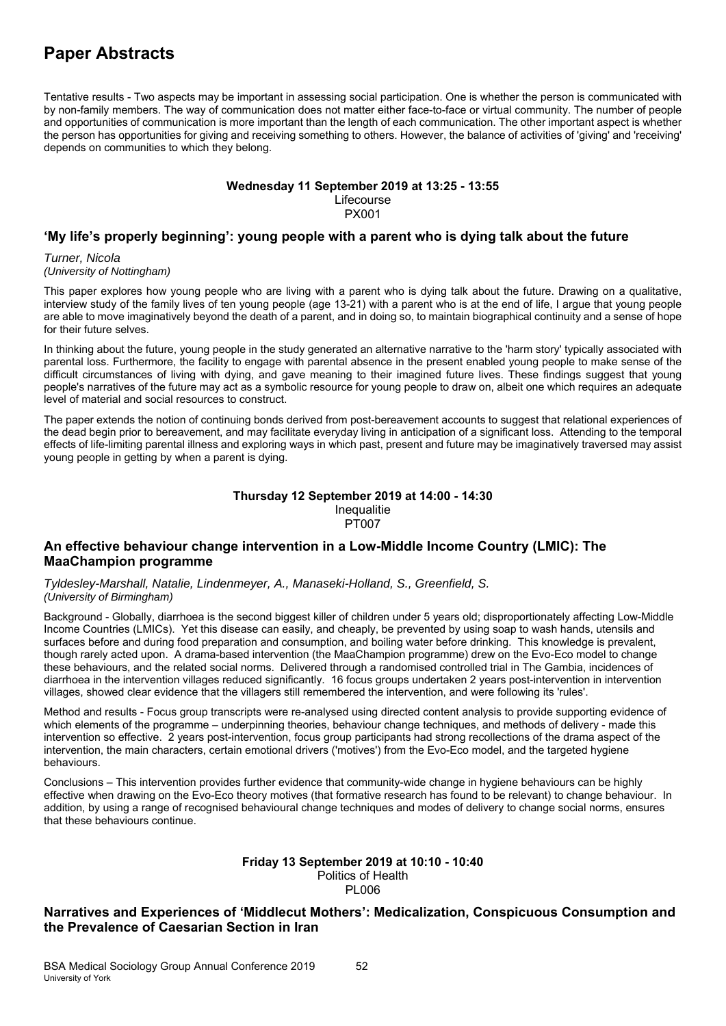Tentative results - Two aspects may be important in assessing social participation. One is whether the person is communicated with by non-family members. The way of communication does not matter either face-to-face or virtual community. The number of people and opportunities of communication is more important than the length of each communication. The other important aspect is whether the person has opportunities for giving and receiving something to others. However, the balance of activities of 'giving' and 'receiving' depends on communities to which they belong.

### **Wednesday 11 September 2019 at 13:25 - 13:55**

Lifecourse PX001

# **'My life's properly beginning': young people with a parent who is dying talk about the future**

*Turner, Nicola (University of Nottingham)*

This paper explores how young people who are living with a parent who is dying talk about the future. Drawing on a qualitative, interview study of the family lives of ten young people (age 13-21) with a parent who is at the end of life, I argue that young people are able to move imaginatively beyond the death of a parent, and in doing so, to maintain biographical continuity and a sense of hope for their future selves.

In thinking about the future, young people in the study generated an alternative narrative to the 'harm story' typically associated with parental loss. Furthermore, the facility to engage with parental absence in the present enabled young people to make sense of the difficult circumstances of living with dying, and gave meaning to their imagined future lives. These findings suggest that young people's narratives of the future may act as a symbolic resource for young people to draw on, albeit one which requires an adequate level of material and social resources to construct.

The paper extends the notion of continuing bonds derived from post-bereavement accounts to suggest that relational experiences of the dead begin prior to bereavement, and may facilitate everyday living in anticipation of a significant loss. Attending to the temporal effects of life-limiting parental illness and exploring ways in which past, present and future may be imaginatively traversed may assist young people in getting by when a parent is dying.

### **Thursday 12 September 2019 at 14:00 - 14:30**  Inequalitie PT007

# **An effective behaviour change intervention in a Low-Middle Income Country (LMIC): The MaaChampion programme**

*Tyldesley-Marshall, Natalie, Lindenmeyer, A., Manaseki-Holland, S., Greenfield, S. (University of Birmingham)*

Background - Globally, diarrhoea is the second biggest killer of children under 5 years old; disproportionately affecting Low-Middle Income Countries (LMICs). Yet this disease can easily, and cheaply, be prevented by using soap to wash hands, utensils and surfaces before and during food preparation and consumption, and boiling water before drinking. This knowledge is prevalent, though rarely acted upon. A drama-based intervention (the MaaChampion programme) drew on the Evo-Eco model to change these behaviours, and the related social norms. Delivered through a randomised controlled trial in The Gambia, incidences of diarrhoea in the intervention villages reduced significantly. 16 focus groups undertaken 2 years post-intervention in intervention villages, showed clear evidence that the villagers still remembered the intervention, and were following its 'rules'.

Method and results - Focus group transcripts were re-analysed using directed content analysis to provide supporting evidence of which elements of the programme – underpinning theories, behaviour change techniques, and methods of delivery - made this intervention so effective. 2 years post-intervention, focus group participants had strong recollections of the drama aspect of the intervention, the main characters, certain emotional drivers ('motives') from the Evo-Eco model, and the targeted hygiene behaviours.

Conclusions – This intervention provides further evidence that community-wide change in hygiene behaviours can be highly effective when drawing on the Evo-Eco theory motives (that formative research has found to be relevant) to change behaviour. In addition, by using a range of recognised behavioural change techniques and modes of delivery to change social norms, ensures that these behaviours continue.

### **Friday 13 September 2019 at 10:10 - 10:40**  Politics of Health PL006

# **Narratives and Experiences of 'Middlecut Mothers': Medicalization, Conspicuous Consumption and the Prevalence of Caesarian Section in Iran**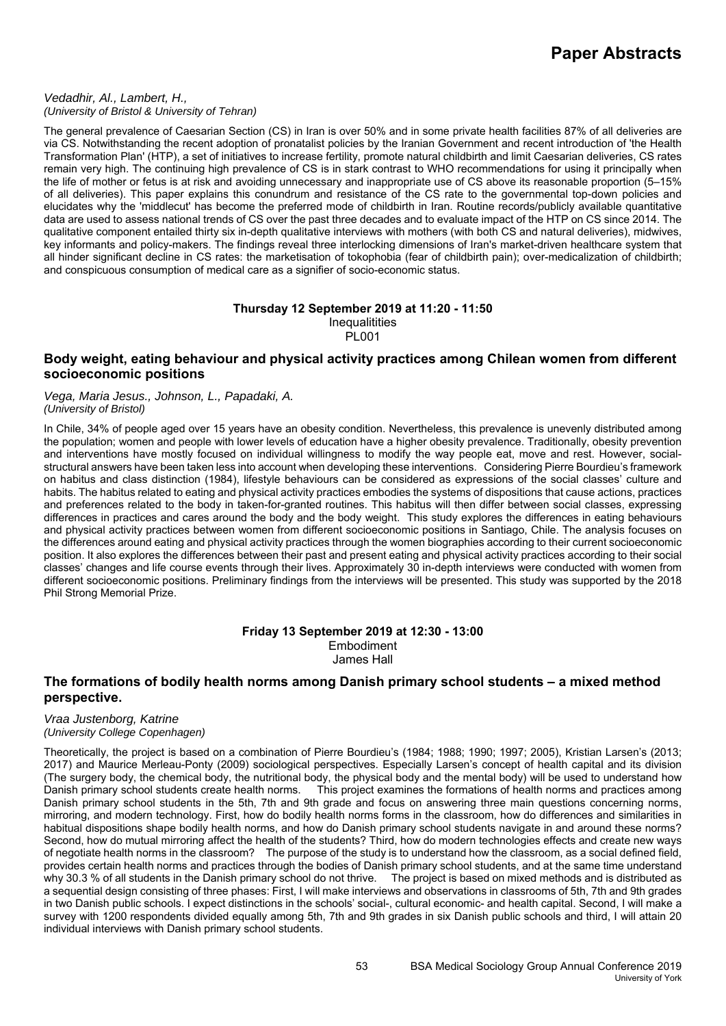### *Vedadhir, Al., Lambert, H., (University of Bristol & University of Tehran)*

The general prevalence of Caesarian Section (CS) in Iran is over 50% and in some private health facilities 87% of all deliveries are via CS. Notwithstanding the recent adoption of pronatalist policies by the Iranian Government and recent introduction of 'the Health Transformation Plan' (HTP), a set of initiatives to increase fertility, promote natural childbirth and limit Caesarian deliveries, CS rates remain very high. The continuing high prevalence of CS is in stark contrast to WHO recommendations for using it principally when the life of mother or fetus is at risk and avoiding unnecessary and inappropriate use of CS above its reasonable proportion (5–15% of all deliveries). This paper explains this conundrum and resistance of the CS rate to the governmental top-down policies and elucidates why the 'middlecut' has become the preferred mode of childbirth in Iran. Routine records/publicly available quantitative data are used to assess national trends of CS over the past three decades and to evaluate impact of the HTP on CS since 2014. The qualitative component entailed thirty six in-depth qualitative interviews with mothers (with both CS and natural deliveries), midwives, key informants and policy-makers. The findings reveal three interlocking dimensions of Iran's market-driven healthcare system that all hinder significant decline in CS rates: the marketisation of tokophobia (fear of childbirth pain); over-medicalization of childbirth; and conspicuous consumption of medical care as a signifier of socio-economic status.

### **Thursday 12 September 2019 at 11:20 - 11:50 Inequalitities** PL001

## **Body weight, eating behaviour and physical activity practices among Chilean women from different socioeconomic positions**

*Vega, Maria Jesus., Johnson, L., Papadaki, A. (University of Bristol)*

In Chile, 34% of people aged over 15 years have an obesity condition. Nevertheless, this prevalence is unevenly distributed among the population; women and people with lower levels of education have a higher obesity prevalence. Traditionally, obesity prevention and interventions have mostly focused on individual willingness to modify the way people eat, move and rest. However, socialstructural answers have been taken less into account when developing these interventions. Considering Pierre Bourdieu's framework on habitus and class distinction (1984), lifestyle behaviours can be considered as expressions of the social classes' culture and habits. The habitus related to eating and physical activity practices embodies the systems of dispositions that cause actions, practices and preferences related to the body in taken-for-granted routines. This habitus will then differ between social classes, expressing differences in practices and cares around the body and the body weight. This study explores the differences in eating behaviours and physical activity practices between women from different socioeconomic positions in Santiago, Chile. The analysis focuses on the differences around eating and physical activity practices through the women biographies according to their current socioeconomic position. It also explores the differences between their past and present eating and physical activity practices according to their social classes' changes and life course events through their lives. Approximately 30 in-depth interviews were conducted with women from different socioeconomic positions. Preliminary findings from the interviews will be presented. This study was supported by the 2018 Phil Strong Memorial Prize.

> **Friday 13 September 2019 at 12:30 - 13:00**  Embodiment James Hall

### **The formations of bodily health norms among Danish primary school students – a mixed method perspective.**

### *Vraa Justenborg, Katrine (University College Copenhagen)*

Theoretically, the project is based on a combination of Pierre Bourdieu's (1984; 1988; 1990; 1997; 2005), Kristian Larsen's (2013; 2017) and Maurice Merleau-Ponty (2009) sociological perspectives. Especially Larsen's concept of health capital and its division (The surgery body, the chemical body, the nutritional body, the physical body and the mental body) will be used to understand how Danish primary school students create health norms. This project examines the formations of health norms and practices among Danish primary school students in the 5th, 7th and 9th grade and focus on answering three main questions concerning norms, mirroring, and modern technology. First, how do bodily health norms forms in the classroom, how do differences and similarities in habitual dispositions shape bodily health norms, and how do Danish primary school students navigate in and around these norms? Second, how do mutual mirroring affect the health of the students? Third, how do modern technologies effects and create new ways of negotiate health norms in the classroom? The purpose of the study is to understand how the classroom, as a social defined field, provides certain health norms and practices through the bodies of Danish primary school students, and at the same time understand why 30.3 % of all students in the Danish primary school do not thrive. The project is based on mixed methods and is distributed as a sequential design consisting of three phases: First, I will make interviews and observations in classrooms of 5th, 7th and 9th grades in two Danish public schools. I expect distinctions in the schools' social-, cultural economic- and health capital. Second, I will make a survey with 1200 respondents divided equally among 5th, 7th and 9th grades in six Danish public schools and third, I will attain 20 individual interviews with Danish primary school students.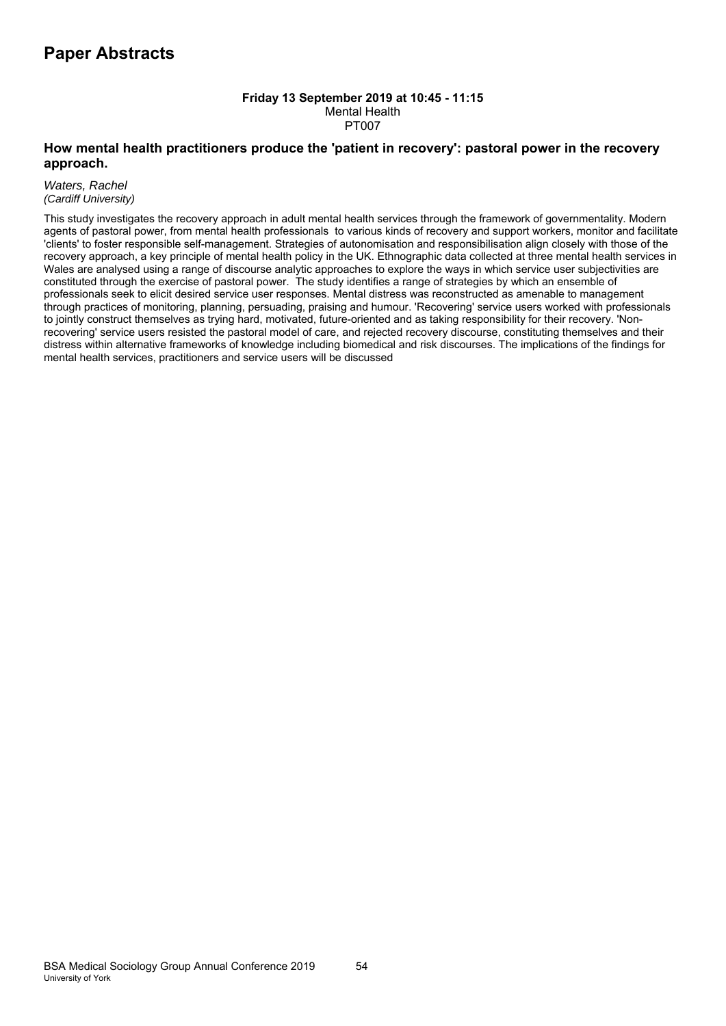### **Friday 13 September 2019 at 10:45 - 11:15**  Mental Health PT007

# **How mental health practitioners produce the 'patient in recovery': pastoral power in the recovery approach.**

*Waters, Rachel (Cardiff University)*

This study investigates the recovery approach in adult mental health services through the framework of governmentality. Modern agents of pastoral power, from mental health professionals to various kinds of recovery and support workers, monitor and facilitate 'clients' to foster responsible self-management. Strategies of autonomisation and responsibilisation align closely with those of the recovery approach, a key principle of mental health policy in the UK. Ethnographic data collected at three mental health services in Wales are analysed using a range of discourse analytic approaches to explore the ways in which service user subjectivities are constituted through the exercise of pastoral power. The study identifies a range of strategies by which an ensemble of professionals seek to elicit desired service user responses. Mental distress was reconstructed as amenable to management through practices of monitoring, planning, persuading, praising and humour. 'Recovering' service users worked with professionals to jointly construct themselves as trying hard, motivated, future-oriented and as taking responsibility for their recovery. 'Nonrecovering' service users resisted the pastoral model of care, and rejected recovery discourse, constituting themselves and their distress within alternative frameworks of knowledge including biomedical and risk discourses. The implications of the findings for mental health services, practitioners and service users will be discussed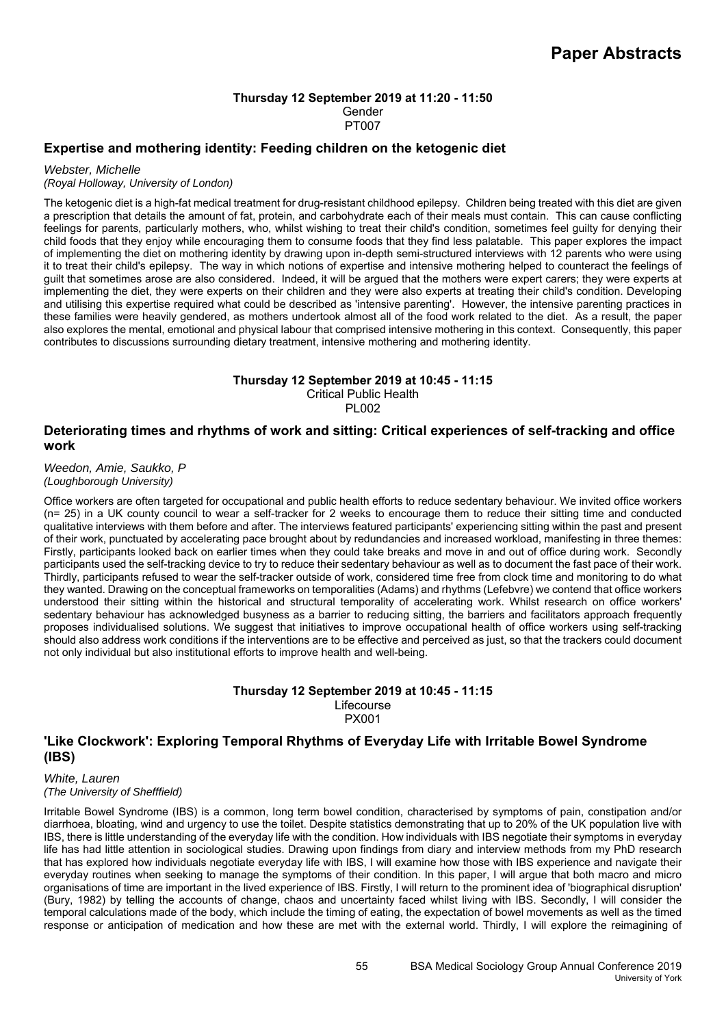### **Thursday 12 September 2019 at 11:20 - 11:50**  Gender PT007

# **Expertise and mothering identity: Feeding children on the ketogenic diet**

### *Webster, Michelle*

## *(Royal Holloway, University of London)*

The ketogenic diet is a high-fat medical treatment for drug-resistant childhood epilepsy. Children being treated with this diet are given a prescription that details the amount of fat, protein, and carbohydrate each of their meals must contain. This can cause conflicting feelings for parents, particularly mothers, who, whilst wishing to treat their child's condition, sometimes feel guilty for denying their child foods that they enjoy while encouraging them to consume foods that they find less palatable. This paper explores the impact of implementing the diet on mothering identity by drawing upon in-depth semi-structured interviews with 12 parents who were using it to treat their child's epilepsy. The way in which notions of expertise and intensive mothering helped to counteract the feelings of guilt that sometimes arose are also considered. Indeed, it will be argued that the mothers were expert carers; they were experts at implementing the diet, they were experts on their children and they were also experts at treating their child's condition. Developing and utilising this expertise required what could be described as 'intensive parenting'. However, the intensive parenting practices in these families were heavily gendered, as mothers undertook almost all of the food work related to the diet. As a result, the paper also explores the mental, emotional and physical labour that comprised intensive mothering in this context. Consequently, this paper contributes to discussions surrounding dietary treatment, intensive mothering and mothering identity.

### **Thursday 12 September 2019 at 10:45 - 11:15**

Critical Public Health PL002

# **Deteriorating times and rhythms of work and sitting: Critical experiences of self-tracking and office work**

*Weedon, Amie, Saukko, P (Loughborough University)*

Office workers are often targeted for occupational and public health efforts to reduce sedentary behaviour. We invited office workers (n= 25) in a UK county council to wear a self-tracker for 2 weeks to encourage them to reduce their sitting time and conducted qualitative interviews with them before and after. The interviews featured participants' experiencing sitting within the past and present of their work, punctuated by accelerating pace brought about by redundancies and increased workload, manifesting in three themes: Firstly, participants looked back on earlier times when they could take breaks and move in and out of office during work. Secondly participants used the self-tracking device to try to reduce their sedentary behaviour as well as to document the fast pace of their work. Thirdly, participants refused to wear the self-tracker outside of work, considered time free from clock time and monitoring to do what they wanted. Drawing on the conceptual frameworks on temporalities (Adams) and rhythms (Lefebvre) we contend that office workers understood their sitting within the historical and structural temporality of accelerating work. Whilst research on office workers' sedentary behaviour has acknowledged busyness as a barrier to reducing sitting, the barriers and facilitators approach frequently proposes individualised solutions. We suggest that initiatives to improve occupational health of office workers using self-tracking should also address work conditions if the interventions are to be effective and perceived as just, so that the trackers could document not only individual but also institutional efforts to improve health and well-being.

## **Thursday 12 September 2019 at 10:45 - 11:15**  Lifecourse PX001

# **'Like Clockwork': Exploring Temporal Rhythms of Everyday Life with Irritable Bowel Syndrome (IBS)**

*White, Lauren (The University of Shefffield)*

Irritable Bowel Syndrome (IBS) is a common, long term bowel condition, characterised by symptoms of pain, constipation and/or diarrhoea, bloating, wind and urgency to use the toilet. Despite statistics demonstrating that up to 20% of the UK population live with IBS, there is little understanding of the everyday life with the condition. How individuals with IBS negotiate their symptoms in everyday life has had little attention in sociological studies. Drawing upon findings from diary and interview methods from my PhD research that has explored how individuals negotiate everyday life with IBS, I will examine how those with IBS experience and navigate their everyday routines when seeking to manage the symptoms of their condition. In this paper, I will argue that both macro and micro organisations of time are important in the lived experience of IBS. Firstly, I will return to the prominent idea of 'biographical disruption' (Bury, 1982) by telling the accounts of change, chaos and uncertainty faced whilst living with IBS. Secondly, I will consider the temporal calculations made of the body, which include the timing of eating, the expectation of bowel movements as well as the timed response or anticipation of medication and how these are met with the external world. Thirdly, I will explore the reimagining of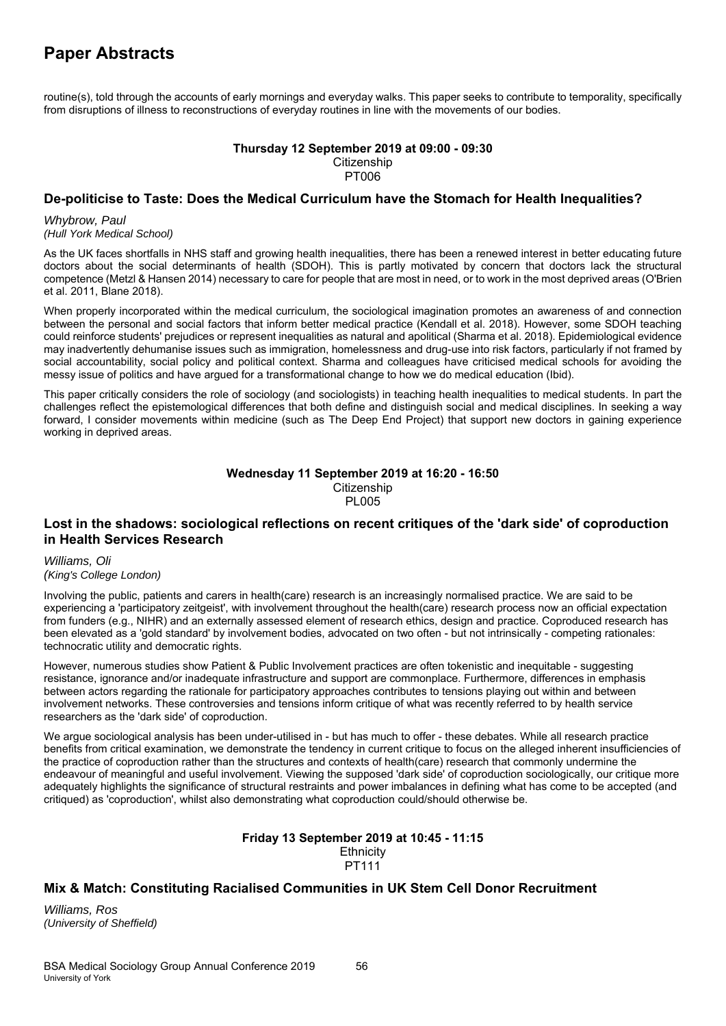routine(s), told through the accounts of early mornings and everyday walks. This paper seeks to contribute to temporality, specifically from disruptions of illness to reconstructions of everyday routines in line with the movements of our bodies.

### **Thursday 12 September 2019 at 09:00 - 09:30 Citizenship** PT006

# **De-politicise to Taste: Does the Medical Curriculum have the Stomach for Health Inequalities?**

*Whybrow, Paul (Hull York Medical School)*

As the UK faces shortfalls in NHS staff and growing health inequalities, there has been a renewed interest in better educating future doctors about the social determinants of health (SDOH). This is partly motivated by concern that doctors lack the structural competence (Metzl & Hansen 2014) necessary to care for people that are most in need, or to work in the most deprived areas (O'Brien et al. 2011, Blane 2018).

When properly incorporated within the medical curriculum, the sociological imagination promotes an awareness of and connection between the personal and social factors that inform better medical practice (Kendall et al. 2018). However, some SDOH teaching could reinforce students' prejudices or represent inequalities as natural and apolitical (Sharma et al. 2018). Epidemiological evidence may inadvertently dehumanise issues such as immigration, homelessness and drug-use into risk factors, particularly if not framed by social accountability, social policy and political context. Sharma and colleagues have criticised medical schools for avoiding the messy issue of politics and have argued for a transformational change to how we do medical education (Ibid).

This paper critically considers the role of sociology (and sociologists) in teaching health inequalities to medical students. In part the challenges reflect the epistemological differences that both define and distinguish social and medical disciplines. In seeking a way forward, I consider movements within medicine (such as The Deep End Project) that support new doctors in gaining experience working in deprived areas.

### **Wednesday 11 September 2019 at 16:20 - 16:50 Citizenship** PL005

# **Lost in the shadows: sociological reflections on recent critiques of the 'dark side' of coproduction in Health Services Research**

*Williams, Oli (King's College London)*

Involving the public, patients and carers in health(care) research is an increasingly normalised practice. We are said to be experiencing a 'participatory zeitgeist', with involvement throughout the health(care) research process now an official expectation from funders (e.g., NIHR) and an externally assessed element of research ethics, design and practice. Coproduced research has been elevated as a 'gold standard' by involvement bodies, advocated on two often - but not intrinsically - competing rationales: technocratic utility and democratic rights.

However, numerous studies show Patient & Public Involvement practices are often tokenistic and inequitable - suggesting resistance, ignorance and/or inadequate infrastructure and support are commonplace. Furthermore, differences in emphasis between actors regarding the rationale for participatory approaches contributes to tensions playing out within and between involvement networks. These controversies and tensions inform critique of what was recently referred to by health service researchers as the 'dark side' of coproduction.

We argue sociological analysis has been under-utilised in - but has much to offer - these debates. While all research practice benefits from critical examination, we demonstrate the tendency in current critique to focus on the alleged inherent insufficiencies of the practice of coproduction rather than the structures and contexts of health(care) research that commonly undermine the endeavour of meaningful and useful involvement. Viewing the supposed 'dark side' of coproduction sociologically, our critique more adequately highlights the significance of structural restraints and power imbalances in defining what has come to be accepted (and critiqued) as 'coproduction', whilst also demonstrating what coproduction could/should otherwise be.

### **Friday 13 September 2019 at 10:45 - 11:15 Ethnicity** PT111

# **Mix & Match: Constituting Racialised Communities in UK Stem Cell Donor Recruitment**

*Williams, Ros (University of Sheffield)*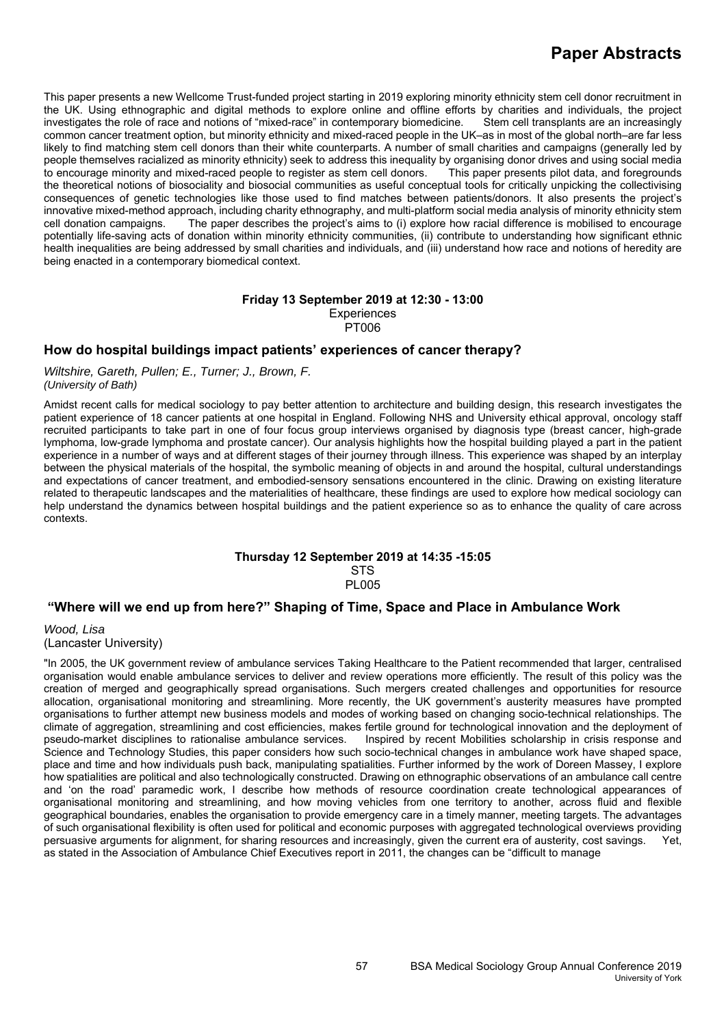This paper presents a new Wellcome Trust-funded project starting in 2019 exploring minority ethnicity stem cell donor recruitment in the UK. Using ethnographic and digital methods to explore online and offline efforts by charities and individuals, the project investigates the role of race and notions of "mixed-race" in contemporary biomedicine. Stem cell transplants are an increasingly common cancer treatment option, but minority ethnicity and mixed-raced people in the UK–as in most of the global north–are far less likely to find matching stem cell donors than their white counterparts. A number of small charities and campaigns (generally led by people themselves racialized as minority ethnicity) seek to address this inequality by organising donor drives and using social media to encourage minority and mixed-raced people to register as stem cell donors. This paper presents pilot data, and foregrounds the theoretical notions of biosociality and biosocial communities as useful conceptual tools for critically unpicking the collectivising consequences of genetic technologies like those used to find matches between patients/donors. It also presents the project's innovative mixed-method approach, including charity ethnography, and multi-platform social media analysis of minority ethnicity stem cell donation campaigns. The paper describes the project's aims to (i) explore how racial difference is mobilised to encourage potentially life-saving acts of donation within minority ethnicity communities, (ii) contribute to understanding how significant ethnic health inequalities are being addressed by small charities and individuals, and (iii) understand how race and notions of heredity are being enacted in a contemporary biomedical context.

### **Friday 13 September 2019 at 12:30 - 13:00 Experiences** PT006

# **How do hospital buildings impact patients' experiences of cancer therapy?**

*Wiltshire, Gareth, Pullen; E., Turner; J., Brown, F. (University of Bath)*

Amidst recent calls for medical sociology to pay better attention to architecture and building design, this research investigates the patient experience of 18 cancer patients at one hospital in England. Following NHS and University ethical approval, oncology staff recruited participants to take part in one of four focus group interviews organised by diagnosis type (breast cancer, high-grade lymphoma, low-grade lymphoma and prostate cancer). Our analysis highlights how the hospital building played a part in the patient experience in a number of ways and at different stages of their journey through illness. This experience was shaped by an interplay between the physical materials of the hospital, the symbolic meaning of objects in and around the hospital, cultural understandings and expectations of cancer treatment, and embodied-sensory sensations encountered in the clinic. Drawing on existing literature related to therapeutic landscapes and the materialities of healthcare, these findings are used to explore how medical sociology can help understand the dynamics between hospital buildings and the patient experience so as to enhance the quality of care across contexts.

### **Thursday 12 September 2019 at 14:35 -15:05**  STS **PL005**

### **"Where will we end up from here?" Shaping of Time, Space and Place in Ambulance Work**

*Wood, Lisa*  (Lancaster University)

"In 2005, the UK government review of ambulance services Taking Healthcare to the Patient recommended that larger, centralised organisation would enable ambulance services to deliver and review operations more efficiently. The result of this policy was the creation of merged and geographically spread organisations. Such mergers created challenges and opportunities for resource allocation, organisational monitoring and streamlining. More recently, the UK government's austerity measures have prompted organisations to further attempt new business models and modes of working based on changing socio-technical relationships. The climate of aggregation, streamlining and cost efficiencies, makes fertile ground for technological innovation and the deployment of pseudo-market disciplines to rationalise ambulance services. Inspired by recent Mobilities scholarship in crisis response and Science and Technology Studies, this paper considers how such socio-technical changes in ambulance work have shaped space, place and time and how individuals push back, manipulating spatialities. Further informed by the work of Doreen Massey, I explore how spatialities are political and also technologically constructed. Drawing on ethnographic observations of an ambulance call centre and 'on the road' paramedic work, I describe how methods of resource coordination create technological appearances of organisational monitoring and streamlining, and how moving vehicles from one territory to another, across fluid and flexible geographical boundaries, enables the organisation to provide emergency care in a timely manner, meeting targets. The advantages of such organisational flexibility is often used for political and economic purposes with aggregated technological overviews providing persuasive arguments for alignment, for sharing resources and increasingly, given the current era of austerity, cost savings. Yet, as stated in the Association of Ambulance Chief Executives report in 2011, the changes can be "difficult to manage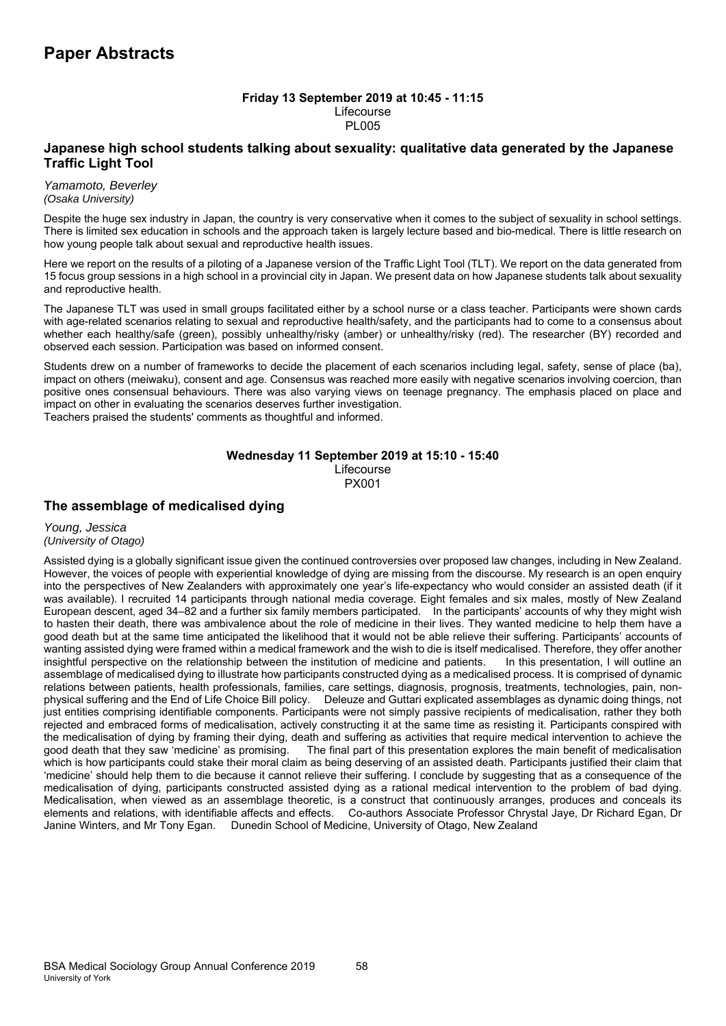### **Friday 13 September 2019 at 10:45 - 11:15**  Lifecourse **PL005**

# **Japanese high school students talking about sexuality: qualitative data generated by the Japanese Traffic Light Tool**

*Yamamoto, Beverley (Osaka University)*

Despite the huge sex industry in Japan, the country is very conservative when it comes to the subject of sexuality in school settings. There is limited sex education in schools and the approach taken is largely lecture based and bio-medical. There is little research on how young people talk about sexual and reproductive health issues.

Here we report on the results of a piloting of a Japanese version of the Traffic Light Tool (TLT). We report on the data generated from 15 focus group sessions in a high school in a provincial city in Japan. We present data on how Japanese students talk about sexuality and reproductive health.

The Japanese TLT was used in small groups facilitated either by a school nurse or a class teacher. Participants were shown cards with age-related scenarios relating to sexual and reproductive health/safety, and the participants had to come to a consensus about whether each healthy/safe (green), possibly unhealthy/risky (amber) or unhealthy/risky (red). The researcher (BY) recorded and observed each session. Participation was based on informed consent.

Students drew on a number of frameworks to decide the placement of each scenarios including legal, safety, sense of place (ba), impact on others (meiwaku), consent and age. Consensus was reached more easily with negative scenarios involving coercion, than positive ones consensual behaviours. There was also varying views on teenage pregnancy. The emphasis placed on place and impact on other in evaluating the scenarios deserves further investigation. Teachers praised the students' comments as thoughtful and informed.

### **Wednesday 11 September 2019 at 15:10 - 15:40**  Lifecourse PX001

# **The assemblage of medicalised dying**

*Young, Jessica (University of Otago)*

Assisted dying is a globally significant issue given the continued controversies over proposed law changes, including in New Zealand. However, the voices of people with experiential knowledge of dying are missing from the discourse. My research is an open enquiry into the perspectives of New Zealanders with approximately one year's life-expectancy who would consider an assisted death (if it was available). I recruited 14 participants through national media coverage. Eight females and six males, mostly of New Zealand European descent, aged 34–82 and a further six family members participated. In the participants' accounts of why they might wish to hasten their death, there was ambivalence about the role of medicine in their lives. They wanted medicine to help them have a good death but at the same time anticipated the likelihood that it would not be able relieve their suffering. Participants' accounts of wanting assisted dying were framed within a medical framework and the wish to die is itself medicalised. Therefore, they offer another insightful perspective on the relationship between the institution of medicine and patients. In this presentation, I will outline an assemblage of medicalised dying to illustrate how participants constructed dying as a medicalised process. It is comprised of dynamic relations between patients, health professionals, families, care settings, diagnosis, prognosis, treatments, technologies, pain, nonphysical suffering and the End of Life Choice Bill policy. Deleuze and Guttari explicated assemblages as dynamic doing things, not just entities comprising identifiable components. Participants were not simply passive recipients of medicalisation, rather they both rejected and embraced forms of medicalisation, actively constructing it at the same time as resisting it. Participants conspired with the medicalisation of dying by framing their dying, death and suffering as activities that require medical intervention to achieve the good death that they saw 'medicine' as promising. The final part of this presentation explores the main benefit of medicalisation which is how participants could stake their moral claim as being deserving of an assisted death. Participants justified their claim that 'medicine' should help them to die because it cannot relieve their suffering. I conclude by suggesting that as a consequence of the medicalisation of dying, participants constructed assisted dying as a rational medical intervention to the problem of bad dying. Medicalisation, when viewed as an assemblage theoretic, is a construct that continuously arranges, produces and conceals its elements and relations, with identifiable affects and effects. Co-authors Associate Professor Chrystal Jaye, Dr Richard Egan, Dr Janine Winters, and Mr Tony Egan. Dunedin School of Medicine, University of Otago, New Zealand